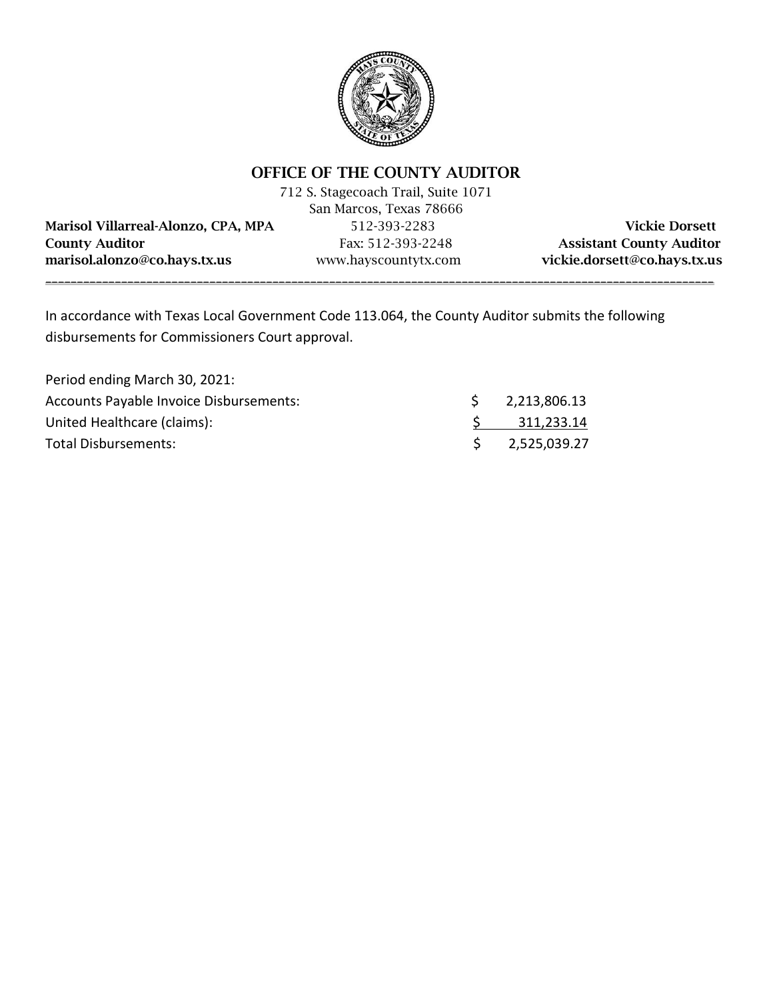

# OFFICE OF THE COUNTY AUDITOR

|                                     | 712 S. Stagecoach Trail, Suite 1071 |                                 |
|-------------------------------------|-------------------------------------|---------------------------------|
|                                     | San Marcos, Texas 78666             |                                 |
| Marisol Villarreal-Alonzo, CPA, MPA | 512-393-2283                        | <b>Vickie Dorsett</b>           |
| <b>County Auditor</b>               | Fax: 512-393-2248                   | <b>Assistant County Auditor</b> |
| marisol.alonzo@co.hays.tx.us        | www.hayscountytx.com                | vickie.dorsett@co.hays.tx.us    |
|                                     |                                     |                                 |

In accordance with Texas Local Government Code 113.064, the County Auditor submits the following disbursements for Commissioners Court approval.

| Period ending March 30, 2021:           |                              |
|-----------------------------------------|------------------------------|
| Accounts Payable Invoice Disbursements: | \$ 2,213,806.13              |
| United Healthcare (claims):             | 311,233.14                   |
| Total Disbursements:                    | $\frac{1}{2}$ , 2,525,039.27 |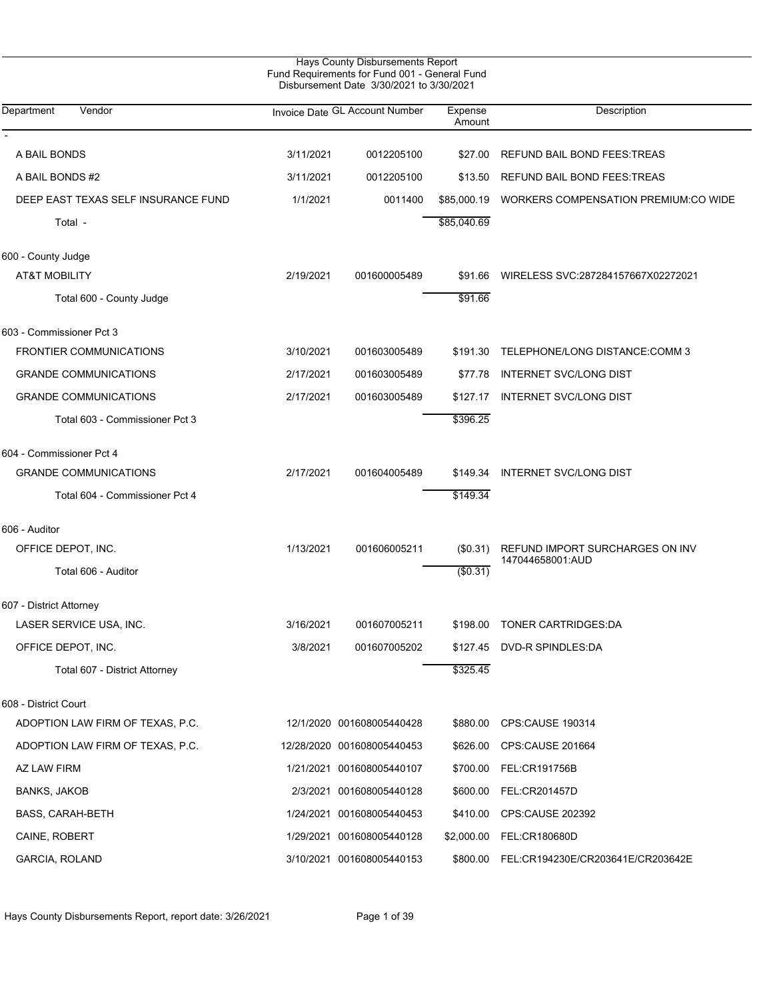| Department<br>Vendor                |           | Invoice Date GL Account Number | Expense<br>Amount | Description                                         |
|-------------------------------------|-----------|--------------------------------|-------------------|-----------------------------------------------------|
|                                     |           |                                |                   |                                                     |
| A BAIL BONDS                        | 3/11/2021 | 0012205100                     | \$27.00           | REFUND BAIL BOND FEES: TREAS                        |
| A BAIL BONDS #2                     | 3/11/2021 | 0012205100                     | \$13.50           | REFUND BAIL BOND FEES: TREAS                        |
| DEEP EAST TEXAS SELF INSURANCE FUND | 1/1/2021  | 0011400                        |                   | \$85,000.19 WORKERS COMPENSATION PREMIUM:CO WIDE    |
| Total -                             |           |                                | \$85,040.69       |                                                     |
| 600 - County Judge                  |           |                                |                   |                                                     |
| AT&T MOBILITY                       | 2/19/2021 | 001600005489                   |                   | \$91.66 WIRELESS SVC:287284157667X02272021          |
| Total 600 - County Judge            |           |                                | \$91.66           |                                                     |
| 603 - Commissioner Pct 3            |           |                                |                   |                                                     |
| <b>FRONTIER COMMUNICATIONS</b>      | 3/10/2021 | 001603005489                   |                   | \$191.30 TELEPHONE/LONG DISTANCE:COMM 3             |
| <b>GRANDE COMMUNICATIONS</b>        | 2/17/2021 | 001603005489                   | \$77.78           | <b>INTERNET SVC/LONG DIST</b>                       |
| <b>GRANDE COMMUNICATIONS</b>        | 2/17/2021 | 001603005489                   | \$127.17          | INTERNET SVC/LONG DIST                              |
| Total 603 - Commissioner Pct 3      |           |                                | \$396.25          |                                                     |
| 604 - Commissioner Pct 4            |           |                                |                   |                                                     |
| <b>GRANDE COMMUNICATIONS</b>        | 2/17/2021 | 001604005489                   | \$149.34          | <b>INTERNET SVC/LONG DIST</b>                       |
| Total 604 - Commissioner Pct 4      |           |                                | \$149.34          |                                                     |
| 606 - Auditor                       |           |                                |                   |                                                     |
| OFFICE DEPOT, INC.                  | 1/13/2021 | 001606005211                   | $(\$0.31)$        | REFUND IMPORT SURCHARGES ON INV<br>147044658001:AUD |
| Total 606 - Auditor                 |           |                                | (\$0.31)          |                                                     |
| 607 - District Attorney             |           |                                |                   |                                                     |
| LASER SERVICE USA, INC.             | 3/16/2021 | 001607005211                   |                   | \$198.00 TONER CARTRIDGES DA                        |
| OFFICE DEPOT, INC.                  | 3/8/2021  | 001607005202                   |                   | \$127.45 DVD-R SPINDLES:DA                          |
| Total 607 - District Attorney       |           |                                | \$325.45          |                                                     |
| 608 - District Court                |           |                                |                   |                                                     |
| ADOPTION LAW FIRM OF TEXAS, P.C.    |           | 12/1/2020 001608005440428      |                   | \$880.00 CPS:CAUSE 190314                           |
| ADOPTION LAW FIRM OF TEXAS, P.C.    |           | 12/28/2020 001608005440453     |                   | \$626.00 CPS:CAUSE 201664                           |
| AZ LAW FIRM                         |           | 1/21/2021 001608005440107      |                   | \$700.00 FEL:CR191756B                              |
| <b>BANKS, JAKOB</b>                 |           | 2/3/2021 001608005440128       | \$600.00          | FEL:CR201457D                                       |
| <b>BASS, CARAH-BETH</b>             |           | 1/24/2021 001608005440453      |                   | \$410.00 CPS:CAUSE 202392                           |
| CAINE, ROBERT                       |           | 1/29/2021 001608005440128      |                   | \$2,000.00 FEL:CR180680D                            |
| GARCIA, ROLAND                      |           | 3/10/2021 001608005440153      |                   | \$800.00 FEL:CR194230E/CR203641E/CR203642E          |
|                                     |           |                                |                   |                                                     |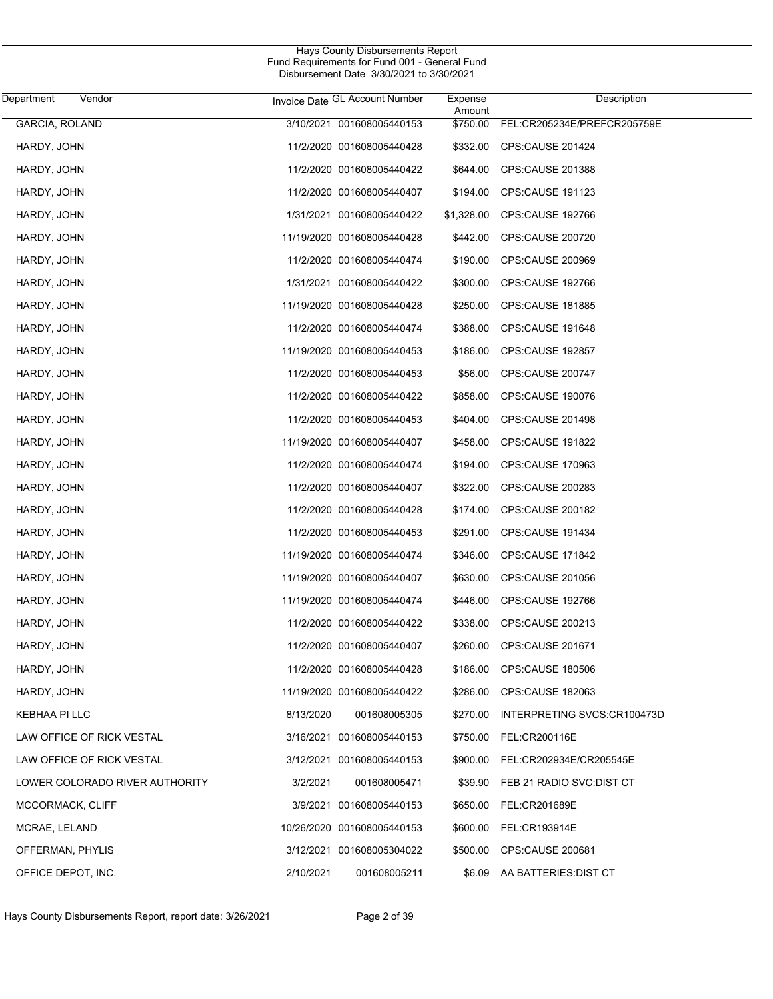| Department<br>Vendor           | Invoice Date GL Account Number | Expense<br>Amount | Description                      |
|--------------------------------|--------------------------------|-------------------|----------------------------------|
| <b>GARCIA, ROLAND</b>          | 3/10/2021 001608005440153      | \$750.00          | FEL:CR205234E/PREFCR205759E      |
| HARDY, JOHN                    | 11/2/2020 001608005440428      |                   | \$332.00 CPS:CAUSE 201424        |
| HARDY, JOHN                    | 11/2/2020 001608005440422      | \$644.00          | CPS:CAUSE 201388                 |
| HARDY, JOHN                    | 11/2/2020 001608005440407      |                   | \$194.00 CPS:CAUSE 191123        |
| HARDY, JOHN                    | 1/31/2021 001608005440422      | \$1,328.00        | CPS:CAUSE 192766                 |
| HARDY, JOHN                    | 11/19/2020 001608005440428     | \$442.00          | <b>CPS:CAUSE 200720</b>          |
| HARDY, JOHN                    | 11/2/2020 001608005440474      | \$190.00          | <b>CPS:CAUSE 200969</b>          |
| HARDY, JOHN                    | 1/31/2021 001608005440422      | \$300.00          | CPS:CAUSE 192766                 |
| HARDY, JOHN                    | 11/19/2020 001608005440428     | \$250.00          | <b>CPS:CAUSE 181885</b>          |
| HARDY, JOHN                    | 11/2/2020 001608005440474      | \$388.00          | CPS:CAUSE 191648                 |
| HARDY, JOHN                    | 11/19/2020 001608005440453     | \$186.00          | <b>CPS:CAUSE 192857</b>          |
| HARDY, JOHN                    | 11/2/2020 001608005440453      | \$56.00           | <b>CPS CAUSE 200747</b>          |
| HARDY, JOHN                    | 11/2/2020 001608005440422      | \$858.00          | CPS:CAUSE 190076                 |
| HARDY, JOHN                    | 11/2/2020 001608005440453      | \$404.00          | CPS:CAUSE 201498                 |
| HARDY, JOHN                    | 11/19/2020 001608005440407     | \$458.00          | <b>CPS:CAUSE 191822</b>          |
| HARDY, JOHN                    | 11/2/2020 001608005440474      | \$194.00          | CPS:CAUSE 170963                 |
| HARDY, JOHN                    | 11/2/2020 001608005440407      | \$322.00          | CPS:CAUSE 200283                 |
| HARDY, JOHN                    | 11/2/2020 001608005440428      | \$174.00          | CPS:CAUSE 200182                 |
| HARDY, JOHN                    | 11/2/2020 001608005440453      | \$291.00          | CPS:CAUSE 191434                 |
| HARDY, JOHN                    | 11/19/2020 001608005440474     | \$346.00          | CPS:CAUSE 171842                 |
| HARDY, JOHN                    | 11/19/2020 001608005440407     | \$630.00          | CPS:CAUSE 201056                 |
| HARDY, JOHN                    | 11/19/2020 001608005440474     | \$446.00          | CPS:CAUSE 192766                 |
| HARDY, JOHN                    | 11/2/2020 001608005440422      | \$338.00          | CPS:CAUSE 200213                 |
| HARDY, JOHN                    | 11/2/2020 001608005440407      | \$260.00          | CPS:CAUSE 201671                 |
| HARDY, JOHN                    | 11/2/2020 001608005440428      |                   | \$186.00 CPS:CAUSE 180506        |
| HARDY, JOHN                    | 11/19/2020 001608005440422     |                   | \$286.00 CPS:CAUSE 182063        |
| KEBHAA PI LLC                  | 8/13/2020<br>001608005305      | \$270.00          | INTERPRETING SVCS:CR100473D      |
| LAW OFFICE OF RICK VESTAL      | 3/16/2021 001608005440153      | \$750.00          | FEL:CR200116E                    |
| LAW OFFICE OF RICK VESTAL      | 3/12/2021 001608005440153      |                   | \$900.00 FEL:CR202934E/CR205545E |
| LOWER COLORADO RIVER AUTHORITY | 3/2/2021<br>001608005471       | \$39.90           | FEB 21 RADIO SVC:DIST CT         |
| MCCORMACK, CLIFF               | 3/9/2021 001608005440153       | \$650.00          | FEL:CR201689E                    |
| MCRAE, LELAND                  | 10/26/2020 001608005440153     | \$600.00          | FEL:CR193914E                    |
| OFFERMAN, PHYLIS               | 3/12/2021 001608005304022      |                   | \$500.00 CPS:CAUSE 200681        |
| OFFICE DEPOT, INC.             | 2/10/2021<br>001608005211      |                   | \$6.09 AA BATTERIES: DIST CT     |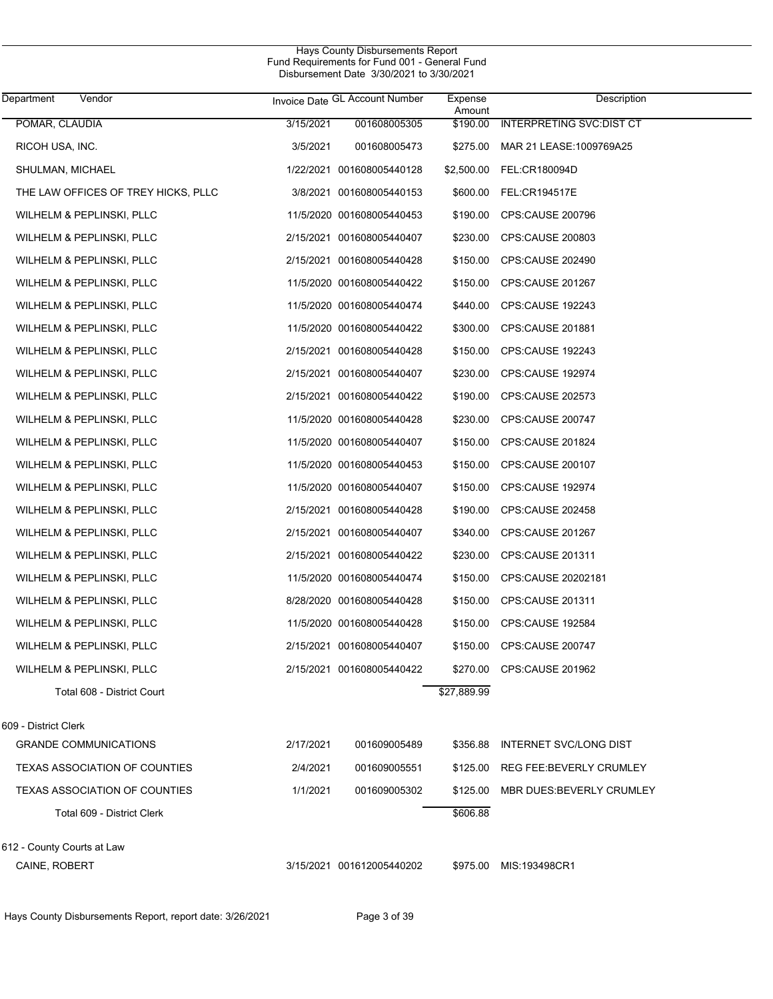| Department<br>Vendor                 |           | Invoice Date GL Account Number | Expense<br>Amount | Description                       |
|--------------------------------------|-----------|--------------------------------|-------------------|-----------------------------------|
| POMAR, CLAUDIA                       | 3/15/2021 | 001608005305                   | \$190.00          | <b>INTERPRETING SVC:DIST CT</b>   |
| RICOH USA, INC.                      | 3/5/2021  | 001608005473                   |                   | \$275.00 MAR 21 LEASE:1009769A25  |
| SHULMAN, MICHAEL                     |           | 1/22/2021 001608005440128      |                   | \$2,500.00 FEL:CR180094D          |
| THE LAW OFFICES OF TREY HICKS, PLLC  |           | 3/8/2021 001608005440153       | \$600.00          | FEL:CR194517E                     |
| WILHELM & PEPLINSKI, PLLC            |           | 11/5/2020 001608005440453      | \$190.00          | <b>CPS:CAUSE 200796</b>           |
| WILHELM & PEPLINSKI, PLLC            |           | 2/15/2021 001608005440407      | \$230.00          | CPS:CAUSE 200803                  |
| WILHELM & PEPLINSKI, PLLC            |           | 2/15/2021 001608005440428      | \$150.00          | CPS:CAUSE 202490                  |
| WILHELM & PEPLINSKI, PLLC            |           | 11/5/2020 001608005440422      | \$150.00          | CPS:CAUSE 201267                  |
| WILHELM & PEPLINSKI, PLLC            |           | 11/5/2020 001608005440474      | \$440.00          | CPS:CAUSE 192243                  |
| WILHELM & PEPLINSKI, PLLC            |           | 11/5/2020 001608005440422      | \$300.00          | CPS:CAUSE 201881                  |
| WILHELM & PEPLINSKI, PLLC            |           | 2/15/2021 001608005440428      | \$150.00          | <b>CPS:CAUSE 192243</b>           |
| WILHELM & PEPLINSKI, PLLC            |           | 2/15/2021 001608005440407      | \$230.00          | <b>CPS:CAUSE 192974</b>           |
| WILHELM & PEPLINSKI, PLLC            |           | 2/15/2021 001608005440422      | \$190.00          | <b>CPS:CAUSE 202573</b>           |
| WILHELM & PEPLINSKI, PLLC            |           | 11/5/2020 001608005440428      | \$230.00          | CPS:CAUSE 200747                  |
| WILHELM & PEPLINSKI, PLLC            |           | 11/5/2020 001608005440407      | \$150.00          | CPS:CAUSE 201824                  |
| WILHELM & PEPLINSKI, PLLC            |           | 11/5/2020 001608005440453      | \$150.00          | CPS:CAUSE 200107                  |
| WILHELM & PEPLINSKI, PLLC            |           | 11/5/2020 001608005440407      | \$150.00          | CPS:CAUSE 192974                  |
| WILHELM & PEPLINSKI, PLLC            |           | 2/15/2021 001608005440428      | \$190.00          | CPS:CAUSE 202458                  |
| WILHELM & PEPLINSKI, PLLC            |           | 2/15/2021 001608005440407      | \$340.00          | CPS:CAUSE 201267                  |
| WILHELM & PEPLINSKI, PLLC            |           | 2/15/2021 001608005440422      | \$230.00          | CPS:CAUSE 201311                  |
| WILHELM & PEPLINSKI, PLLC            |           | 11/5/2020 001608005440474      | \$150.00          | CPS:CAUSE 20202181                |
| WILHELM & PEPLINSKI, PLLC            |           | 8/28/2020 001608005440428      | \$150.00          | CPS:CAUSE 201311                  |
| WILHELM & PEPLINSKI, PLLC            |           | 11/5/2020 001608005440428      | \$150.00          | CPS:CAUSE 192584                  |
| WILHELM & PEPLINSKI, PLLC            |           | 2/15/2021 001608005440407      | \$150.00          | CPS:CAUSE 200747                  |
| WILHELM & PEPLINSKI, PLLC            |           | 2/15/2021 001608005440422      |                   | \$270.00 CPS:CAUSE 201962         |
| Total 608 - District Court           |           |                                | \$27,889.99       |                                   |
| 609 - District Clerk                 |           |                                |                   |                                   |
| <b>GRANDE COMMUNICATIONS</b>         | 2/17/2021 | 001609005489                   |                   | \$356.88 INTERNET SVC/LONG DIST   |
| <b>TEXAS ASSOCIATION OF COUNTIES</b> | 2/4/2021  | 001609005551                   |                   | \$125.00 REG FEE: BEVERLY CRUMLEY |
| TEXAS ASSOCIATION OF COUNTIES        | 1/1/2021  | 001609005302                   | \$125.00          | MBR DUES BEVERLY CRUMLEY          |
| Total 609 - District Clerk           |           |                                | \$606.88          |                                   |
| 612 - County Courts at Law           |           |                                |                   |                                   |
| CAINE, ROBERT                        |           | 3/15/2021 001612005440202      |                   | \$975.00 MIS:193498CR1            |

Hays County Disbursements Report, report date: 3/26/2021 Page 3 of 39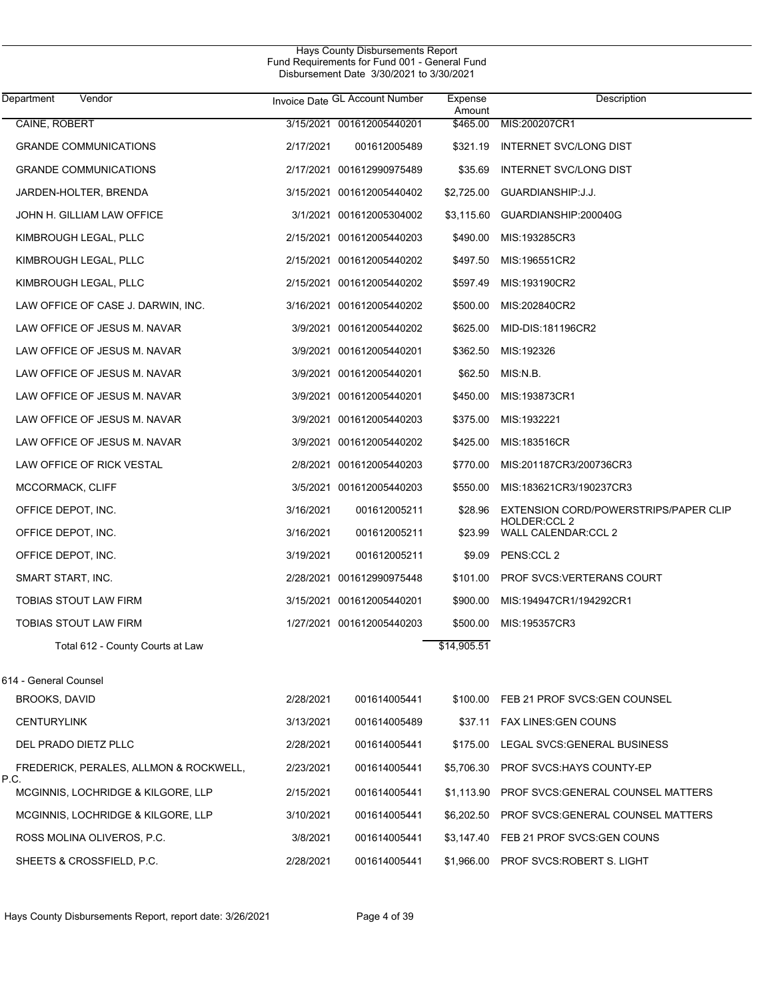| Department<br>Vendor                           |           | Invoice Date GL Account Number | Expense<br>Amount | Description                                                  |
|------------------------------------------------|-----------|--------------------------------|-------------------|--------------------------------------------------------------|
| CAINE, ROBERT                                  |           | 3/15/2021 001612005440201      | \$465.00          | MIS:200207CR1                                                |
| <b>GRANDE COMMUNICATIONS</b>                   | 2/17/2021 | 001612005489                   | \$321.19          | INTERNET SVC/LONG DIST                                       |
| <b>GRANDE COMMUNICATIONS</b>                   |           | 2/17/2021 001612990975489      | \$35.69           | INTERNET SVC/LONG DIST                                       |
| JARDEN-HOLTER, BRENDA                          |           | 3/15/2021 001612005440402      | \$2,725.00        | GUARDIANSHIP: J.J.                                           |
| JOHN H. GILLIAM LAW OFFICE                     |           | 3/1/2021 001612005304002       | \$3,115.60        | GUARDIANSHIP:200040G                                         |
| KIMBROUGH LEGAL, PLLC                          |           | 2/15/2021 001612005440203      | \$490.00          | MIS:193285CR3                                                |
| KIMBROUGH LEGAL, PLLC                          |           | 2/15/2021 001612005440202      | \$497.50          | MIS:196551CR2                                                |
| KIMBROUGH LEGAL, PLLC                          |           | 2/15/2021 001612005440202      | \$597.49          | MIS:193190CR2                                                |
| LAW OFFICE OF CASE J. DARWIN, INC.             |           | 3/16/2021 001612005440202      | \$500.00          | MIS:202840CR2                                                |
| LAW OFFICE OF JESUS M. NAVAR                   |           | 3/9/2021 001612005440202       | \$625.00          | MID-DIS:181196CR2                                            |
| LAW OFFICE OF JESUS M. NAVAR                   |           | 3/9/2021 001612005440201       | \$362.50          | MIS:192326                                                   |
| LAW OFFICE OF JESUS M. NAVAR                   |           | 3/9/2021 001612005440201       | \$62.50           | MIS:N.B.                                                     |
| LAW OFFICE OF JESUS M. NAVAR                   |           | 3/9/2021 001612005440201       | \$450.00          | MIS:193873CR1                                                |
| LAW OFFICE OF JESUS M. NAVAR                   |           | 3/9/2021 001612005440203       | \$375.00          | MIS:1932221                                                  |
| LAW OFFICE OF JESUS M. NAVAR                   |           | 3/9/2021 001612005440202       | \$425.00          | MIS:183516CR                                                 |
| LAW OFFICE OF RICK VESTAL                      |           | 2/8/2021 001612005440203       | \$770.00          | MIS:201187CR3/200736CR3                                      |
| MCCORMACK, CLIFF                               |           | 3/5/2021 001612005440203       | \$550.00          | MIS:183621CR3/190237CR3                                      |
| OFFICE DEPOT, INC.                             | 3/16/2021 | 001612005211                   | \$28.96           | EXTENSION CORD/POWERSTRIPS/PAPER CLIP<br><b>HOLDER:CCL 2</b> |
| OFFICE DEPOT, INC.                             | 3/16/2021 | 001612005211                   | \$23.99           | <b>WALL CALENDAR:CCL 2</b>                                   |
| OFFICE DEPOT, INC.                             | 3/19/2021 | 001612005211                   | \$9.09            | PENS:CCL 2                                                   |
| SMART START, INC.                              |           | 2/28/2021 001612990975448      | \$101.00          | <b>PROF SVCS VERTERANS COURT</b>                             |
| TOBIAS STOUT LAW FIRM                          |           | 3/15/2021 001612005440201      | \$900.00          | MIS:194947CR1/194292CR1                                      |
| TOBIAS STOUT LAW FIRM                          |           | 1/27/2021 001612005440203      | \$500.00          | MIS:195357CR3                                                |
| Total 612 - County Courts at Law               |           |                                | \$14,905.51       |                                                              |
| 614 - General Counsel                          |           |                                |                   |                                                              |
| BROOKS, DAVID                                  | 2/28/2021 | 001614005441                   | \$100.00          | FEB 21 PROF SVCS: GEN COUNSEL                                |
| <b>CENTURYLINK</b>                             | 3/13/2021 | 001614005489                   |                   | \$37.11 FAX LINES GEN COUNS                                  |
| DEL PRADO DIETZ PLLC                           | 2/28/2021 | 001614005441                   | \$175.00          | LEGAL SVCS: GENERAL BUSINESS                                 |
| FREDERICK, PERALES, ALLMON & ROCKWELL,<br>P.C. | 2/23/2021 | 001614005441                   | \$5,706.30        | PROF SVCS: HAYS COUNTY-EP                                    |
| MCGINNIS, LOCHRIDGE & KILGORE, LLP             | 2/15/2021 | 001614005441                   | \$1,113.90        | PROF SVCS: GENERAL COUNSEL MATTERS                           |
| MCGINNIS, LOCHRIDGE & KILGORE, LLP             | 3/10/2021 | 001614005441                   | \$6,202.50        | PROF SVCS: GENERAL COUNSEL MATTERS                           |
| ROSS MOLINA OLIVEROS, P.C.                     | 3/8/2021  | 001614005441                   | \$3,147.40        | FEB 21 PROF SVCS: GEN COUNS                                  |
| SHEETS & CROSSFIELD, P.C.                      | 2/28/2021 | 001614005441                   | \$1,966.00        | PROF SVCS:ROBERT S. LIGHT                                    |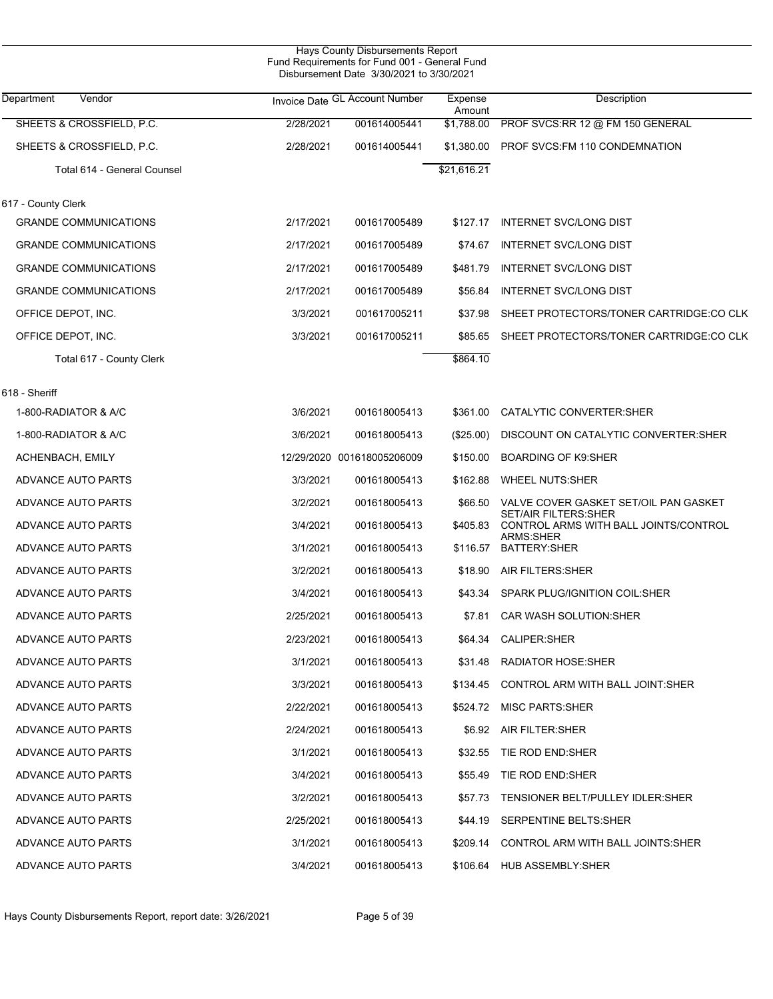| <b>Hays County Disbursements Report</b><br>Fund Requirements for Fund 001 - General Fund<br>Disbursement Date 3/30/2021 to 3/30/2021 |           |                                |                   |                                                                |  |  |  |
|--------------------------------------------------------------------------------------------------------------------------------------|-----------|--------------------------------|-------------------|----------------------------------------------------------------|--|--|--|
| Department<br>Vendor                                                                                                                 |           | Invoice Date GL Account Number | Expense<br>Amount | Description                                                    |  |  |  |
| SHEETS & CROSSFIELD, P.C.                                                                                                            | 2/28/2021 | 001614005441                   | \$1,788.00        | PROF SVCS:RR 12 @ FM 150 GENERAL                               |  |  |  |
| SHEETS & CROSSFIELD, P.C.                                                                                                            | 2/28/2021 | 001614005441                   | \$1,380.00        | PROF SVCS: FM 110 CONDEMNATION                                 |  |  |  |
| Total 614 - General Counsel                                                                                                          |           |                                | \$21,616.21       |                                                                |  |  |  |
| 617 - County Clerk                                                                                                                   |           |                                |                   |                                                                |  |  |  |
| <b>GRANDE COMMUNICATIONS</b>                                                                                                         | 2/17/2021 | 001617005489                   | \$127.17          | <b>INTERNET SVC/LONG DIST</b>                                  |  |  |  |
| <b>GRANDE COMMUNICATIONS</b>                                                                                                         | 2/17/2021 | 001617005489                   | \$74.67           | <b>INTERNET SVC/LONG DIST</b>                                  |  |  |  |
| <b>GRANDE COMMUNICATIONS</b>                                                                                                         | 2/17/2021 | 001617005489                   | \$481.79          | <b>INTERNET SVC/LONG DIST</b>                                  |  |  |  |
| <b>GRANDE COMMUNICATIONS</b>                                                                                                         | 2/17/2021 | 001617005489                   | \$56.84           | <b>INTERNET SVC/LONG DIST</b>                                  |  |  |  |
| OFFICE DEPOT, INC.                                                                                                                   | 3/3/2021  | 001617005211                   | \$37.98           | SHEET PROTECTORS/TONER CARTRIDGE:CO CLK                        |  |  |  |
| OFFICE DEPOT, INC.                                                                                                                   | 3/3/2021  | 001617005211                   | \$85.65           | SHEET PROTECTORS/TONER CARTRIDGE:CO CLK                        |  |  |  |
| Total 617 - County Clerk                                                                                                             |           |                                | \$864.10          |                                                                |  |  |  |
| 618 - Sheriff                                                                                                                        |           |                                |                   |                                                                |  |  |  |
| 1-800-RADIATOR & A/C                                                                                                                 | 3/6/2021  | 001618005413                   | \$361.00          | CATALYTIC CONVERTER:SHER                                       |  |  |  |
| 1-800-RADIATOR & A/C                                                                                                                 | 3/6/2021  | 001618005413                   | $(\$25.00)$       | DISCOUNT ON CATALYTIC CONVERTER: SHER                          |  |  |  |
| ACHENBACH, EMILY                                                                                                                     |           | 12/29/2020 001618005206009     | \$150.00          | <b>BOARDING OF K9:SHER</b>                                     |  |  |  |
| ADVANCE AUTO PARTS                                                                                                                   | 3/3/2021  | 001618005413                   | \$162.88          | <b>WHEEL NUTS:SHER</b>                                         |  |  |  |
| ADVANCE AUTO PARTS                                                                                                                   | 3/2/2021  | 001618005413                   | \$66.50           | VALVE COVER GASKET SET/OIL PAN GASKET                          |  |  |  |
| ADVANCE AUTO PARTS                                                                                                                   | 3/4/2021  | 001618005413                   | \$405.83          | SET/AIR FILTERS: SHER<br>CONTROL ARMS WITH BALL JOINTS/CONTROL |  |  |  |
| ADVANCE AUTO PARTS                                                                                                                   | 3/1/2021  | 001618005413                   | \$116.57          | ARMS:SHER<br><b>BATTERY:SHER</b>                               |  |  |  |
| ADVANCE AUTO PARTS                                                                                                                   | 3/2/2021  | 001618005413                   | \$18.90           | AIR FILTERS: SHER                                              |  |  |  |
| <b>ADVANCE AUTO PARTS</b>                                                                                                            | 3/4/2021  | 001618005413                   | \$43.34           | SPARK PLUG/IGNITION COIL: SHER                                 |  |  |  |
| ADVANCE AUTO PARTS                                                                                                                   | 2/25/2021 | 001618005413                   |                   | \$7.81 CAR WASH SOLUTION: SHER                                 |  |  |  |
| ADVANCE AUTO PARTS                                                                                                                   | 2/23/2021 | 001618005413                   | \$64.34           | <b>CALIPER:SHER</b>                                            |  |  |  |
| ADVANCE AUTO PARTS                                                                                                                   | 3/1/2021  | 001618005413                   | \$31.48           | <b>RADIATOR HOSE:SHER</b>                                      |  |  |  |
| ADVANCE AUTO PARTS                                                                                                                   | 3/3/2021  | 001618005413                   | \$134.45          | CONTROL ARM WITH BALL JOINT: SHER                              |  |  |  |
| ADVANCE AUTO PARTS                                                                                                                   | 2/22/2021 | 001618005413                   | \$524.72          | <b>MISC PARTS:SHER</b>                                         |  |  |  |
| ADVANCE AUTO PARTS                                                                                                                   | 2/24/2021 | 001618005413                   |                   | \$6.92 AIR FILTER: SHER                                        |  |  |  |
| ADVANCE AUTO PARTS                                                                                                                   | 3/1/2021  | 001618005413                   | \$32.55           | TIE ROD END:SHER                                               |  |  |  |
| ADVANCE AUTO PARTS                                                                                                                   | 3/4/2021  | 001618005413                   | \$55.49           | TIE ROD END:SHER                                               |  |  |  |
| ADVANCE AUTO PARTS                                                                                                                   | 3/2/2021  | 001618005413                   | \$57.73           | TENSIONER BELT/PULLEY IDLER: SHER                              |  |  |  |
| ADVANCE AUTO PARTS                                                                                                                   | 2/25/2021 | 001618005413                   | \$44.19           | SERPENTINE BELTS: SHER                                         |  |  |  |
| ADVANCE AUTO PARTS                                                                                                                   | 3/1/2021  | 001618005413                   | \$209.14          | CONTROL ARM WITH BALL JOINTS:SHER                              |  |  |  |
| ADVANCE AUTO PARTS                                                                                                                   | 3/4/2021  | 001618005413                   | \$106.64          | HUB ASSEMBLY:SHER                                              |  |  |  |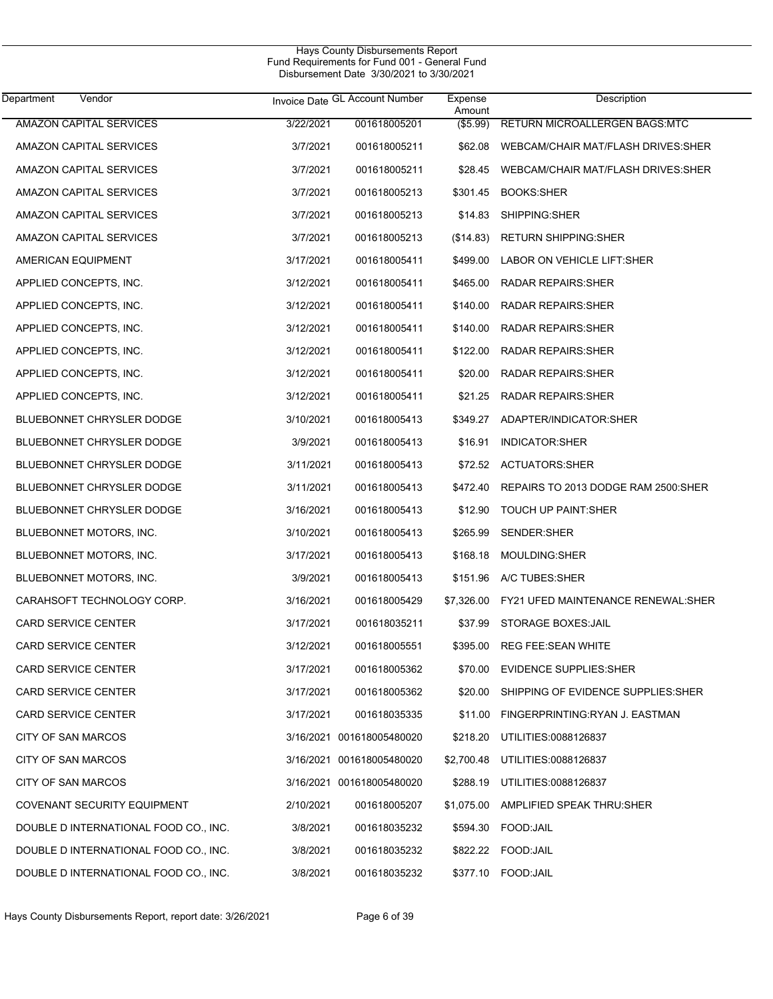| Department<br>Vendor                  |           | Invoice Date GL Account Number | Expense<br>Amount | Description                               |
|---------------------------------------|-----------|--------------------------------|-------------------|-------------------------------------------|
| <b>AMAZON CAPITAL SERVICES</b>        | 3/22/2021 | 001618005201                   | (\$5.99)          | RETURN MICROALLERGEN BAGS.MTC             |
| AMAZON CAPITAL SERVICES               | 3/7/2021  | 001618005211                   | \$62.08           | WEBCAM/CHAIR MAT/FLASH DRIVES:SHER        |
| AMAZON CAPITAL SERVICES               | 3/7/2021  | 001618005211                   | \$28.45           | WEBCAM/CHAIR MAT/FLASH DRIVES:SHER        |
| AMAZON CAPITAL SERVICES               | 3/7/2021  | 001618005213                   | \$301.45          | <b>BOOKS:SHER</b>                         |
| AMAZON CAPITAL SERVICES               | 3/7/2021  | 001618005213                   | \$14.83           | SHIPPING:SHER                             |
| AMAZON CAPITAL SERVICES               | 3/7/2021  | 001618005213                   | (\$14.83)         | <b>RETURN SHIPPING: SHER</b>              |
| AMERICAN EQUIPMENT                    | 3/17/2021 | 001618005411                   | \$499.00          | LABOR ON VEHICLE LIFT:SHER                |
| APPLIED CONCEPTS, INC.                | 3/12/2021 | 001618005411                   | \$465.00          | <b>RADAR REPAIRS:SHER</b>                 |
| APPLIED CONCEPTS, INC.                | 3/12/2021 | 001618005411                   | \$140.00          | <b>RADAR REPAIRS:SHER</b>                 |
| APPLIED CONCEPTS, INC.                | 3/12/2021 | 001618005411                   | \$140.00          | <b>RADAR REPAIRS: SHER</b>                |
| APPLIED CONCEPTS, INC.                | 3/12/2021 | 001618005411                   | \$122.00          | <b>RADAR REPAIRS: SHER</b>                |
| APPLIED CONCEPTS, INC.                | 3/12/2021 | 001618005411                   | \$20.00           | <b>RADAR REPAIRS:SHER</b>                 |
| APPLIED CONCEPTS, INC.                | 3/12/2021 | 001618005411                   | \$21.25           | <b>RADAR REPAIRS:SHER</b>                 |
| <b>BLUEBONNET CHRYSLER DODGE</b>      | 3/10/2021 | 001618005413                   | \$349.27          | ADAPTER/INDICATOR:SHER                    |
| <b>BLUEBONNET CHRYSLER DODGE</b>      | 3/9/2021  | 001618005413                   | \$16.91           | INDICATOR:SHER                            |
| <b>BLUEBONNET CHRYSLER DODGE</b>      | 3/11/2021 | 001618005413                   | \$72.52           | <b>ACTUATORS:SHER</b>                     |
| <b>BLUEBONNET CHRYSLER DODGE</b>      | 3/11/2021 | 001618005413                   | \$472.40          | REPAIRS TO 2013 DODGE RAM 2500:SHER       |
| <b>BLUEBONNET CHRYSLER DODGE</b>      | 3/16/2021 | 001618005413                   | \$12.90           | TOUCH UP PAINT:SHER                       |
| BLUEBONNET MOTORS, INC.               | 3/10/2021 | 001618005413                   | \$265.99          | SENDER:SHER                               |
| BLUEBONNET MOTORS, INC.               | 3/17/2021 | 001618005413                   | \$168.18          | MOULDING:SHER                             |
| BLUEBONNET MOTORS, INC.               | 3/9/2021  | 001618005413                   | \$151.96          | A/C TUBES:SHER                            |
| CARAHSOFT TECHNOLOGY CORP.            | 3/16/2021 | 001618005429                   | \$7,326.00        | <b>FY21 UFED MAINTENANCE RENEWAL:SHER</b> |
| CARD SERVICE CENTER                   | 3/17/2021 | 001618035211                   | \$37.99           | <b>STORAGE BOXES: JAIL</b>                |
| <b>CARD SERVICE CENTER</b>            | 3/12/2021 | 001618005551                   | \$395.00          | <b>REG FEE:SEAN WHITE</b>                 |
| CARD SERVICE CENTER                   | 3/17/2021 | 001618005362                   |                   | \$70.00 EVIDENCE SUPPLIES:SHER            |
| CARD SERVICE CENTER                   | 3/17/2021 | 001618005362                   | \$20.00           | SHIPPING OF EVIDENCE SUPPLIES: SHER       |
| CARD SERVICE CENTER                   | 3/17/2021 | 001618035335                   | \$11.00           | FINGERPRINTING:RYAN J. EASTMAN            |
| <b>CITY OF SAN MARCOS</b>             |           | 3/16/2021 001618005480020      | \$218.20          | UTILITIES:0088126837                      |
| CITY OF SAN MARCOS                    |           | 3/16/2021 001618005480020      | \$2,700.48        | UTILITIES:0088126837                      |
| <b>CITY OF SAN MARCOS</b>             |           | 3/16/2021 001618005480020      | \$288.19          | UTILITIES:0088126837                      |
| COVENANT SECURITY EQUIPMENT           | 2/10/2021 | 001618005207                   | \$1,075.00        | AMPLIFIED SPEAK THRU: SHER                |
| DOUBLE D INTERNATIONAL FOOD CO., INC. | 3/8/2021  | 001618035232                   | \$594.30          | FOOD:JAIL                                 |
| DOUBLE D INTERNATIONAL FOOD CO., INC. | 3/8/2021  | 001618035232                   |                   | \$822.22 FOOD:JAIL                        |
| DOUBLE D INTERNATIONAL FOOD CO., INC. | 3/8/2021  | 001618035232                   |                   | \$377.10 FOOD: JAIL                       |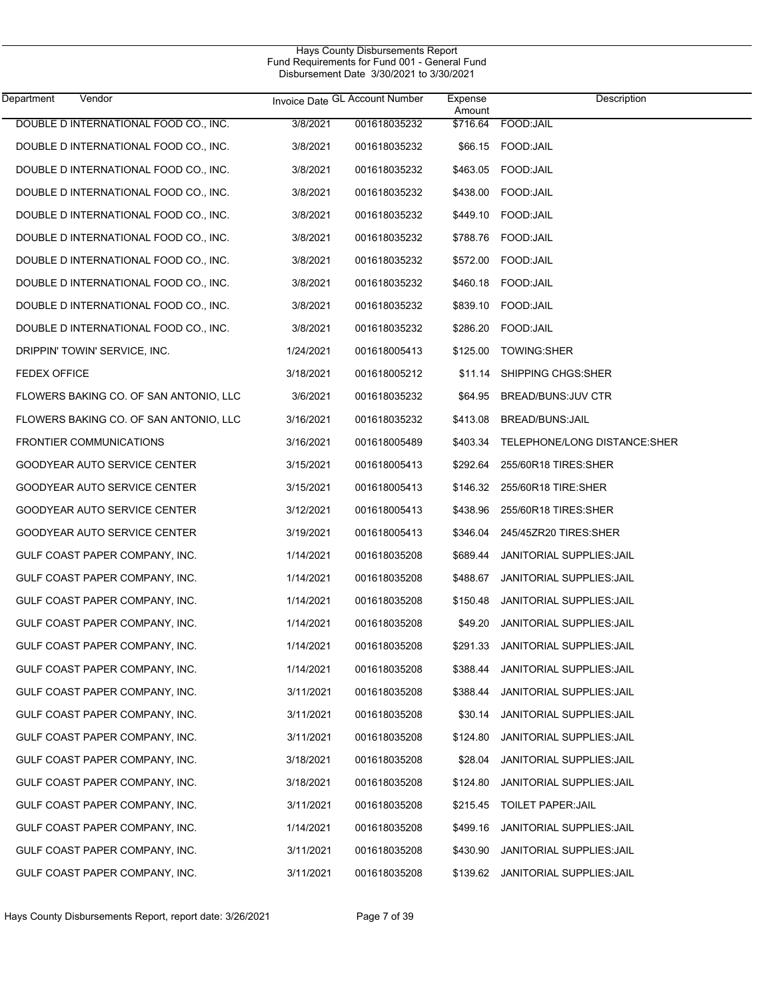| DOUBLE D INTERNATIONAL FOOD CO., INC.<br>3/8/2021<br>001618035232<br>\$716.64<br>FOOD: JAIL<br>DOUBLE D INTERNATIONAL FOOD CO., INC.<br>3/8/2021<br>\$66.15 FOOD:JAIL<br>001618035232<br>DOUBLE D INTERNATIONAL FOOD CO., INC.<br>\$463.05 FOOD:JAIL<br>3/8/2021<br>001618035232<br>DOUBLE D INTERNATIONAL FOOD CO., INC.<br>\$438.00 FOOD:JAIL<br>3/8/2021<br>001618035232<br>DOUBLE D INTERNATIONAL FOOD CO., INC.<br>\$449.10 FOOD:JAIL<br>3/8/2021<br>001618035232<br>DOUBLE D INTERNATIONAL FOOD CO., INC.<br>3/8/2021<br>001618035232<br>DOUBLE D INTERNATIONAL FOOD CO., INC.<br>\$572.00 FOOD:JAIL<br>3/8/2021<br>001618035232<br>DOUBLE D INTERNATIONAL FOOD CO., INC.<br>\$460.18 FOOD:JAIL<br>3/8/2021<br>001618035232<br>DOUBLE D INTERNATIONAL FOOD CO., INC.<br>\$839.10 FOOD:JAIL<br>3/8/2021<br>001618035232<br>DOUBLE D INTERNATIONAL FOOD CO., INC.<br>3/8/2021<br>\$286.20 FOOD:JAIL<br>001618035232<br>DRIPPIN' TOWIN' SERVICE, INC.<br>1/24/2021<br>001618005413<br>\$125.00<br><b>TOWING:SHER</b><br><b>FEDEX OFFICE</b><br>3/18/2021<br>001618005212<br>\$11.14<br>SHIPPING CHGS:SHER<br>3/6/2021<br>FLOWERS BAKING CO. OF SAN ANTONIO, LLC<br>001618035232<br>\$64.95<br><b>BREAD/BUNS: JUV CTR</b><br>FLOWERS BAKING CO. OF SAN ANTONIO, LLC<br>3/16/2021<br>\$413.08<br>001618035232<br>BREAD/BUNS: JAIL<br><b>FRONTIER COMMUNICATIONS</b><br>3/16/2021<br>001618005489<br>\$403.34<br>TELEPHONE/LONG DISTANCE:SHER<br>3/15/2021<br>GOODYEAR AUTO SERVICE CENTER<br>001618005413<br>\$292.64<br>255/60R18 TIRES:SHER<br>GOODYEAR AUTO SERVICE CENTER<br>3/15/2021<br>001618005413<br>\$146.32<br>255/60R18 TIRE:SHER<br>GOODYEAR AUTO SERVICE CENTER<br>3/12/2021<br>\$438.96<br>001618005413<br>255/60R18 TIRES:SHER<br>GOODYEAR AUTO SERVICE CENTER<br>3/19/2021<br>001618005413<br>\$346.04<br>245/45ZR20 TIRES:SHER<br>GULF COAST PAPER COMPANY, INC.<br>1/14/2021<br>001618035208<br>\$689.44<br>JANITORIAL SUPPLIES: JAIL<br>GULF COAST PAPER COMPANY, INC.<br>1/14/2021<br>001618035208<br>\$488.67<br>JANITORIAL SUPPLIES: JAIL<br>GULF COAST PAPER COMPANY, INC.<br>1/14/2021<br>001618035208<br>\$150.48<br>JANITORIAL SUPPLIES: JAIL<br>GULF COAST PAPER COMPANY, INC.<br>1/14/2021<br>001618035208<br>\$49.20<br>JANITORIAL SUPPLIES: JAIL<br>GULF COAST PAPER COMPANY, INC.<br>1/14/2021<br>001618035208<br>\$291.33<br>JANITORIAL SUPPLIES: JAIL<br>GULF COAST PAPER COMPANY, INC.<br>1/14/2021<br>001618035208<br><b>JANITORIAL SUPPLIES: JAIL</b><br>\$388.44<br>GULF COAST PAPER COMPANY, INC.<br>3/11/2021<br>001618035208<br>\$388.44<br>JANITORIAL SUPPLIES: JAIL<br>GULF COAST PAPER COMPANY, INC.<br>3/11/2021<br>001618035208<br><b>JANITORIAL SUPPLIES: JAIL</b><br>\$30.14<br>GULF COAST PAPER COMPANY, INC.<br>3/11/2021<br>001618035208<br>\$124.80<br><b>JANITORIAL SUPPLIES: JAIL</b><br>GULF COAST PAPER COMPANY, INC.<br>3/18/2021<br>001618035208<br>\$28.04<br><b>JANITORIAL SUPPLIES: JAIL</b><br>GULF COAST PAPER COMPANY, INC.<br>3/18/2021<br>001618035208<br>\$124.80<br>JANITORIAL SUPPLIES: JAIL<br>GULF COAST PAPER COMPANY, INC.<br>3/11/2021<br>001618035208<br>\$215.45<br><b>TOILET PAPER:JAIL</b><br>GULF COAST PAPER COMPANY, INC.<br>1/14/2021<br>001618035208<br>\$499.16<br>JANITORIAL SUPPLIES: JAIL<br>GULF COAST PAPER COMPANY, INC.<br>3/11/2021<br>001618035208<br>\$430.90<br>JANITORIAL SUPPLIES: JAIL<br>GULF COAST PAPER COMPANY, INC.<br>3/11/2021<br>JANITORIAL SUPPLIES: JAIL<br>001618035208<br>\$139.62 | Vendor<br>Department | Invoice Date GL Account Number | Expense<br>Amount | Description |
|---------------------------------------------------------------------------------------------------------------------------------------------------------------------------------------------------------------------------------------------------------------------------------------------------------------------------------------------------------------------------------------------------------------------------------------------------------------------------------------------------------------------------------------------------------------------------------------------------------------------------------------------------------------------------------------------------------------------------------------------------------------------------------------------------------------------------------------------------------------------------------------------------------------------------------------------------------------------------------------------------------------------------------------------------------------------------------------------------------------------------------------------------------------------------------------------------------------------------------------------------------------------------------------------------------------------------------------------------------------------------------------------------------------------------------------------------------------------------------------------------------------------------------------------------------------------------------------------------------------------------------------------------------------------------------------------------------------------------------------------------------------------------------------------------------------------------------------------------------------------------------------------------------------------------------------------------------------------------------------------------------------------------------------------------------------------------------------------------------------------------------------------------------------------------------------------------------------------------------------------------------------------------------------------------------------------------------------------------------------------------------------------------------------------------------------------------------------------------------------------------------------------------------------------------------------------------------------------------------------------------------------------------------------------------------------------------------------------------------------------------------------------------------------------------------------------------------------------------------------------------------------------------------------------------------------------------------------------------------------------------------------------------------------------------------------------------------------------------------------------------------------------------------------------------------------------------------------------------------------------------------------------------------------------------------------------------------------------------------------------------------------------------------------------------------------------------------------------------------------------------|----------------------|--------------------------------|-------------------|-------------|
|                                                                                                                                                                                                                                                                                                                                                                                                                                                                                                                                                                                                                                                                                                                                                                                                                                                                                                                                                                                                                                                                                                                                                                                                                                                                                                                                                                                                                                                                                                                                                                                                                                                                                                                                                                                                                                                                                                                                                                                                                                                                                                                                                                                                                                                                                                                                                                                                                                                                                                                                                                                                                                                                                                                                                                                                                                                                                                                                                                                                                                                                                                                                                                                                                                                                                                                                                                                                                                                                                                   |                      |                                |                   |             |
|                                                                                                                                                                                                                                                                                                                                                                                                                                                                                                                                                                                                                                                                                                                                                                                                                                                                                                                                                                                                                                                                                                                                                                                                                                                                                                                                                                                                                                                                                                                                                                                                                                                                                                                                                                                                                                                                                                                                                                                                                                                                                                                                                                                                                                                                                                                                                                                                                                                                                                                                                                                                                                                                                                                                                                                                                                                                                                                                                                                                                                                                                                                                                                                                                                                                                                                                                                                                                                                                                                   |                      |                                |                   |             |
|                                                                                                                                                                                                                                                                                                                                                                                                                                                                                                                                                                                                                                                                                                                                                                                                                                                                                                                                                                                                                                                                                                                                                                                                                                                                                                                                                                                                                                                                                                                                                                                                                                                                                                                                                                                                                                                                                                                                                                                                                                                                                                                                                                                                                                                                                                                                                                                                                                                                                                                                                                                                                                                                                                                                                                                                                                                                                                                                                                                                                                                                                                                                                                                                                                                                                                                                                                                                                                                                                                   |                      |                                |                   |             |
|                                                                                                                                                                                                                                                                                                                                                                                                                                                                                                                                                                                                                                                                                                                                                                                                                                                                                                                                                                                                                                                                                                                                                                                                                                                                                                                                                                                                                                                                                                                                                                                                                                                                                                                                                                                                                                                                                                                                                                                                                                                                                                                                                                                                                                                                                                                                                                                                                                                                                                                                                                                                                                                                                                                                                                                                                                                                                                                                                                                                                                                                                                                                                                                                                                                                                                                                                                                                                                                                                                   |                      |                                |                   |             |
|                                                                                                                                                                                                                                                                                                                                                                                                                                                                                                                                                                                                                                                                                                                                                                                                                                                                                                                                                                                                                                                                                                                                                                                                                                                                                                                                                                                                                                                                                                                                                                                                                                                                                                                                                                                                                                                                                                                                                                                                                                                                                                                                                                                                                                                                                                                                                                                                                                                                                                                                                                                                                                                                                                                                                                                                                                                                                                                                                                                                                                                                                                                                                                                                                                                                                                                                                                                                                                                                                                   |                      |                                |                   |             |
|                                                                                                                                                                                                                                                                                                                                                                                                                                                                                                                                                                                                                                                                                                                                                                                                                                                                                                                                                                                                                                                                                                                                                                                                                                                                                                                                                                                                                                                                                                                                                                                                                                                                                                                                                                                                                                                                                                                                                                                                                                                                                                                                                                                                                                                                                                                                                                                                                                                                                                                                                                                                                                                                                                                                                                                                                                                                                                                                                                                                                                                                                                                                                                                                                                                                                                                                                                                                                                                                                                   |                      |                                |                   |             |
|                                                                                                                                                                                                                                                                                                                                                                                                                                                                                                                                                                                                                                                                                                                                                                                                                                                                                                                                                                                                                                                                                                                                                                                                                                                                                                                                                                                                                                                                                                                                                                                                                                                                                                                                                                                                                                                                                                                                                                                                                                                                                                                                                                                                                                                                                                                                                                                                                                                                                                                                                                                                                                                                                                                                                                                                                                                                                                                                                                                                                                                                                                                                                                                                                                                                                                                                                                                                                                                                                                   |                      |                                |                   |             |
|                                                                                                                                                                                                                                                                                                                                                                                                                                                                                                                                                                                                                                                                                                                                                                                                                                                                                                                                                                                                                                                                                                                                                                                                                                                                                                                                                                                                                                                                                                                                                                                                                                                                                                                                                                                                                                                                                                                                                                                                                                                                                                                                                                                                                                                                                                                                                                                                                                                                                                                                                                                                                                                                                                                                                                                                                                                                                                                                                                                                                                                                                                                                                                                                                                                                                                                                                                                                                                                                                                   |                      |                                |                   |             |
|                                                                                                                                                                                                                                                                                                                                                                                                                                                                                                                                                                                                                                                                                                                                                                                                                                                                                                                                                                                                                                                                                                                                                                                                                                                                                                                                                                                                                                                                                                                                                                                                                                                                                                                                                                                                                                                                                                                                                                                                                                                                                                                                                                                                                                                                                                                                                                                                                                                                                                                                                                                                                                                                                                                                                                                                                                                                                                                                                                                                                                                                                                                                                                                                                                                                                                                                                                                                                                                                                                   |                      |                                |                   |             |
|                                                                                                                                                                                                                                                                                                                                                                                                                                                                                                                                                                                                                                                                                                                                                                                                                                                                                                                                                                                                                                                                                                                                                                                                                                                                                                                                                                                                                                                                                                                                                                                                                                                                                                                                                                                                                                                                                                                                                                                                                                                                                                                                                                                                                                                                                                                                                                                                                                                                                                                                                                                                                                                                                                                                                                                                                                                                                                                                                                                                                                                                                                                                                                                                                                                                                                                                                                                                                                                                                                   |                      |                                |                   |             |
|                                                                                                                                                                                                                                                                                                                                                                                                                                                                                                                                                                                                                                                                                                                                                                                                                                                                                                                                                                                                                                                                                                                                                                                                                                                                                                                                                                                                                                                                                                                                                                                                                                                                                                                                                                                                                                                                                                                                                                                                                                                                                                                                                                                                                                                                                                                                                                                                                                                                                                                                                                                                                                                                                                                                                                                                                                                                                                                                                                                                                                                                                                                                                                                                                                                                                                                                                                                                                                                                                                   |                      |                                |                   |             |
|                                                                                                                                                                                                                                                                                                                                                                                                                                                                                                                                                                                                                                                                                                                                                                                                                                                                                                                                                                                                                                                                                                                                                                                                                                                                                                                                                                                                                                                                                                                                                                                                                                                                                                                                                                                                                                                                                                                                                                                                                                                                                                                                                                                                                                                                                                                                                                                                                                                                                                                                                                                                                                                                                                                                                                                                                                                                                                                                                                                                                                                                                                                                                                                                                                                                                                                                                                                                                                                                                                   |                      |                                |                   |             |
|                                                                                                                                                                                                                                                                                                                                                                                                                                                                                                                                                                                                                                                                                                                                                                                                                                                                                                                                                                                                                                                                                                                                                                                                                                                                                                                                                                                                                                                                                                                                                                                                                                                                                                                                                                                                                                                                                                                                                                                                                                                                                                                                                                                                                                                                                                                                                                                                                                                                                                                                                                                                                                                                                                                                                                                                                                                                                                                                                                                                                                                                                                                                                                                                                                                                                                                                                                                                                                                                                                   |                      |                                |                   |             |
|                                                                                                                                                                                                                                                                                                                                                                                                                                                                                                                                                                                                                                                                                                                                                                                                                                                                                                                                                                                                                                                                                                                                                                                                                                                                                                                                                                                                                                                                                                                                                                                                                                                                                                                                                                                                                                                                                                                                                                                                                                                                                                                                                                                                                                                                                                                                                                                                                                                                                                                                                                                                                                                                                                                                                                                                                                                                                                                                                                                                                                                                                                                                                                                                                                                                                                                                                                                                                                                                                                   |                      |                                |                   |             |
|                                                                                                                                                                                                                                                                                                                                                                                                                                                                                                                                                                                                                                                                                                                                                                                                                                                                                                                                                                                                                                                                                                                                                                                                                                                                                                                                                                                                                                                                                                                                                                                                                                                                                                                                                                                                                                                                                                                                                                                                                                                                                                                                                                                                                                                                                                                                                                                                                                                                                                                                                                                                                                                                                                                                                                                                                                                                                                                                                                                                                                                                                                                                                                                                                                                                                                                                                                                                                                                                                                   |                      |                                |                   |             |
|                                                                                                                                                                                                                                                                                                                                                                                                                                                                                                                                                                                                                                                                                                                                                                                                                                                                                                                                                                                                                                                                                                                                                                                                                                                                                                                                                                                                                                                                                                                                                                                                                                                                                                                                                                                                                                                                                                                                                                                                                                                                                                                                                                                                                                                                                                                                                                                                                                                                                                                                                                                                                                                                                                                                                                                                                                                                                                                                                                                                                                                                                                                                                                                                                                                                                                                                                                                                                                                                                                   |                      |                                |                   |             |
|                                                                                                                                                                                                                                                                                                                                                                                                                                                                                                                                                                                                                                                                                                                                                                                                                                                                                                                                                                                                                                                                                                                                                                                                                                                                                                                                                                                                                                                                                                                                                                                                                                                                                                                                                                                                                                                                                                                                                                                                                                                                                                                                                                                                                                                                                                                                                                                                                                                                                                                                                                                                                                                                                                                                                                                                                                                                                                                                                                                                                                                                                                                                                                                                                                                                                                                                                                                                                                                                                                   |                      |                                |                   |             |
|                                                                                                                                                                                                                                                                                                                                                                                                                                                                                                                                                                                                                                                                                                                                                                                                                                                                                                                                                                                                                                                                                                                                                                                                                                                                                                                                                                                                                                                                                                                                                                                                                                                                                                                                                                                                                                                                                                                                                                                                                                                                                                                                                                                                                                                                                                                                                                                                                                                                                                                                                                                                                                                                                                                                                                                                                                                                                                                                                                                                                                                                                                                                                                                                                                                                                                                                                                                                                                                                                                   |                      |                                |                   |             |
|                                                                                                                                                                                                                                                                                                                                                                                                                                                                                                                                                                                                                                                                                                                                                                                                                                                                                                                                                                                                                                                                                                                                                                                                                                                                                                                                                                                                                                                                                                                                                                                                                                                                                                                                                                                                                                                                                                                                                                                                                                                                                                                                                                                                                                                                                                                                                                                                                                                                                                                                                                                                                                                                                                                                                                                                                                                                                                                                                                                                                                                                                                                                                                                                                                                                                                                                                                                                                                                                                                   |                      |                                |                   |             |
|                                                                                                                                                                                                                                                                                                                                                                                                                                                                                                                                                                                                                                                                                                                                                                                                                                                                                                                                                                                                                                                                                                                                                                                                                                                                                                                                                                                                                                                                                                                                                                                                                                                                                                                                                                                                                                                                                                                                                                                                                                                                                                                                                                                                                                                                                                                                                                                                                                                                                                                                                                                                                                                                                                                                                                                                                                                                                                                                                                                                                                                                                                                                                                                                                                                                                                                                                                                                                                                                                                   |                      |                                |                   |             |
|                                                                                                                                                                                                                                                                                                                                                                                                                                                                                                                                                                                                                                                                                                                                                                                                                                                                                                                                                                                                                                                                                                                                                                                                                                                                                                                                                                                                                                                                                                                                                                                                                                                                                                                                                                                                                                                                                                                                                                                                                                                                                                                                                                                                                                                                                                                                                                                                                                                                                                                                                                                                                                                                                                                                                                                                                                                                                                                                                                                                                                                                                                                                                                                                                                                                                                                                                                                                                                                                                                   |                      |                                |                   |             |
|                                                                                                                                                                                                                                                                                                                                                                                                                                                                                                                                                                                                                                                                                                                                                                                                                                                                                                                                                                                                                                                                                                                                                                                                                                                                                                                                                                                                                                                                                                                                                                                                                                                                                                                                                                                                                                                                                                                                                                                                                                                                                                                                                                                                                                                                                                                                                                                                                                                                                                                                                                                                                                                                                                                                                                                                                                                                                                                                                                                                                                                                                                                                                                                                                                                                                                                                                                                                                                                                                                   |                      |                                |                   |             |
|                                                                                                                                                                                                                                                                                                                                                                                                                                                                                                                                                                                                                                                                                                                                                                                                                                                                                                                                                                                                                                                                                                                                                                                                                                                                                                                                                                                                                                                                                                                                                                                                                                                                                                                                                                                                                                                                                                                                                                                                                                                                                                                                                                                                                                                                                                                                                                                                                                                                                                                                                                                                                                                                                                                                                                                                                                                                                                                                                                                                                                                                                                                                                                                                                                                                                                                                                                                                                                                                                                   |                      |                                |                   |             |
|                                                                                                                                                                                                                                                                                                                                                                                                                                                                                                                                                                                                                                                                                                                                                                                                                                                                                                                                                                                                                                                                                                                                                                                                                                                                                                                                                                                                                                                                                                                                                                                                                                                                                                                                                                                                                                                                                                                                                                                                                                                                                                                                                                                                                                                                                                                                                                                                                                                                                                                                                                                                                                                                                                                                                                                                                                                                                                                                                                                                                                                                                                                                                                                                                                                                                                                                                                                                                                                                                                   |                      |                                |                   |             |
|                                                                                                                                                                                                                                                                                                                                                                                                                                                                                                                                                                                                                                                                                                                                                                                                                                                                                                                                                                                                                                                                                                                                                                                                                                                                                                                                                                                                                                                                                                                                                                                                                                                                                                                                                                                                                                                                                                                                                                                                                                                                                                                                                                                                                                                                                                                                                                                                                                                                                                                                                                                                                                                                                                                                                                                                                                                                                                                                                                                                                                                                                                                                                                                                                                                                                                                                                                                                                                                                                                   |                      |                                |                   |             |
|                                                                                                                                                                                                                                                                                                                                                                                                                                                                                                                                                                                                                                                                                                                                                                                                                                                                                                                                                                                                                                                                                                                                                                                                                                                                                                                                                                                                                                                                                                                                                                                                                                                                                                                                                                                                                                                                                                                                                                                                                                                                                                                                                                                                                                                                                                                                                                                                                                                                                                                                                                                                                                                                                                                                                                                                                                                                                                                                                                                                                                                                                                                                                                                                                                                                                                                                                                                                                                                                                                   |                      |                                |                   |             |
|                                                                                                                                                                                                                                                                                                                                                                                                                                                                                                                                                                                                                                                                                                                                                                                                                                                                                                                                                                                                                                                                                                                                                                                                                                                                                                                                                                                                                                                                                                                                                                                                                                                                                                                                                                                                                                                                                                                                                                                                                                                                                                                                                                                                                                                                                                                                                                                                                                                                                                                                                                                                                                                                                                                                                                                                                                                                                                                                                                                                                                                                                                                                                                                                                                                                                                                                                                                                                                                                                                   |                      |                                |                   |             |
|                                                                                                                                                                                                                                                                                                                                                                                                                                                                                                                                                                                                                                                                                                                                                                                                                                                                                                                                                                                                                                                                                                                                                                                                                                                                                                                                                                                                                                                                                                                                                                                                                                                                                                                                                                                                                                                                                                                                                                                                                                                                                                                                                                                                                                                                                                                                                                                                                                                                                                                                                                                                                                                                                                                                                                                                                                                                                                                                                                                                                                                                                                                                                                                                                                                                                                                                                                                                                                                                                                   |                      |                                |                   |             |
|                                                                                                                                                                                                                                                                                                                                                                                                                                                                                                                                                                                                                                                                                                                                                                                                                                                                                                                                                                                                                                                                                                                                                                                                                                                                                                                                                                                                                                                                                                                                                                                                                                                                                                                                                                                                                                                                                                                                                                                                                                                                                                                                                                                                                                                                                                                                                                                                                                                                                                                                                                                                                                                                                                                                                                                                                                                                                                                                                                                                                                                                                                                                                                                                                                                                                                                                                                                                                                                                                                   |                      |                                |                   |             |
|                                                                                                                                                                                                                                                                                                                                                                                                                                                                                                                                                                                                                                                                                                                                                                                                                                                                                                                                                                                                                                                                                                                                                                                                                                                                                                                                                                                                                                                                                                                                                                                                                                                                                                                                                                                                                                                                                                                                                                                                                                                                                                                                                                                                                                                                                                                                                                                                                                                                                                                                                                                                                                                                                                                                                                                                                                                                                                                                                                                                                                                                                                                                                                                                                                                                                                                                                                                                                                                                                                   |                      |                                |                   |             |
|                                                                                                                                                                                                                                                                                                                                                                                                                                                                                                                                                                                                                                                                                                                                                                                                                                                                                                                                                                                                                                                                                                                                                                                                                                                                                                                                                                                                                                                                                                                                                                                                                                                                                                                                                                                                                                                                                                                                                                                                                                                                                                                                                                                                                                                                                                                                                                                                                                                                                                                                                                                                                                                                                                                                                                                                                                                                                                                                                                                                                                                                                                                                                                                                                                                                                                                                                                                                                                                                                                   |                      |                                |                   |             |
|                                                                                                                                                                                                                                                                                                                                                                                                                                                                                                                                                                                                                                                                                                                                                                                                                                                                                                                                                                                                                                                                                                                                                                                                                                                                                                                                                                                                                                                                                                                                                                                                                                                                                                                                                                                                                                                                                                                                                                                                                                                                                                                                                                                                                                                                                                                                                                                                                                                                                                                                                                                                                                                                                                                                                                                                                                                                                                                                                                                                                                                                                                                                                                                                                                                                                                                                                                                                                                                                                                   |                      |                                |                   |             |
|                                                                                                                                                                                                                                                                                                                                                                                                                                                                                                                                                                                                                                                                                                                                                                                                                                                                                                                                                                                                                                                                                                                                                                                                                                                                                                                                                                                                                                                                                                                                                                                                                                                                                                                                                                                                                                                                                                                                                                                                                                                                                                                                                                                                                                                                                                                                                                                                                                                                                                                                                                                                                                                                                                                                                                                                                                                                                                                                                                                                                                                                                                                                                                                                                                                                                                                                                                                                                                                                                                   |                      |                                |                   |             |
|                                                                                                                                                                                                                                                                                                                                                                                                                                                                                                                                                                                                                                                                                                                                                                                                                                                                                                                                                                                                                                                                                                                                                                                                                                                                                                                                                                                                                                                                                                                                                                                                                                                                                                                                                                                                                                                                                                                                                                                                                                                                                                                                                                                                                                                                                                                                                                                                                                                                                                                                                                                                                                                                                                                                                                                                                                                                                                                                                                                                                                                                                                                                                                                                                                                                                                                                                                                                                                                                                                   |                      |                                |                   |             |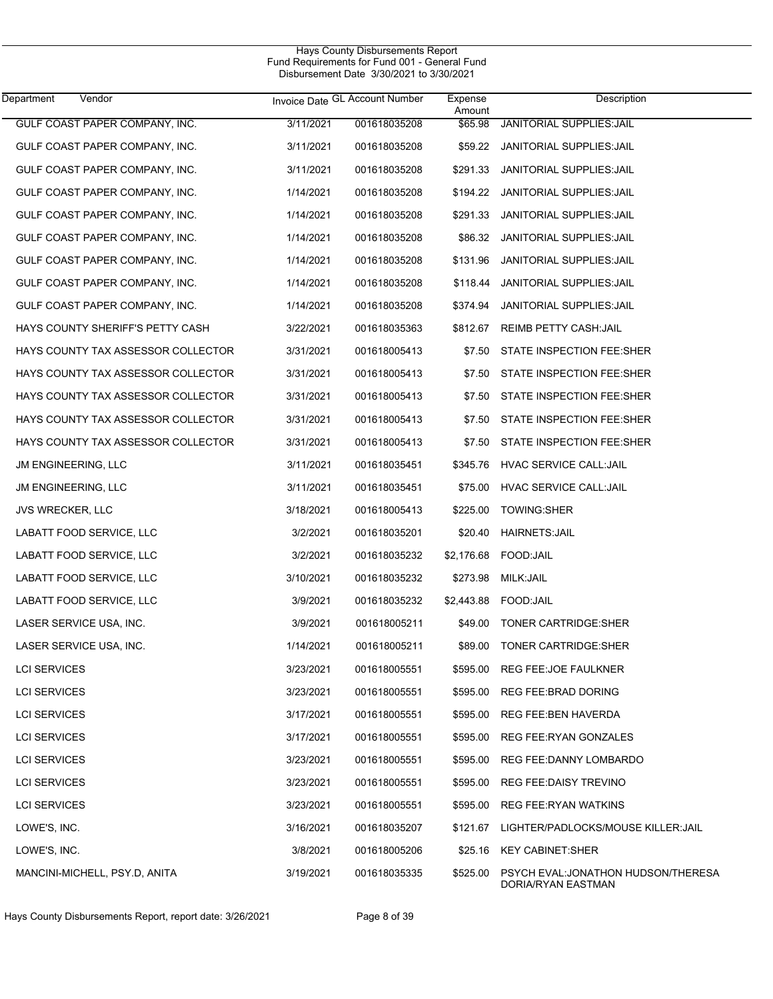| Department                 | Vendor                             |           | Invoice Date GL Account Number | Expense<br>Amount | Description                                              |
|----------------------------|------------------------------------|-----------|--------------------------------|-------------------|----------------------------------------------------------|
|                            | GULF COAST PAPER COMPANY, INC.     | 3/11/2021 | 001618035208                   | \$65.98           | JANITORIAL SUPPLIES: JAIL                                |
|                            | GULF COAST PAPER COMPANY, INC.     | 3/11/2021 | 001618035208                   | \$59.22           | JANITORIAL SUPPLIES: JAIL                                |
|                            | GULF COAST PAPER COMPANY, INC.     | 3/11/2021 | 001618035208                   | \$291.33          | JANITORIAL SUPPLIES: JAIL                                |
|                            | GULF COAST PAPER COMPANY, INC.     | 1/14/2021 | 001618035208                   | \$194.22          | JANITORIAL SUPPLIES: JAIL                                |
|                            | GULF COAST PAPER COMPANY, INC.     | 1/14/2021 | 001618035208                   | \$291.33          | JANITORIAL SUPPLIES: JAIL                                |
|                            | GULF COAST PAPER COMPANY, INC.     | 1/14/2021 | 001618035208                   | \$86.32           | JANITORIAL SUPPLIES: JAIL                                |
|                            | GULF COAST PAPER COMPANY, INC.     | 1/14/2021 | 001618035208                   | \$131.96          | JANITORIAL SUPPLIES: JAIL                                |
|                            | GULF COAST PAPER COMPANY, INC.     | 1/14/2021 | 001618035208                   | \$118.44          | JANITORIAL SUPPLIES: JAIL                                |
|                            | GULF COAST PAPER COMPANY, INC.     | 1/14/2021 | 001618035208                   | \$374.94          | JANITORIAL SUPPLIES: JAIL                                |
|                            | HAYS COUNTY SHERIFF'S PETTY CASH   | 3/22/2021 | 001618035363                   | \$812.67          | REIMB PETTY CASH: JAIL                                   |
|                            | HAYS COUNTY TAX ASSESSOR COLLECTOR | 3/31/2021 | 001618005413                   | \$7.50            | STATE INSPECTION FEE:SHER                                |
|                            | HAYS COUNTY TAX ASSESSOR COLLECTOR | 3/31/2021 | 001618005413                   | \$7.50            | STATE INSPECTION FEE:SHER                                |
|                            | HAYS COUNTY TAX ASSESSOR COLLECTOR | 3/31/2021 | 001618005413                   | \$7.50            | STATE INSPECTION FEE:SHER                                |
|                            | HAYS COUNTY TAX ASSESSOR COLLECTOR | 3/31/2021 | 001618005413                   | \$7.50            | STATE INSPECTION FEE:SHER                                |
|                            | HAYS COUNTY TAX ASSESSOR COLLECTOR | 3/31/2021 | 001618005413                   | \$7.50            | STATE INSPECTION FEE:SHER                                |
| JM ENGINEERING, LLC        |                                    | 3/11/2021 | 001618035451                   |                   | \$345.76 HVAC SERVICE CALL:JAIL                          |
| <b>JM ENGINEERING, LLC</b> |                                    | 3/11/2021 | 001618035451                   | \$75.00           | HVAC SERVICE CALL:JAIL                                   |
| <b>JVS WRECKER, LLC</b>    |                                    | 3/18/2021 | 001618005413                   | \$225.00          | TOWING:SHER                                              |
|                            | LABATT FOOD SERVICE, LLC           | 3/2/2021  | 001618035201                   | \$20.40           | <b>HAIRNETS: JAIL</b>                                    |
|                            | LABATT FOOD SERVICE, LLC           | 3/2/2021  | 001618035232                   | \$2,176.68        | FOOD:JAIL                                                |
|                            | LABATT FOOD SERVICE, LLC           | 3/10/2021 | 001618035232                   | \$273.98          | MILK: JAIL                                               |
|                            | LABATT FOOD SERVICE, LLC           | 3/9/2021  | 001618035232                   |                   | \$2,443.88    FOOD: JAIL                                 |
|                            | LASER SERVICE USA, INC.            | 3/9/2021  | 001618005211                   | \$49.00           | TONER CARTRIDGE:SHER                                     |
|                            | LASER SERVICE USA, INC.            | 1/14/2021 | 001618005211                   | \$89.00           | TONER CARTRIDGE: SHER                                    |
| <b>LCI SERVICES</b>        |                                    | 3/23/2021 | 001618005551                   |                   | \$595.00 REG FEE:JOE FAULKNER                            |
| <b>LCI SERVICES</b>        |                                    | 3/23/2021 | 001618005551                   | \$595.00          | REG FEE: BRAD DORING                                     |
| <b>LCI SERVICES</b>        |                                    | 3/17/2021 | 001618005551                   | \$595.00          | REG FEE: BEN HAVERDA                                     |
| <b>LCI SERVICES</b>        |                                    | 3/17/2021 | 001618005551                   | \$595.00          | REG FEE: RYAN GONZALES                                   |
| <b>LCI SERVICES</b>        |                                    | 3/23/2021 | 001618005551                   | \$595.00          | REG FEE:DANNY LOMBARDO                                   |
| <b>LCI SERVICES</b>        |                                    | 3/23/2021 | 001618005551                   | \$595.00          | REG FEE: DAISY TREVINO                                   |
| <b>LCI SERVICES</b>        |                                    | 3/23/2021 | 001618005551                   | \$595.00          | <b>REG FEE:RYAN WATKINS</b>                              |
| LOWE'S, INC.               |                                    | 3/16/2021 | 001618035207                   | \$121.67          | LIGHTER/PADLOCKS/MOUSE KILLER:JAIL                       |
| LOWE'S, INC.               |                                    | 3/8/2021  | 001618005206                   | \$25.16           | <b>KEY CABINET:SHER</b>                                  |
|                            | MANCINI-MICHELL, PSY.D, ANITA      | 3/19/2021 | 001618035335                   | \$525.00          | PSYCH EVAL:JONATHON HUDSON/THERESA<br>DORIA/RYAN EASTMAN |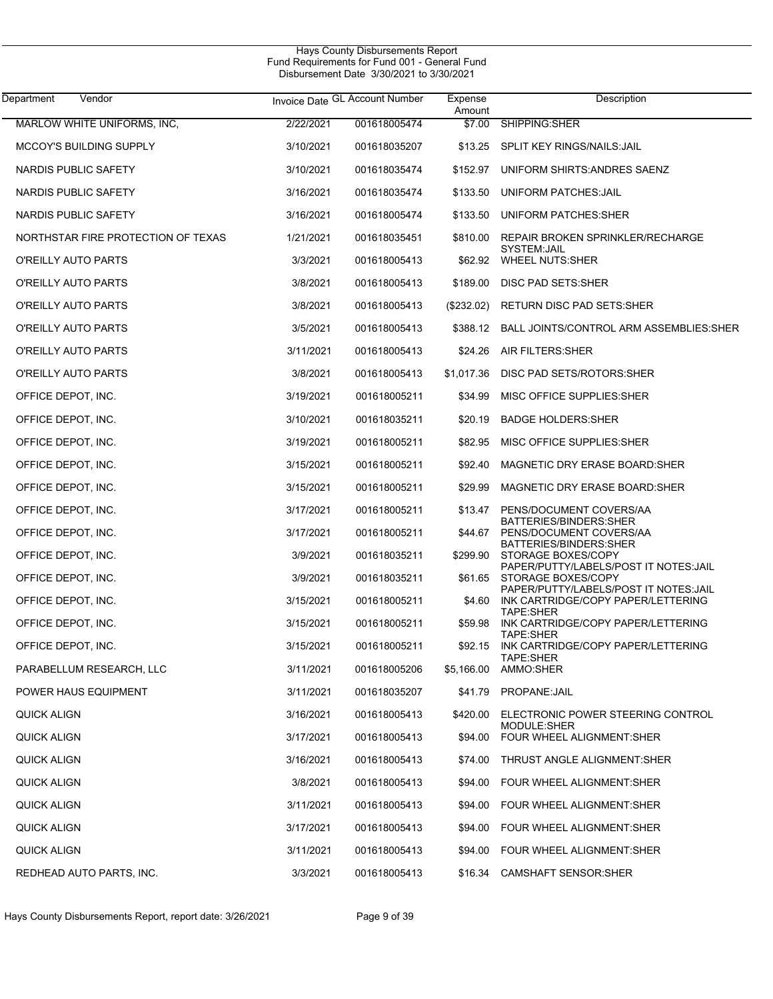| Department<br>Vendor               |           | Invoice Date GL Account Number | Expense<br>Amount | Description                                                                  |
|------------------------------------|-----------|--------------------------------|-------------------|------------------------------------------------------------------------------|
| MARLOW WHITE UNIFORMS, INC.        | 2/22/2021 | 001618005474                   | \$7.00            | SHIPPING:SHER                                                                |
| <b>MCCOY'S BUILDING SUPPLY</b>     | 3/10/2021 | 001618035207                   | \$13.25           | SPLIT KEY RINGS/NAILS: JAIL                                                  |
| NARDIS PUBLIC SAFETY               | 3/10/2021 | 001618035474                   | \$152.97          | UNIFORM SHIRTS: ANDRES SAENZ                                                 |
| NARDIS PUBLIC SAFETY               | 3/16/2021 | 001618035474                   | \$133.50          | UNIFORM PATCHES: JAIL                                                        |
| NARDIS PUBLIC SAFETY               | 3/16/2021 | 001618005474                   | \$133.50          | UNIFORM PATCHES: SHER                                                        |
| NORTHSTAR FIRE PROTECTION OF TEXAS | 1/21/2021 | 001618035451                   | \$810.00          | REPAIR BROKEN SPRINKLER/RECHARGE                                             |
| O'REILLY AUTO PARTS                | 3/3/2021  | 001618005413                   | \$62.92           | SYSTEM:JAIL<br><b>WHEEL NUTS:SHER</b>                                        |
| O'REILLY AUTO PARTS                | 3/8/2021  | 001618005413                   | \$189.00          | DISC PAD SETS: SHER                                                          |
| O'REILLY AUTO PARTS                | 3/8/2021  | 001618005413                   | (\$232.02)        | <b>RETURN DISC PAD SETS:SHER</b>                                             |
| O'REILLY AUTO PARTS                | 3/5/2021  | 001618005413                   |                   | \$388.12 BALL JOINTS/CONTROL ARM ASSEMBLIES:SHER                             |
| O'REILLY AUTO PARTS                | 3/11/2021 | 001618005413                   | \$24.26           | AIR FILTERS: SHER                                                            |
| O'REILLY AUTO PARTS                | 3/8/2021  | 001618005413                   | \$1,017.36        | DISC PAD SETS/ROTORS: SHER                                                   |
| OFFICE DEPOT, INC.                 | 3/19/2021 | 001618005211                   | \$34.99           | MISC OFFICE SUPPLIES: SHER                                                   |
| OFFICE DEPOT, INC.                 | 3/10/2021 | 001618035211                   | \$20.19           | <b>BADGE HOLDERS: SHER</b>                                                   |
| OFFICE DEPOT, INC.                 | 3/19/2021 | 001618005211                   | \$82.95           | MISC OFFICE SUPPLIES: SHER                                                   |
| OFFICE DEPOT, INC.                 | 3/15/2021 | 001618005211                   | \$92.40           | MAGNETIC DRY ERASE BOARD: SHER                                               |
| OFFICE DEPOT, INC.                 | 3/15/2021 | 001618005211                   | \$29.99           | MAGNETIC DRY ERASE BOARD:SHER                                                |
| OFFICE DEPOT, INC.                 | 3/17/2021 | 001618005211                   | \$13.47           | PENS/DOCUMENT COVERS/AA                                                      |
| OFFICE DEPOT, INC.                 | 3/17/2021 | 001618005211                   | \$44.67           | BATTERIES/BINDERS: SHER<br>PENS/DOCUMENT COVERS/AA                           |
| OFFICE DEPOT, INC.                 | 3/9/2021  | 001618035211                   | \$299.90          | BATTERIES/BINDERS: SHER<br>STORAGE BOXES/COPY                                |
| OFFICE DEPOT, INC.                 | 3/9/2021  | 001618035211                   | \$61.65           | PAPER/PUTTY/LABELS/POST IT NOTES: JAIL<br>STORAGE BOXES/COPY                 |
| OFFICE DEPOT, INC.                 | 3/15/2021 | 001618005211                   | \$4.60            | PAPER/PUTTY/LABELS/POST IT NOTES: JAIL<br>INK CARTRIDGE/COPY PAPER/LETTERING |
| OFFICE DEPOT, INC.                 | 3/15/2021 | 001618005211                   | \$59.98           | TAPE:SHER<br>INK CARTRIDGE/COPY PAPER/LETTERING                              |
| OFFICE DEPOT, INC.                 | 3/15/2021 | 001618005211                   | \$92.15           | TAPE:SHER<br>INK CARTRIDGE/COPY PAPER/LETTERING                              |
| PARABELLUM RESEARCH, LLC           | 3/11/2021 | 001618005206                   | \$5,166.00        | TAPE:SHER<br>AMMO:SHER                                                       |
| POWER HAUS EQUIPMENT               | 3/11/2021 | 001618035207                   |                   | \$41.79 PROPANE: JAIL                                                        |
| QUICK ALIGN                        | 3/16/2021 | 001618005413                   | \$420.00          | ELECTRONIC POWER STEERING CONTROL                                            |
| <b>QUICK ALIGN</b>                 | 3/17/2021 | 001618005413                   | \$94.00           | MODULE:SHER<br><b>FOUR WHEEL ALIGNMENT:SHER</b>                              |
| QUICK ALIGN                        | 3/16/2021 | 001618005413                   | \$74.00           | THRUST ANGLE ALIGNMENT:SHER                                                  |
| <b>QUICK ALIGN</b>                 | 3/8/2021  | 001618005413                   | \$94.00           | FOUR WHEEL ALIGNMENT:SHER                                                    |
| <b>QUICK ALIGN</b>                 | 3/11/2021 | 001618005413                   | \$94.00           | FOUR WHEEL ALIGNMENT:SHER                                                    |
| <b>QUICK ALIGN</b>                 | 3/17/2021 | 001618005413                   | \$94.00           | FOUR WHEEL ALIGNMENT:SHER                                                    |
| QUICK ALIGN                        | 3/11/2021 | 001618005413                   | \$94.00           | FOUR WHEEL ALIGNMENT SHER                                                    |
| REDHEAD AUTO PARTS, INC.           | 3/3/2021  | 001618005413                   | \$16.34           | <b>CAMSHAFT SENSOR:SHER</b>                                                  |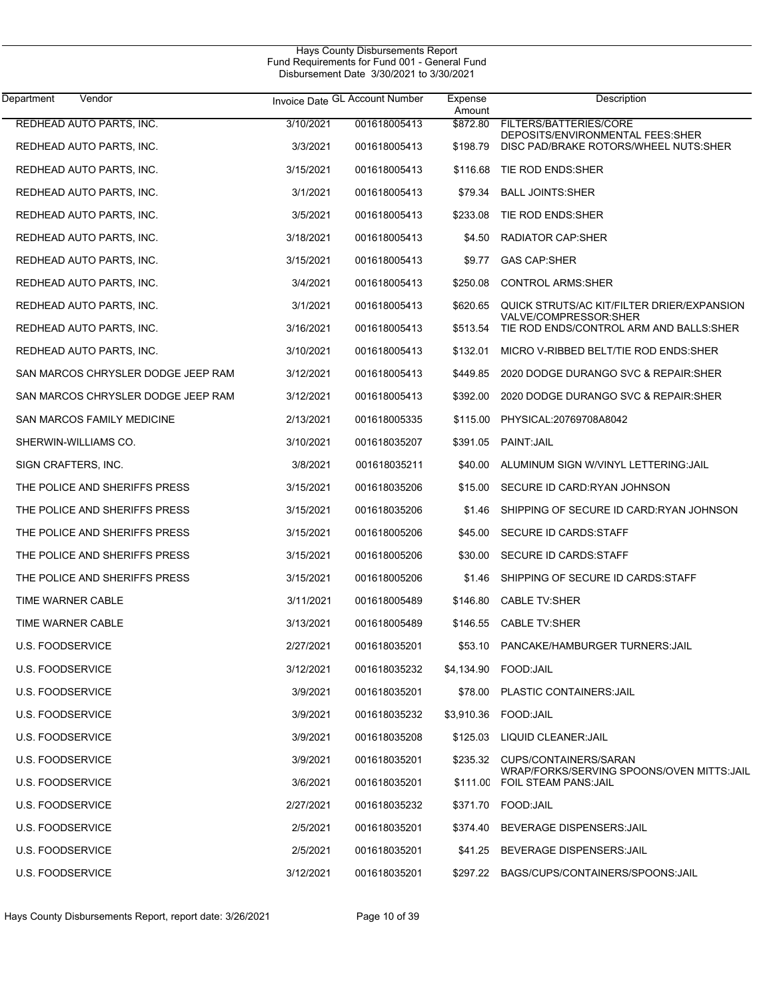| Department<br>Vendor               |           | Invoice Date GL Account Number | Expense<br>Amount | Description                                                                  |
|------------------------------------|-----------|--------------------------------|-------------------|------------------------------------------------------------------------------|
| <b>REDHEAD AUTO PARTS, INC.</b>    | 3/10/2021 | 001618005413                   | \$872.80          | FILTERS/BATTERIES/CORE                                                       |
| REDHEAD AUTO PARTS, INC.           | 3/3/2021  | 001618005413                   | \$198.79          | DEPOSITS/ENVIRONMENTAL FEES: SHER<br>DISC PAD/BRAKE ROTORS/WHEEL NUTS:SHER   |
| REDHEAD AUTO PARTS, INC.           | 3/15/2021 | 001618005413                   | \$116.68          | TIE ROD ENDS: SHER                                                           |
| REDHEAD AUTO PARTS, INC.           | 3/1/2021  | 001618005413                   | \$79.34           | <b>BALL JOINTS: SHER</b>                                                     |
| REDHEAD AUTO PARTS, INC.           | 3/5/2021  | 001618005413                   | \$233.08          | TIE ROD ENDS: SHER                                                           |
| REDHEAD AUTO PARTS, INC.           | 3/18/2021 | 001618005413                   | \$4.50            | RADIATOR CAP:SHER                                                            |
| REDHEAD AUTO PARTS, INC.           | 3/15/2021 | 001618005413                   | \$9.77            | <b>GAS CAP:SHER</b>                                                          |
| REDHEAD AUTO PARTS, INC.           | 3/4/2021  | 001618005413                   | \$250.08          | <b>CONTROL ARMS:SHER</b>                                                     |
| REDHEAD AUTO PARTS, INC.           | 3/1/2021  | 001618005413                   | \$620.65          | QUICK STRUTS/AC KIT/FILTER DRIER/EXPANSION                                   |
| REDHEAD AUTO PARTS, INC.           | 3/16/2021 | 001618005413                   | \$513.54          | VALVE/COMPRESSOR:SHER<br>TIE ROD ENDS/CONTROL ARM AND BALLS: SHER            |
| REDHEAD AUTO PARTS, INC.           | 3/10/2021 | 001618005413                   | \$132.01          | MICRO V-RIBBED BELT/TIE ROD ENDS: SHER                                       |
| SAN MARCOS CHRYSLER DODGE JEEP RAM | 3/12/2021 | 001618005413                   | \$449.85          | 2020 DODGE DURANGO SVC & REPAIR: SHER                                        |
| SAN MARCOS CHRYSLER DODGE JEEP RAM | 3/12/2021 | 001618005413                   | \$392.00          | 2020 DODGE DURANGO SVC & REPAIR: SHER                                        |
| SAN MARCOS FAMILY MEDICINE         | 2/13/2021 | 001618005335                   | \$115.00          | PHYSICAL:20769708A8042                                                       |
| SHERWIN-WILLIAMS CO.               | 3/10/2021 | 001618035207                   | \$391.05          | PAINT: JAIL                                                                  |
| SIGN CRAFTERS, INC.                | 3/8/2021  | 001618035211                   | \$40.00           | ALUMINUM SIGN W/VINYL LETTERING: JAIL                                        |
| THE POLICE AND SHERIFFS PRESS      | 3/15/2021 | 001618035206                   | \$15.00           | SECURE ID CARD:RYAN JOHNSON                                                  |
| THE POLICE AND SHERIFFS PRESS      | 3/15/2021 | 001618035206                   | \$1.46            | SHIPPING OF SECURE ID CARD:RYAN JOHNSON                                      |
| THE POLICE AND SHERIFFS PRESS      | 3/15/2021 | 001618005206                   | \$45.00           | SECURE ID CARDS: STAFF                                                       |
| THE POLICE AND SHERIFFS PRESS      | 3/15/2021 | 001618005206                   | \$30.00           | <b>SECURE ID CARDS:STAFF</b>                                                 |
| THE POLICE AND SHERIFFS PRESS      | 3/15/2021 | 001618005206                   | \$1.46            | SHIPPING OF SECURE ID CARDS: STAFF                                           |
| TIME WARNER CABLE                  | 3/11/2021 | 001618005489                   | \$146.80          | <b>CABLE TV:SHER</b>                                                         |
| TIME WARNER CABLE                  | 3/13/2021 | 001618005489                   | \$146.55          | <b>CABLE TV:SHER</b>                                                         |
| <b>U.S. FOODSERVICE</b>            | 2/27/2021 | 001618035201                   | \$53.10           | PANCAKE/HAMBURGER TURNERS: JAIL                                              |
| <b>U.S. FOODSERVICE</b>            | 3/12/2021 | 001618035232                   |                   | \$4,134.90 FOOD JAIL                                                         |
| <b>U.S. FOODSERVICE</b>            | 3/9/2021  | 001618035201                   |                   | \$78.00 PLASTIC CONTAINERS JAIL                                              |
| U.S. FOODSERVICE                   | 3/9/2021  | 001618035232                   |                   | \$3,910.36 FOOD:JAIL                                                         |
| <b>U.S. FOODSERVICE</b>            | 3/9/2021  | 001618035208                   | \$125.03          | LIQUID CLEANER: JAIL                                                         |
| <b>U.S. FOODSERVICE</b>            | 3/9/2021  | 001618035201                   | \$235.32          | CUPS/CONTAINERS/SARAN                                                        |
| <b>U.S. FOODSERVICE</b>            | 3/6/2021  | 001618035201                   |                   | WRAP/FORKS/SERVING SPOONS/OVEN MITTS: JAIL<br>\$111.00 FOIL STEAM PANS: JAIL |
| U.S. FOODSERVICE                   | 2/27/2021 | 001618035232                   |                   | \$371.70 FOOD:JAIL                                                           |
| U.S. FOODSERVICE                   | 2/5/2021  | 001618035201                   | \$374.40          | BEVERAGE DISPENSERS: JAIL                                                    |
| U.S. FOODSERVICE                   | 2/5/2021  | 001618035201                   | \$41.25           | BEVERAGE DISPENSERS: JAIL                                                    |
| <b>U.S. FOODSERVICE</b>            | 3/12/2021 | 001618035201                   | \$297.22          | BAGS/CUPS/CONTAINERS/SPOONS: JAIL                                            |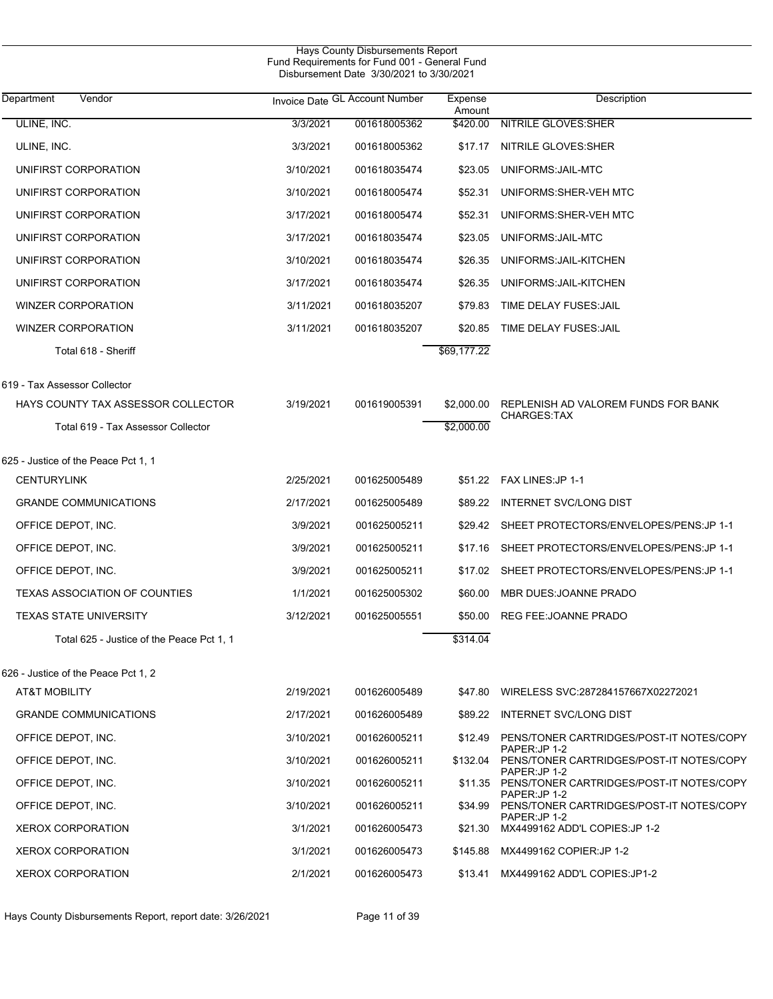|                                           |           | Hays County Disbursements Report<br>Fund Requirements for Fund 001 - General Fund<br>Disbursement Date 3/30/2021 to 3/30/2021 |                   |                                                                  |
|-------------------------------------------|-----------|-------------------------------------------------------------------------------------------------------------------------------|-------------------|------------------------------------------------------------------|
| Vendor<br>Department                      |           | Invoice Date GL Account Number                                                                                                | Expense<br>Amount | Description                                                      |
| ULINE, INC.                               | 3/3/2021  | 001618005362                                                                                                                  | \$420.00          | <b>NITRILE GLOVES:SHER</b>                                       |
| ULINE, INC.                               | 3/3/2021  | 001618005362                                                                                                                  | \$17.17           | NITRILE GLOVES: SHER                                             |
| UNIFIRST CORPORATION                      | 3/10/2021 | 001618035474                                                                                                                  | \$23.05           | UNIFORMS: JAIL-MTC                                               |
| UNIFIRST CORPORATION                      | 3/10/2021 | 001618005474                                                                                                                  | \$52.31           | UNIFORMS: SHER-VEH MTC                                           |
| UNIFIRST CORPORATION                      | 3/17/2021 | 001618005474                                                                                                                  | \$52.31           | UNIFORMS: SHER-VEH MTC                                           |
| UNIFIRST CORPORATION                      | 3/17/2021 | 001618035474                                                                                                                  | \$23.05           | UNIFORMS: JAIL-MTC                                               |
| UNIFIRST CORPORATION                      | 3/10/2021 | 001618035474                                                                                                                  | \$26.35           | UNIFORMS: JAIL-KITCHEN                                           |
| UNIFIRST CORPORATION                      | 3/17/2021 | 001618035474                                                                                                                  | \$26.35           | UNIFORMS: JAIL-KITCHEN                                           |
| <b>WINZER CORPORATION</b>                 | 3/11/2021 | 001618035207                                                                                                                  | \$79.83           | TIME DELAY FUSES: JAIL                                           |
| <b>WINZER CORPORATION</b>                 | 3/11/2021 | 001618035207                                                                                                                  | \$20.85           | TIME DELAY FUSES: JAIL                                           |
| Total 618 - Sheriff                       |           |                                                                                                                               | \$69,177.22       |                                                                  |
| 619 - Tax Assessor Collector              |           |                                                                                                                               |                   |                                                                  |
| HAYS COUNTY TAX ASSESSOR COLLECTOR        | 3/19/2021 | 001619005391                                                                                                                  | \$2,000.00        | REPLENISH AD VALOREM FUNDS FOR BANK                              |
| Total 619 - Tax Assessor Collector        |           |                                                                                                                               | \$2,000.00        | <b>CHARGES:TAX</b>                                               |
| 625 - Justice of the Peace Pct 1, 1       |           |                                                                                                                               |                   |                                                                  |
| <b>CENTURYLINK</b>                        | 2/25/2021 | 001625005489                                                                                                                  |                   | \$51.22 FAX LINES: JP 1-1                                        |
| <b>GRANDE COMMUNICATIONS</b>              | 2/17/2021 | 001625005489                                                                                                                  | \$89.22           | <b>INTERNET SVC/LONG DIST</b>                                    |
| OFFICE DEPOT, INC.                        | 3/9/2021  | 001625005211                                                                                                                  |                   | \$29.42 SHEET PROTECTORS/ENVELOPES/PENS: JP 1-1                  |
| OFFICE DEPOT, INC.                        | 3/9/2021  | 001625005211                                                                                                                  | \$17.16           | SHEET PROTECTORS/ENVELOPES/PENS: JP 1-1                          |
| OFFICE DEPOT, INC.                        | 3/9/2021  | 001625005211                                                                                                                  | \$17.02           | SHEET PROTECTORS/ENVELOPES/PENS:JP 1-1                           |
| <b>TEXAS ASSOCIATION OF COUNTIES</b>      | 1/1/2021  | 001625005302                                                                                                                  | \$60.00           | MBR DUES: JOANNE PRADO                                           |
| <b>TEXAS STATE UNIVERSITY</b>             | 3/12/2021 | 001625005551                                                                                                                  |                   | \$50.00 REG FEE:JOANNE PRADO                                     |
| Total 625 - Justice of the Peace Pct 1, 1 |           |                                                                                                                               | \$314.04          |                                                                  |
| 626 - Justice of the Peace Pct 1, 2       |           |                                                                                                                               |                   |                                                                  |
| AT&T MOBILITY                             | 2/19/2021 | 001626005489                                                                                                                  | \$47.80           | WIRELESS SVC:287284157667X02272021                               |
| <b>GRANDE COMMUNICATIONS</b>              | 2/17/2021 | 001626005489                                                                                                                  | \$89.22           | INTERNET SVC/LONG DIST                                           |
| OFFICE DEPOT, INC.                        | 3/10/2021 | 001626005211                                                                                                                  | \$12.49           | PENS/TONER CARTRIDGES/POST-IT NOTES/COPY                         |
| OFFICE DEPOT, INC.                        | 3/10/2021 | 001626005211                                                                                                                  | \$132.04          | PAPER:JP 1-2<br>PENS/TONER CARTRIDGES/POST-IT NOTES/COPY         |
| OFFICE DEPOT, INC.                        | 3/10/2021 | 001626005211                                                                                                                  |                   | PAPER:JP 1-2<br>\$11.35 PENS/TONER CARTRIDGES/POST-IT NOTES/COPY |
| OFFICE DEPOT, INC.                        | 3/10/2021 | 001626005211                                                                                                                  | \$34.99           | PAPER:JP 1-2<br>PENS/TONER CARTRIDGES/POST-IT NOTES/COPY         |
| <b>XEROX CORPORATION</b>                  | 3/1/2021  | 001626005473                                                                                                                  | \$21.30           | PAPER:JP 1-2<br>MX4499162 ADD'L COPIES: JP 1-2                   |
| <b>XEROX CORPORATION</b>                  | 3/1/2021  | 001626005473                                                                                                                  | \$145.88          | MX4499162 COPIER:JP 1-2                                          |
| <b>XEROX CORPORATION</b>                  | 2/1/2021  | 001626005473                                                                                                                  | \$13.41           | MX4499162 ADD'L COPIES:JP1-2                                     |

Hays County Disbursements Report, report date: 3/26/2021 Page 11 of 39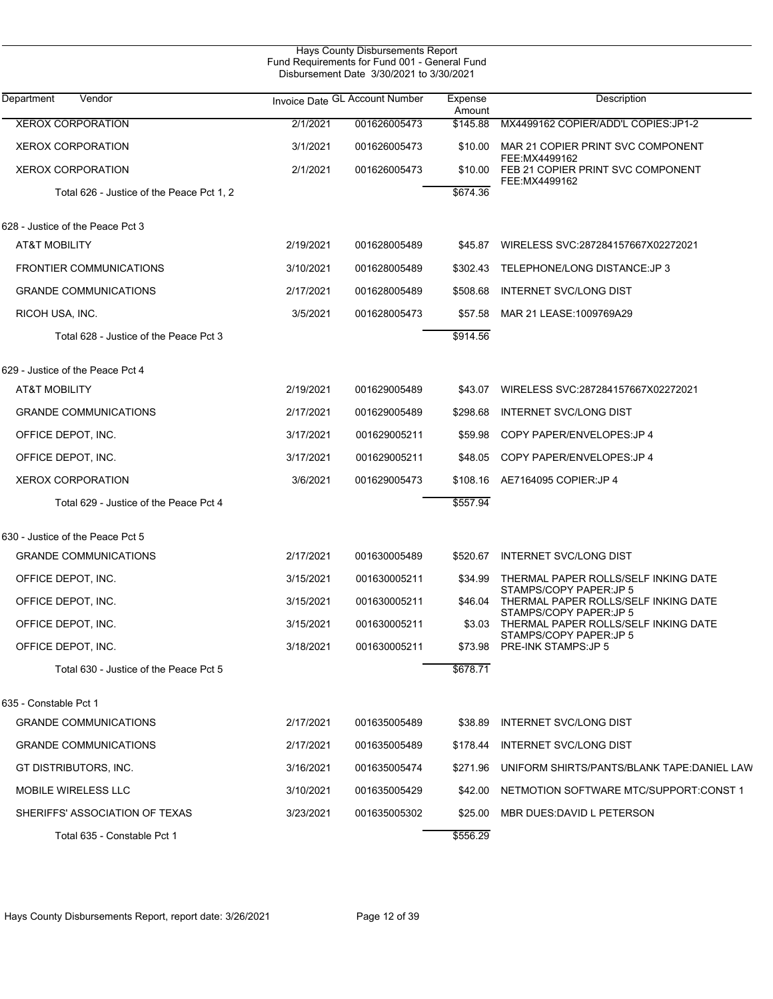|                                           |           | <b>Hays County Disbursements Report</b><br>Fund Requirements for Fund 001 - General Fund<br>Disbursement Date 3/30/2021 to 3/30/2021 |                   |                                                                 |  |
|-------------------------------------------|-----------|--------------------------------------------------------------------------------------------------------------------------------------|-------------------|-----------------------------------------------------------------|--|
| Department<br>Vendor                      |           | Invoice Date GL Account Number                                                                                                       | Expense<br>Amount | Description                                                     |  |
| <b>XEROX CORPORATION</b>                  | 2/1/2021  | 001626005473                                                                                                                         | \$145.88          | MX4499162 COPIER/ADD'L COPIES: JP1-2                            |  |
| <b>XEROX CORPORATION</b>                  | 3/1/2021  | 001626005473                                                                                                                         | \$10.00           | MAR 21 COPIER PRINT SVC COMPONENT                               |  |
| <b>XEROX CORPORATION</b>                  | 2/1/2021  | 001626005473                                                                                                                         | \$10.00           | FEE: MX4499162<br>FEB 21 COPIER PRINT SVC COMPONENT             |  |
| Total 626 - Justice of the Peace Pct 1, 2 |           |                                                                                                                                      | \$674.36          | FEE: MX4499162                                                  |  |
| 628 - Justice of the Peace Pct 3          |           |                                                                                                                                      |                   |                                                                 |  |
| <b>AT&amp;T MOBILITY</b>                  | 2/19/2021 | 001628005489                                                                                                                         | \$45.87           | WIRELESS SVC:287284157667X02272021                              |  |
| <b>FRONTIER COMMUNICATIONS</b>            | 3/10/2021 | 001628005489                                                                                                                         | \$302.43          | TELEPHONE/LONG DISTANCE: JP 3                                   |  |
| <b>GRANDE COMMUNICATIONS</b>              | 2/17/2021 | 001628005489                                                                                                                         | \$508.68          | <b>INTERNET SVC/LONG DIST</b>                                   |  |
| RICOH USA, INC.                           | 3/5/2021  | 001628005473                                                                                                                         | \$57.58           | MAR 21 LEASE: 1009769A29                                        |  |
| Total 628 - Justice of the Peace Pct 3    |           |                                                                                                                                      | \$914.56          |                                                                 |  |
| 629 - Justice of the Peace Pct 4          |           |                                                                                                                                      |                   |                                                                 |  |
| <b>AT&amp;T MOBILITY</b>                  | 2/19/2021 | 001629005489                                                                                                                         | \$43.07           | WIRELESS SVC:287284157667X02272021                              |  |
| <b>GRANDE COMMUNICATIONS</b>              | 2/17/2021 | 001629005489                                                                                                                         | \$298.68          | <b>INTERNET SVC/LONG DIST</b>                                   |  |
| OFFICE DEPOT, INC.                        | 3/17/2021 | 001629005211                                                                                                                         | \$59.98           | COPY PAPER/ENVELOPES: JP 4                                      |  |
| OFFICE DEPOT, INC.                        | 3/17/2021 | 001629005211                                                                                                                         | \$48.05           | COPY PAPER/ENVELOPES: JP 4                                      |  |
| <b>XEROX CORPORATION</b>                  | 3/6/2021  | 001629005473                                                                                                                         | \$108.16          | AE7164095 COPIER: JP 4                                          |  |
| Total 629 - Justice of the Peace Pct 4    |           |                                                                                                                                      | \$557.94          |                                                                 |  |
| 630 - Justice of the Peace Pct 5          |           |                                                                                                                                      |                   |                                                                 |  |
| <b>GRANDE COMMUNICATIONS</b>              | 2/17/2021 | 001630005489                                                                                                                         | \$520.67          | <b>INTERNET SVC/LONG DIST</b>                                   |  |
| OFFICE DEPOT, INC.                        | 3/15/2021 | 001630005211                                                                                                                         | \$34.99           | THERMAL PAPER ROLLS/SELF INKING DATE<br>STAMPS/COPY PAPER:JP 5  |  |
| OFFICE DEPOT, INC.                        | 3/15/2021 | 001630005211                                                                                                                         | \$46.04           | THERMAL PAPER ROLLS/SELF INKING DATE                            |  |
| OFFICE DEPOT, INC.                        | 3/15/2021 | 001630005211                                                                                                                         | \$3.03            | STAMPS/COPY PAPER: JP 5<br>THERMAL PAPER ROLLS/SELF INKING DATE |  |
| OFFICE DEPOT, INC.                        | 3/18/2021 | 001630005211                                                                                                                         | \$73.98           | STAMPS/COPY PAPER: JP 5<br><b>PRE-INK STAMPS: JP 5</b>          |  |
| Total 630 - Justice of the Peace Pct 5    |           |                                                                                                                                      | \$678.71          |                                                                 |  |
| 635 - Constable Pct 1                     |           |                                                                                                                                      |                   |                                                                 |  |
| <b>GRANDE COMMUNICATIONS</b>              | 2/17/2021 | 001635005489                                                                                                                         | \$38.89           | <b>INTERNET SVC/LONG DIST</b>                                   |  |
| <b>GRANDE COMMUNICATIONS</b>              | 2/17/2021 | 001635005489                                                                                                                         | \$178.44          | <b>INTERNET SVC/LONG DIST</b>                                   |  |
| GT DISTRIBUTORS, INC.                     | 3/16/2021 | 001635005474                                                                                                                         | \$271.96          | UNIFORM SHIRTS/PANTS/BLANK TAPE:DANIEL LAW                      |  |
| <b>MOBILE WIRELESS LLC</b>                | 3/10/2021 | 001635005429                                                                                                                         | \$42.00           | NETMOTION SOFTWARE MTC/SUPPORT:CONST 1                          |  |
| SHERIFFS' ASSOCIATION OF TEXAS            | 3/23/2021 | 001635005302                                                                                                                         | \$25.00           | MBR DUES: DAVID L PETERSON                                      |  |
| Total 635 - Constable Pct 1               |           |                                                                                                                                      | \$556.29          |                                                                 |  |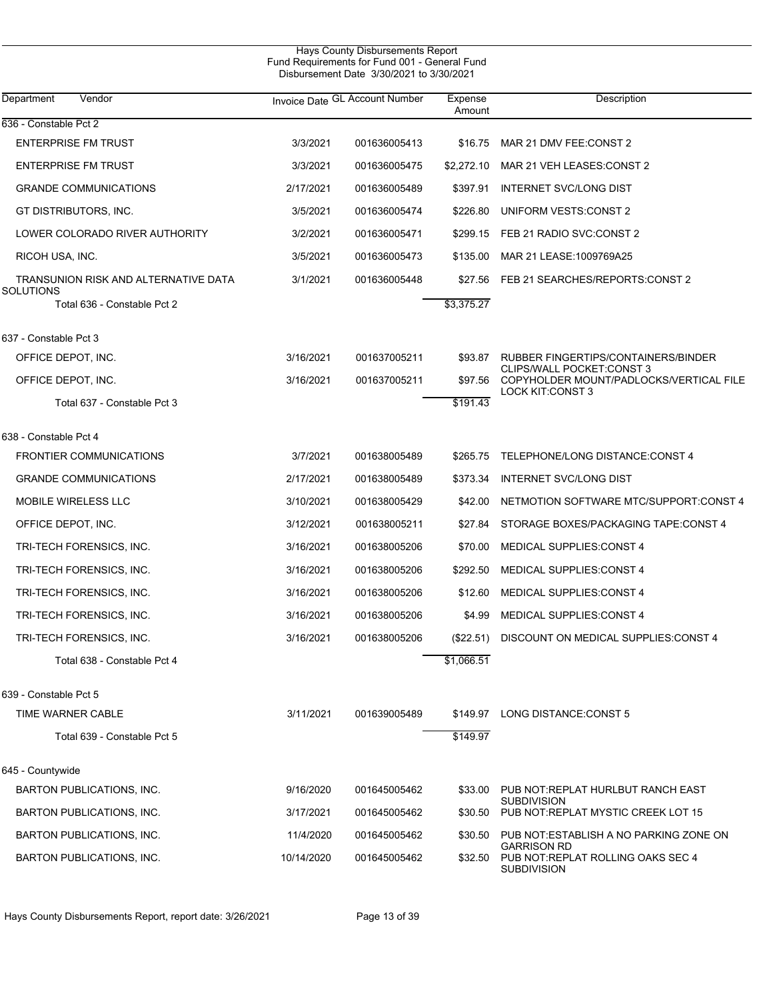| Hays County Disbursements Report<br>Fund Requirements for Fund 001 - General Fund<br>Disbursement Date 3/30/2021 to 3/30/2021 |            |                                |                   |                                                                             |  |  |
|-------------------------------------------------------------------------------------------------------------------------------|------------|--------------------------------|-------------------|-----------------------------------------------------------------------------|--|--|
| Vendor<br>Department                                                                                                          |            | Invoice Date GL Account Number | Expense<br>Amount | Description                                                                 |  |  |
| 636 - Constable Pct 2                                                                                                         |            |                                |                   |                                                                             |  |  |
| <b>ENTERPRISE FM TRUST</b>                                                                                                    | 3/3/2021   | 001636005413                   | \$16.75           | MAR 21 DMV FEE:CONST 2                                                      |  |  |
| <b>ENTERPRISE FM TRUST</b>                                                                                                    | 3/3/2021   | 001636005475                   | \$2,272.10        | MAR 21 VEH LEASES: CONST 2                                                  |  |  |
| <b>GRANDE COMMUNICATIONS</b>                                                                                                  | 2/17/2021  | 001636005489                   | \$397.91          | <b>INTERNET SVC/LONG DIST</b>                                               |  |  |
| GT DISTRIBUTORS, INC.                                                                                                         | 3/5/2021   | 001636005474                   | \$226.80          | UNIFORM VESTS: CONST 2                                                      |  |  |
| LOWER COLORADO RIVER AUTHORITY                                                                                                | 3/2/2021   | 001636005471                   | \$299.15          | FEB 21 RADIO SVC:CONST 2                                                    |  |  |
| RICOH USA, INC.                                                                                                               | 3/5/2021   | 001636005473                   | \$135.00          | MAR 21 LEASE: 1009769A25                                                    |  |  |
| TRANSUNION RISK AND ALTERNATIVE DATA<br><b>SOLUTIONS</b>                                                                      | 3/1/2021   | 001636005448                   | \$27.56           | FEB 21 SEARCHES/REPORTS:CONST 2                                             |  |  |
| Total 636 - Constable Pct 2                                                                                                   |            |                                | \$3,375.27        |                                                                             |  |  |
| 637 - Constable Pct 3                                                                                                         |            |                                |                   |                                                                             |  |  |
| OFFICE DEPOT, INC.                                                                                                            | 3/16/2021  | 001637005211                   | \$93.87           | RUBBER FINGERTIPS/CONTAINERS/BINDER                                         |  |  |
| OFFICE DEPOT, INC.                                                                                                            | 3/16/2021  | 001637005211                   | \$97.56           | <b>CLIPS/WALL POCKET:CONST 3</b><br>COPYHOLDER MOUNT/PADLOCKS/VERTICAL FILE |  |  |
| Total 637 - Constable Pct 3                                                                                                   |            |                                | \$191.43          | <b>LOCK KIT:CONST 3</b>                                                     |  |  |
| 638 - Constable Pct 4                                                                                                         |            |                                |                   |                                                                             |  |  |
| <b>FRONTIER COMMUNICATIONS</b>                                                                                                | 3/7/2021   | 001638005489                   | \$265.75          | TELEPHONE/LONG DISTANCE:CONST 4                                             |  |  |
| <b>GRANDE COMMUNICATIONS</b>                                                                                                  | 2/17/2021  | 001638005489                   | \$373.34          | <b>INTERNET SVC/LONG DIST</b>                                               |  |  |
| <b>MOBILE WIRELESS LLC</b>                                                                                                    | 3/10/2021  | 001638005429                   | \$42.00           | NETMOTION SOFTWARE MTC/SUPPORT:CONST 4                                      |  |  |
| OFFICE DEPOT, INC.                                                                                                            | 3/12/2021  | 001638005211                   | \$27.84           | STORAGE BOXES/PACKAGING TAPE:CONST 4                                        |  |  |
| TRI-TECH FORENSICS, INC.                                                                                                      | 3/16/2021  | 001638005206                   | \$70.00           | <b>MEDICAL SUPPLIES: CONST 4</b>                                            |  |  |
| TRI-TECH FORENSICS, INC.                                                                                                      | 3/16/2021  | 001638005206                   | \$292.50          | <b>MEDICAL SUPPLIES: CONST 4</b>                                            |  |  |
| TRI-TECH FORENSICS, INC.                                                                                                      | 3/16/2021  | 001638005206                   | \$12.60           | <b>MEDICAL SUPPLIES: CONST 4</b>                                            |  |  |
| TRI-TECH FORENSICS, INC.                                                                                                      | 3/16/2021  | 001638005206                   | \$4.99            | <b>MEDICAL SUPPLIES: CONST 4</b>                                            |  |  |
| TRI-TECH FORENSICS, INC.                                                                                                      | 3/16/2021  | 001638005206                   | (\$22.51)         | DISCOUNT ON MEDICAL SUPPLIES: CONST 4                                       |  |  |
| Total 638 - Constable Pct 4                                                                                                   |            |                                | \$1,066.51        |                                                                             |  |  |
| 639 - Constable Pct 5                                                                                                         |            |                                |                   |                                                                             |  |  |
| TIME WARNER CABLE                                                                                                             | 3/11/2021  | 001639005489                   |                   | \$149.97 LONG DISTANCE CONST 5                                              |  |  |
| Total 639 - Constable Pct 5                                                                                                   |            |                                | \$149.97          |                                                                             |  |  |
| 645 - Countywide                                                                                                              |            |                                |                   |                                                                             |  |  |
| BARTON PUBLICATIONS, INC.                                                                                                     | 9/16/2020  | 001645005462                   | \$33.00           | PUB NOT: REPLAT HURLBUT RANCH EAST<br><b>SUBDIVISION</b>                    |  |  |
| BARTON PUBLICATIONS, INC.                                                                                                     | 3/17/2021  | 001645005462                   | \$30.50           | PUB NOT: REPLAT MYSTIC CREEK LOT 15                                         |  |  |
| BARTON PUBLICATIONS, INC.                                                                                                     | 11/4/2020  | 001645005462                   | \$30.50           | PUB NOT ESTABLISH A NO PARKING ZONE ON<br><b>GARRISON RD</b>                |  |  |
| BARTON PUBLICATIONS, INC.                                                                                                     | 10/14/2020 | 001645005462                   | \$32.50           | PUB NOT:REPLAT ROLLING OAKS SEC 4<br><b>SUBDIVISION</b>                     |  |  |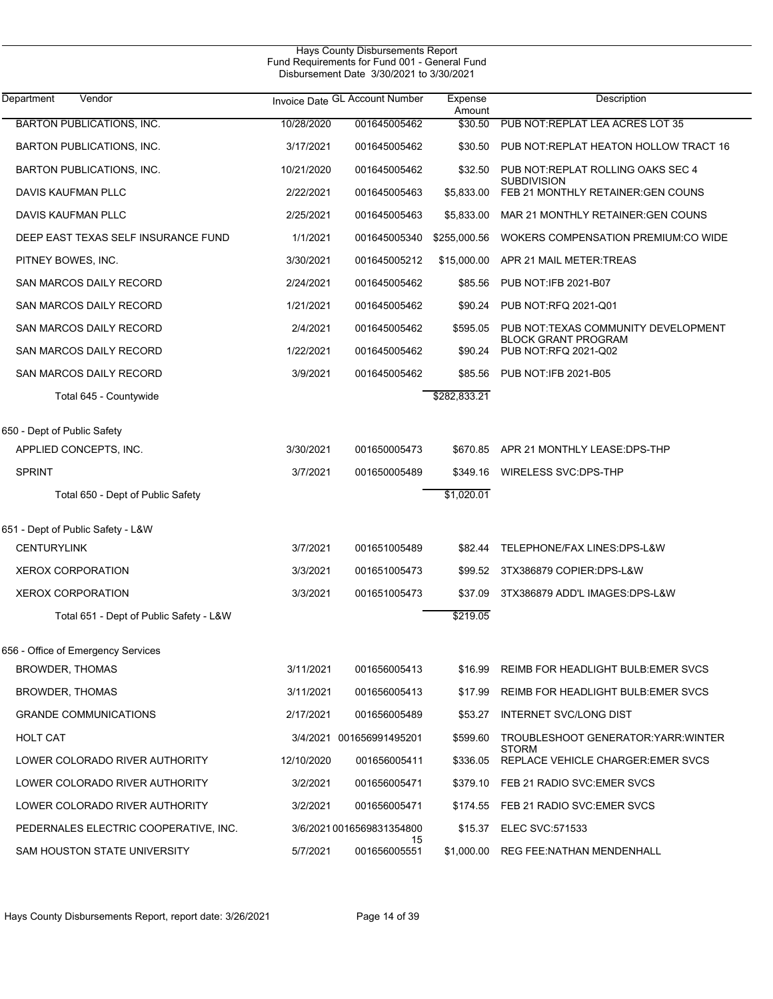| Department<br>Vendor                    |            | Invoice Date GL Account Number | Expense<br>Amount | Description                                                       |
|-----------------------------------------|------------|--------------------------------|-------------------|-------------------------------------------------------------------|
| <b>BARTON PUBLICATIONS, INC.</b>        | 10/28/2020 | 001645005462                   | \$30.50           | PUB NOT REPLAT LEA ACRES LOT 35                                   |
| <b>BARTON PUBLICATIONS, INC.</b>        | 3/17/2021  | 001645005462                   | \$30.50           | PUB NOT: REPLAT HEATON HOLLOW TRACT 16                            |
| <b>BARTON PUBLICATIONS, INC.</b>        | 10/21/2020 | 001645005462                   | \$32.50           | PUB NOT: REPLAT ROLLING OAKS SEC 4<br><b>SUBDIVISION</b>          |
| DAVIS KAUFMAN PLLC                      | 2/22/2021  | 001645005463                   | \$5,833.00        | FEB 21 MONTHLY RETAINER: GEN COUNS                                |
| DAVIS KAUFMAN PLLC                      | 2/25/2021  | 001645005463                   | \$5,833.00        | MAR 21 MONTHLY RETAINER: GEN COUNS                                |
| DEEP EAST TEXAS SELF INSURANCE FUND     | 1/1/2021   | 001645005340                   | \$255,000.56      | <b>WOKERS COMPENSATION PREMIUM:CO WIDE</b>                        |
| PITNEY BOWES, INC.                      | 3/30/2021  | 001645005212                   | \$15,000.00       | APR 21 MAIL METER TREAS                                           |
| SAN MARCOS DAILY RECORD                 | 2/24/2021  | 001645005462                   | \$85.56           | PUB NOT: IFB 2021-B07                                             |
| SAN MARCOS DAILY RECORD                 | 1/21/2021  | 001645005462                   | \$90.24           | PUB NOT:RFQ 2021-Q01                                              |
| SAN MARCOS DAILY RECORD                 | 2/4/2021   | 001645005462                   | \$595.05          | PUB NOT:TEXAS COMMUNITY DEVELOPMENT<br><b>BLOCK GRANT PROGRAM</b> |
| SAN MARCOS DAILY RECORD                 | 1/22/2021  | 001645005462                   | \$90.24           | PUB NOT:RFQ 2021-Q02                                              |
| SAN MARCOS DAILY RECORD                 | 3/9/2021   | 001645005462                   | \$85.56           | PUB NOT: IFB 2021-B05                                             |
| Total 645 - Countywide                  |            |                                | \$282,833.21      |                                                                   |
| 650 - Dept of Public Safety             |            |                                |                   |                                                                   |
| APPLIED CONCEPTS, INC.                  | 3/30/2021  | 001650005473                   |                   | \$670.85 APR 21 MONTHLY LEASE:DPS-THP                             |
| <b>SPRINT</b>                           | 3/7/2021   | 001650005489                   | \$349.16          | WIRELESS SVC:DPS-THP                                              |
| Total 650 - Dept of Public Safety       |            |                                | \$1,020.01        |                                                                   |
|                                         |            |                                |                   |                                                                   |
| 651 - Dept of Public Safety - L&W       |            |                                |                   |                                                                   |
| <b>CENTURYLINK</b>                      | 3/7/2021   | 001651005489                   | \$82.44           | TELEPHONE/FAX LINES:DPS-L&W                                       |
| <b>XEROX CORPORATION</b>                | 3/3/2021   | 001651005473                   | \$99.52           | 3TX386879 COPIER:DPS-L&W                                          |
| <b>XEROX CORPORATION</b>                | 3/3/2021   | 001651005473                   | \$37.09           | 3TX386879 ADD'L IMAGES: DPS-L&W                                   |
| Total 651 - Dept of Public Safety - L&W |            |                                | \$219.05          |                                                                   |
| 656 - Office of Emergency Services      |            |                                |                   |                                                                   |
| <b>BROWDER, THOMAS</b>                  | 3/11/2021  | 001656005413                   | \$16.99           | REIMB FOR HEADLIGHT BULB EMER SVCS                                |
| BROWDER, THOMAS                         | 3/11/2021  | 001656005413                   | \$17.99           | <b>REIMB FOR HEADLIGHT BULB: EMER SVCS</b>                        |
| <b>GRANDE COMMUNICATIONS</b>            | 2/17/2021  | 001656005489                   | \$53.27           | INTERNET SVC/LONG DIST                                            |
| HOLT CAT                                |            | 3/4/2021 001656991495201       | \$599.60          | TROUBLESHOOT GENERATOR YARR WINTER                                |
| LOWER COLORADO RIVER AUTHORITY          | 12/10/2020 | 001656005411                   | \$336.05          | <b>STORM</b><br>REPLACE VEHICLE CHARGER: EMER SVCS                |
| LOWER COLORADO RIVER AUTHORITY          | 3/2/2021   | 001656005471                   |                   | \$379.10 FEB 21 RADIO SVC: EMER SVCS                              |
| LOWER COLORADO RIVER AUTHORITY          | 3/2/2021   | 001656005471                   | \$174.55          | FEB 21 RADIO SVC:EMER SVCS                                        |
| PEDERNALES ELECTRIC COOPERATIVE, INC.   |            | 3/6/2021 0016569831354800      | \$15.37           | ELEC SVC:571533                                                   |
| SAM HOUSTON STATE UNIVERSITY            | 5/7/2021   | 15<br>001656005551             | \$1,000.00        | <b>REG FEE:NATHAN MENDENHALL</b>                                  |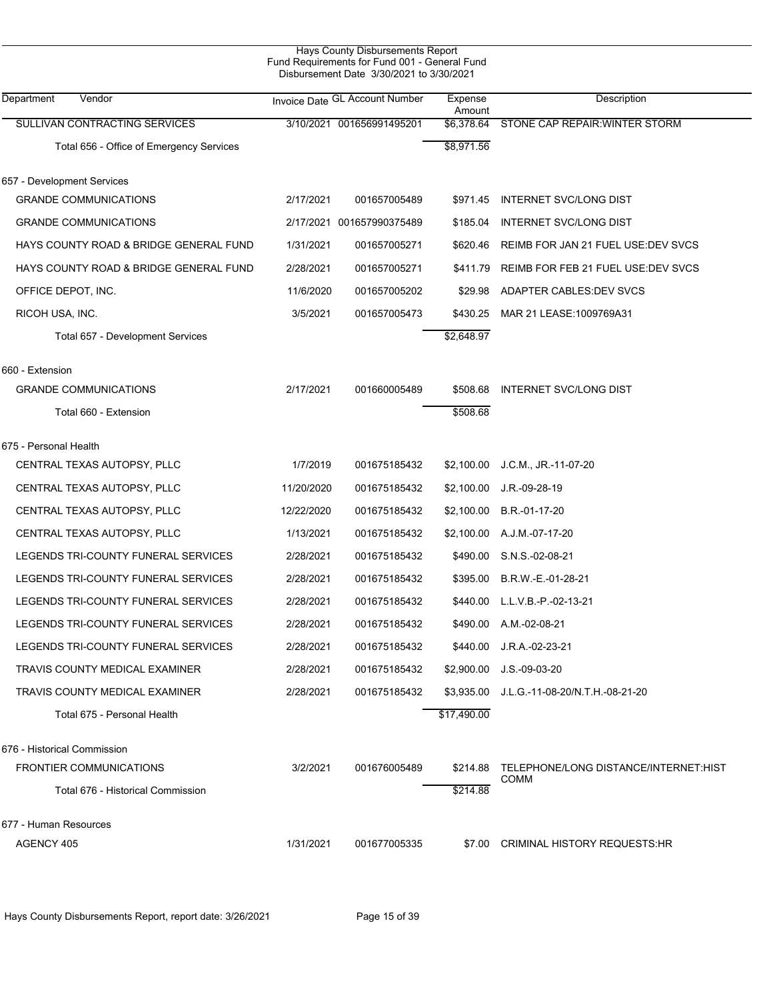| Hays County Disbursements Report<br>Fund Requirements for Fund 001 - General Fund<br>Disbursement Date 3/30/2021 to 3/30/2021 |            |                                |                   |                                                      |  |  |  |
|-------------------------------------------------------------------------------------------------------------------------------|------------|--------------------------------|-------------------|------------------------------------------------------|--|--|--|
| Department<br>Vendor                                                                                                          |            | Invoice Date GL Account Number | Expense<br>Amount | Description                                          |  |  |  |
| SULLIVAN CONTRACTING SERVICES                                                                                                 |            | 3/10/2021 001656991495201      |                   | \$6,378.64 STONE CAP REPAIR: WINTER STORM            |  |  |  |
| Total 656 - Office of Emergency Services                                                                                      |            |                                | \$8,971.56        |                                                      |  |  |  |
| 657 - Development Services                                                                                                    |            |                                |                   |                                                      |  |  |  |
| <b>GRANDE COMMUNICATIONS</b>                                                                                                  | 2/17/2021  | 001657005489                   | \$971.45          | INTERNET SVC/LONG DIST                               |  |  |  |
| <b>GRANDE COMMUNICATIONS</b>                                                                                                  |            | 2/17/2021 001657990375489      | \$185.04          | INTERNET SVC/LONG DIST                               |  |  |  |
| HAYS COUNTY ROAD & BRIDGE GENERAL FUND                                                                                        | 1/31/2021  | 001657005271                   | \$620.46          | REIMB FOR JAN 21 FUEL USE: DEV SVCS                  |  |  |  |
| HAYS COUNTY ROAD & BRIDGE GENERAL FUND                                                                                        | 2/28/2021  | 001657005271                   | \$411.79          | REIMB FOR FEB 21 FUEL USE: DEV SVCS                  |  |  |  |
| OFFICE DEPOT, INC.                                                                                                            | 11/6/2020  | 001657005202                   | \$29.98           | ADAPTER CABLES: DEV SVCS                             |  |  |  |
| RICOH USA, INC.                                                                                                               | 3/5/2021   | 001657005473                   | \$430.25          | MAR 21 LEASE: 1009769A31                             |  |  |  |
| Total 657 - Development Services                                                                                              |            |                                | \$2,648.97        |                                                      |  |  |  |
| 660 - Extension                                                                                                               |            |                                |                   |                                                      |  |  |  |
| <b>GRANDE COMMUNICATIONS</b>                                                                                                  | 2/17/2021  | 001660005489                   | \$508.68          | INTERNET SVC/LONG DIST                               |  |  |  |
| Total 660 - Extension                                                                                                         |            |                                | \$508.68          |                                                      |  |  |  |
| 675 - Personal Health                                                                                                         |            |                                |                   |                                                      |  |  |  |
| CENTRAL TEXAS AUTOPSY, PLLC                                                                                                   | 1/7/2019   | 001675185432                   | \$2,100.00        | J.C.M., JR.-11-07-20                                 |  |  |  |
| CENTRAL TEXAS AUTOPSY, PLLC                                                                                                   | 11/20/2020 | 001675185432                   | \$2,100.00        | $J.R. -09-28-19$                                     |  |  |  |
| CENTRAL TEXAS AUTOPSY, PLLC                                                                                                   | 12/22/2020 | 001675185432                   | \$2,100.00        | B.R.-01-17-20                                        |  |  |  |
| CENTRAL TEXAS AUTOPSY, PLLC                                                                                                   | 1/13/2021  | 001675185432                   | \$2,100.00        | A.J.M.-07-17-20                                      |  |  |  |
| LEGENDS TRI-COUNTY FUNERAL SERVICES                                                                                           | 2/28/2021  | 001675185432                   | \$490.00          | S.N.S.-02-08-21                                      |  |  |  |
| LEGENDS TRI-COUNTY FUNERAL SERVICES                                                                                           | 2/28/2021  | 001675185432                   | \$395.00          | B.R.W.-E.-01-28-21                                   |  |  |  |
| LEGENDS TRI-COUNTY FUNERAL SERVICES                                                                                           | 2/28/2021  | 001675185432                   | \$440.00          | L.L.V.B.-P.-02-13-21                                 |  |  |  |
| LEGENDS TRI-COUNTY FUNERAL SERVICES                                                                                           | 2/28/2021  | 001675185432                   |                   | \$490.00 A.M.-02-08-21                               |  |  |  |
| LEGENDS TRI-COUNTY FUNERAL SERVICES                                                                                           | 2/28/2021  | 001675185432                   | \$440.00          | J.R.A.-02-23-21                                      |  |  |  |
| TRAVIS COUNTY MEDICAL EXAMINER                                                                                                | 2/28/2021  | 001675185432                   | \$2,900.00        | $J.S.-09-03-20$                                      |  |  |  |
| TRAVIS COUNTY MEDICAL EXAMINER                                                                                                | 2/28/2021  | 001675185432                   |                   | \$3,935.00 J.L.G.-11-08-20/N.T.H.-08-21-20           |  |  |  |
| Total 675 - Personal Health                                                                                                   |            |                                | \$17,490.00       |                                                      |  |  |  |
| 676 - Historical Commission                                                                                                   |            |                                |                   |                                                      |  |  |  |
| <b>FRONTIER COMMUNICATIONS</b>                                                                                                | 3/2/2021   | 001676005489                   | \$214.88          | TELEPHONE/LONG DISTANCE/INTERNET:HIST<br><b>COMM</b> |  |  |  |
| Total 676 - Historical Commission                                                                                             |            |                                | \$214.88          |                                                      |  |  |  |
| 677 - Human Resources                                                                                                         |            |                                |                   |                                                      |  |  |  |
| AGENCY 405                                                                                                                    | 1/31/2021  | 001677005335                   | \$7.00            | CRIMINAL HISTORY REQUESTS:HR                         |  |  |  |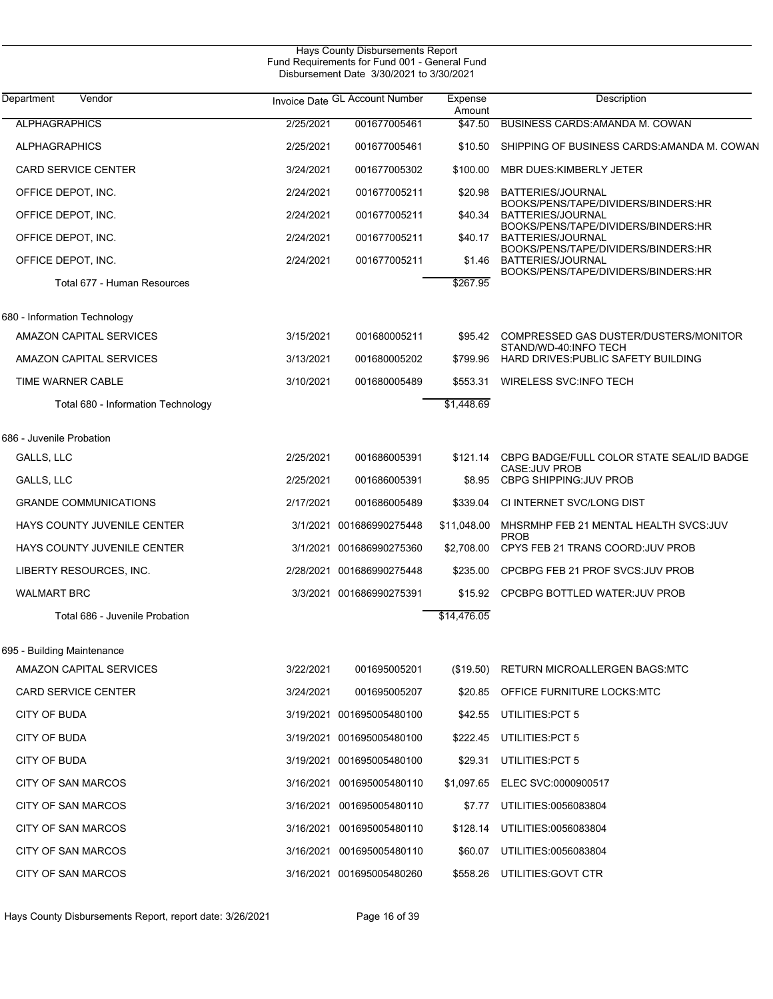| Hays County Disbursements Report<br>Fund Requirements for Fund 001 - General Fund<br>Disbursement Date 3/30/2021 to 3/30/2021 |           |                                |                   |                                                                  |  |  |
|-------------------------------------------------------------------------------------------------------------------------------|-----------|--------------------------------|-------------------|------------------------------------------------------------------|--|--|
| Department<br>Vendor                                                                                                          |           | Invoice Date GL Account Number | Expense<br>Amount | Description                                                      |  |  |
| <b>ALPHAGRAPHICS</b>                                                                                                          | 2/25/2021 | 001677005461                   | \$47.50           | BUSINESS CARDS: AMANDA M. COWAN                                  |  |  |
| <b>ALPHAGRAPHICS</b>                                                                                                          | 2/25/2021 | 001677005461                   | \$10.50           | SHIPPING OF BUSINESS CARDS AMANDA M. COWAN                       |  |  |
| <b>CARD SERVICE CENTER</b>                                                                                                    | 3/24/2021 | 001677005302                   | \$100.00          | MBR DUES: KIMBERLY JETER                                         |  |  |
| OFFICE DEPOT, INC.                                                                                                            | 2/24/2021 | 001677005211                   | \$20.98           | BATTERIES/JOURNAL                                                |  |  |
| OFFICE DEPOT, INC.                                                                                                            | 2/24/2021 | 001677005211                   |                   | BOOKS/PENS/TAPE/DIVIDERS/BINDERS:HR<br>\$40.34 BATTERIES/JOURNAL |  |  |
| OFFICE DEPOT, INC.                                                                                                            | 2/24/2021 | 001677005211                   |                   | BOOKS/PENS/TAPE/DIVIDERS/BINDERS:HR<br>\$40.17 BATTERIES/JOURNAL |  |  |
| OFFICE DEPOT, INC.                                                                                                            | 2/24/2021 | 001677005211                   |                   | BOOKS/PENS/TAPE/DIVIDERS/BINDERS:HR<br>\$1.46 BATTERIES/JOURNAL  |  |  |
| Total 677 - Human Resources                                                                                                   |           |                                | \$267.95          | BOOKS/PENS/TAPE/DIVIDERS/BINDERS:HR                              |  |  |
| 680 - Information Technology                                                                                                  |           |                                |                   |                                                                  |  |  |
| <b>AMAZON CAPITAL SERVICES</b>                                                                                                | 3/15/2021 | 001680005211                   | \$95.42           | COMPRESSED GAS DUSTER/DUSTERS/MONITOR<br>STAND/WD-40:INFO TECH   |  |  |
| AMAZON CAPITAL SERVICES                                                                                                       | 3/13/2021 | 001680005202                   |                   | \$799.96 HARD DRIVES: PUBLIC SAFETY BUILDING                     |  |  |
| TIME WARNER CABLE                                                                                                             | 3/10/2021 | 001680005489                   | \$553.31          | WIRELESS SVC: INFO TECH                                          |  |  |
| Total 680 - Information Technology                                                                                            |           |                                | \$1,448.69        |                                                                  |  |  |
| 686 - Juvenile Probation                                                                                                      |           |                                |                   |                                                                  |  |  |
| GALLS, LLC                                                                                                                    | 2/25/2021 | 001686005391                   | \$121.14          | CBPG BADGE/FULL COLOR STATE SEAL/ID BADGE<br>CASE: JUV PROB      |  |  |
| GALLS, LLC                                                                                                                    | 2/25/2021 | 001686005391                   |                   | \$8.95 CBPG SHIPPING: JUV PROB                                   |  |  |
| <b>GRANDE COMMUNICATIONS</b>                                                                                                  | 2/17/2021 | 001686005489                   | \$339.04          | CI INTERNET SVC/LONG DIST                                        |  |  |
| HAYS COUNTY JUVENILE CENTER                                                                                                   |           | 3/1/2021 001686990275448       | \$11,048.00       | MHSRMHP FEB 21 MENTAL HEALTH SVCS: JUV<br><b>PROB</b>            |  |  |
| HAYS COUNTY JUVENILE CENTER                                                                                                   |           | 3/1/2021 001686990275360       | \$2,708.00        | CPYS FEB 21 TRANS COORD: JUV PROB                                |  |  |
| LIBERTY RESOURCES, INC.                                                                                                       |           | 2/28/2021 001686990275448      | \$235.00          | CPCBPG FEB 21 PROF SVCS: JUV PROB                                |  |  |
| <b>WALMART BRC</b>                                                                                                            |           | 3/3/2021 001686990275391       |                   | \$15.92 CPCBPG BOTTLED WATER: JUV PROB                           |  |  |
| Total 686 - Juvenile Probation                                                                                                |           |                                | \$14,476.05       |                                                                  |  |  |
| 695 - Building Maintenance                                                                                                    |           |                                |                   |                                                                  |  |  |
| AMAZON CAPITAL SERVICES                                                                                                       | 3/22/2021 | 001695005201                   | (\$19.50)         | RETURN MICROALLERGEN BAGS:MTC                                    |  |  |
| <b>CARD SERVICE CENTER</b>                                                                                                    | 3/24/2021 | 001695005207                   | \$20.85           | OFFICE FURNITURE LOCKS MTC                                       |  |  |
| CITY OF BUDA                                                                                                                  |           | 3/19/2021 001695005480100      | \$42.55           | UTILITIES: PCT 5                                                 |  |  |
| CITY OF BUDA                                                                                                                  |           | 3/19/2021 001695005480100      | \$222.45          | UTILITIES: PCT 5                                                 |  |  |
| CITY OF BUDA                                                                                                                  |           | 3/19/2021 001695005480100      | \$29.31           | UTILITIES: PCT 5                                                 |  |  |
| CITY OF SAN MARCOS                                                                                                            |           | 3/16/2021 001695005480110      | \$1,097.65        | ELEC SVC:0000900517                                              |  |  |
| CITY OF SAN MARCOS                                                                                                            |           | 3/16/2021 001695005480110      | \$7.77            | UTILITIES:0056083804                                             |  |  |
| CITY OF SAN MARCOS                                                                                                            |           | 3/16/2021 001695005480110      | \$128.14          | UTILITIES:0056083804                                             |  |  |
| CITY OF SAN MARCOS                                                                                                            |           | 3/16/2021 001695005480110      | \$60.07           | UTILITIES:0056083804                                             |  |  |
| <b>CITY OF SAN MARCOS</b>                                                                                                     |           | 3/16/2021 001695005480260      | \$558.26          | UTILITIES: GOVT CTR                                              |  |  |

Hays County Disbursements Report, report date: 3/26/2021 Page 16 of 39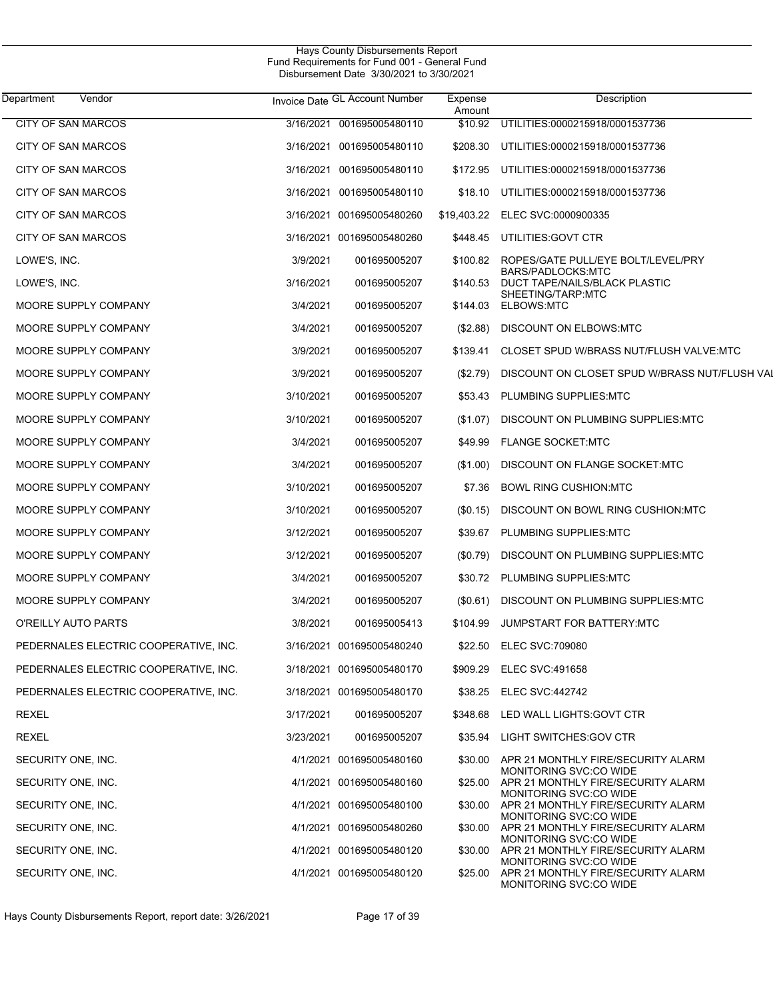| Department<br>Vendor                  |           | Invoice Date GL Account Number | Expense<br>Amount | Description                                                  |
|---------------------------------------|-----------|--------------------------------|-------------------|--------------------------------------------------------------|
| <b>CITY OF SAN MARCOS</b>             | 3/16/2021 | 001695005480110                | \$10.92           | UTILITIES:0000215918/0001537736                              |
| CITY OF SAN MARCOS                    |           | 3/16/2021 001695005480110      | \$208.30          | UTILITIES:0000215918/0001537736                              |
| <b>CITY OF SAN MARCOS</b>             | 3/16/2021 | 001695005480110                | \$172.95          | UTILITIES:0000215918/0001537736                              |
| CITY OF SAN MARCOS                    |           | 3/16/2021 001695005480110      |                   | \$18.10 UTILITIES:0000215918/0001537736                      |
| <b>CITY OF SAN MARCOS</b>             |           | 3/16/2021 001695005480260      |                   | \$19,403.22 ELEC SVC:0000900335                              |
| CITY OF SAN MARCOS                    |           | 3/16/2021 001695005480260      | \$448.45          | UTILITIES:GOVT CTR                                           |
| LOWE'S, INC.                          | 3/9/2021  | 001695005207                   | \$100.82          | ROPES/GATE PULL/EYE BOLT/LEVEL/PRY                           |
| LOWE'S, INC.                          | 3/16/2021 | 001695005207                   | \$140.53          | BARS/PADLOCKS:MTC<br>DUCT TAPE/NAILS/BLACK PLASTIC           |
| MOORE SUPPLY COMPANY                  | 3/4/2021  | 001695005207                   | \$144.03          | SHEETING/TARP.MTC<br>ELBOWS:MTC                              |
| MOORE SUPPLY COMPANY                  | 3/4/2021  | 001695005207                   | (\$2.88)          | DISCOUNT ON ELBOWS:MTC                                       |
| MOORE SUPPLY COMPANY                  | 3/9/2021  | 001695005207                   | \$139.41          | CLOSET SPUD W/BRASS NUT/FLUSH VALVE:MTC                      |
| MOORE SUPPLY COMPANY                  | 3/9/2021  | 001695005207                   | (\$2.79)          | DISCOUNT ON CLOSET SPUD W/BRASS NUT/FLUSH VAI                |
| MOORE SUPPLY COMPANY                  | 3/10/2021 | 001695005207                   | \$53.43           | PLUMBING SUPPLIES: MTC                                       |
| MOORE SUPPLY COMPANY                  | 3/10/2021 | 001695005207                   | (\$1.07)          | DISCOUNT ON PLUMBING SUPPLIES MTC                            |
| MOORE SUPPLY COMPANY                  | 3/4/2021  | 001695005207                   | \$49.99           | <b>FLANGE SOCKET:MTC</b>                                     |
| MOORE SUPPLY COMPANY                  | 3/4/2021  | 001695005207                   | (\$1.00)          | DISCOUNT ON FLANGE SOCKET MTC                                |
| MOORE SUPPLY COMPANY                  | 3/10/2021 | 001695005207                   | \$7.36            | <b>BOWL RING CUSHION: MTC</b>                                |
| MOORE SUPPLY COMPANY                  | 3/10/2021 | 001695005207                   | (S0.15)           | DISCOUNT ON BOWL RING CUSHION:MTC                            |
| MOORE SUPPLY COMPANY                  | 3/12/2021 | 001695005207                   | \$39.67           | PLUMBING SUPPLIES MTC                                        |
| MOORE SUPPLY COMPANY                  | 3/12/2021 | 001695005207                   | $($ \$0.79)       | DISCOUNT ON PLUMBING SUPPLIES MTC                            |
| MOORE SUPPLY COMPANY                  | 3/4/2021  | 001695005207                   | \$30.72           | PLUMBING SUPPLIES:MTC                                        |
| MOORE SUPPLY COMPANY                  | 3/4/2021  | 001695005207                   | (S0.61)           | DISCOUNT ON PLUMBING SUPPLIES MTC                            |
| O'REILLY AUTO PARTS                   | 3/8/2021  | 001695005413                   | \$104.99          | JUMPSTART FOR BATTERY:MTC                                    |
| PEDERNALES ELECTRIC COOPERATIVE, INC. |           | 3/16/2021 001695005480240      |                   | \$22.50 ELEC SVC:709080                                      |
| PEDERNALES ELECTRIC COOPERATIVE, INC. |           | 3/18/2021 001695005480170      |                   | \$909.29 ELEC SVC:491658                                     |
| PEDERNALES ELECTRIC COOPERATIVE, INC. |           | 3/18/2021 001695005480170      |                   | \$38.25 ELEC SVC:442742                                      |
| <b>REXEL</b>                          | 3/17/2021 | 001695005207                   |                   | \$348.68 LED WALL LIGHTS:GOVT CTR                            |
| REXEL                                 | 3/23/2021 | 001695005207                   |                   | \$35.94 LIGHT SWITCHES:GOV CTR                               |
| SECURITY ONE, INC.                    |           | 4/1/2021 001695005480160       | \$30.00           | APR 21 MONTHLY FIRE/SECURITY ALARM<br>MONITORING SVC:CO WIDE |
| SECURITY ONE, INC.                    |           | 4/1/2021 001695005480160       | \$25.00           | APR 21 MONTHLY FIRE/SECURITY ALARM<br>MONITORING SVC:CO WIDE |
| SECURITY ONE, INC.                    |           | 4/1/2021 001695005480100       | \$30.00           | APR 21 MONTHLY FIRE/SECURITY ALARM<br>MONITORING SVC:CO WIDE |
| SECURITY ONE, INC.                    |           | 4/1/2021 001695005480260       | \$30.00           | APR 21 MONTHLY FIRE/SECURITY ALARM<br>MONITORING SVC:CO WIDE |
| SECURITY ONE, INC.                    |           | 4/1/2021 001695005480120       | \$30.00           | APR 21 MONTHLY FIRE/SECURITY ALARM<br>MONITORING SVC:CO WIDE |
| SECURITY ONE, INC.                    |           | 4/1/2021 001695005480120       | \$25.00           | APR 21 MONTHLY FIRE/SECURITY ALARM<br>MONITORING SVC:CO WIDE |
|                                       |           |                                |                   |                                                              |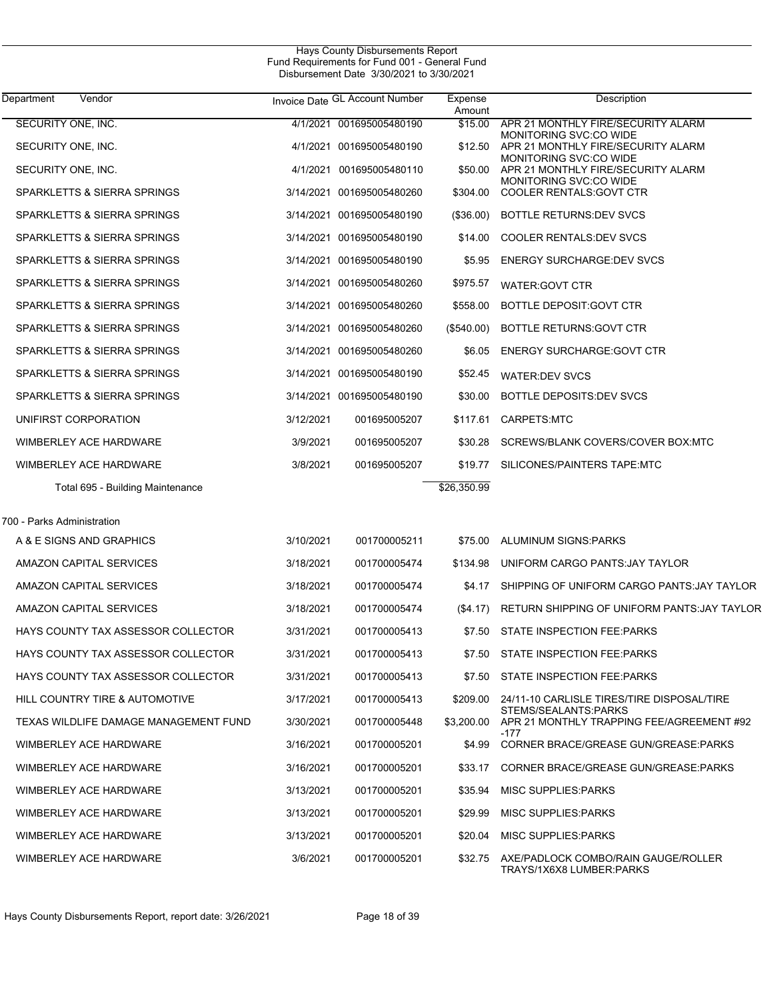| Department<br>Vendor                  |           | Invoice Date GL Account Number | Expense<br>Amount | Description                                                                 |
|---------------------------------------|-----------|--------------------------------|-------------------|-----------------------------------------------------------------------------|
| SECURITY ONE, INC.                    |           | 4/1/2021 001695005480190       | \$15.00           | APR 21 MONTHLY FIRE/SECURITY ALARM<br>MONITORING SVC:CO WIDE                |
| SECURITY ONE, INC.                    |           | 4/1/2021 001695005480190       |                   | \$12.50 APR 21 MONTHLY FIRE/SECURITY ALARM<br><b>MONITORING SVC:CO WIDE</b> |
| SECURITY ONE, INC.                    |           | 4/1/2021 001695005480110       | \$50.00           | APR 21 MONTHLY FIRE/SECURITY ALARM<br><b>MONITORING SVC:CO WIDE</b>         |
| SPARKLETTS & SIERRA SPRINGS           |           | 3/14/2021 001695005480260      | \$304.00          | <b>COOLER RENTALS: GOVT CTR</b>                                             |
| SPARKLETTS & SIERRA SPRINGS           |           | 3/14/2021 001695005480190      | $($ \$36.00)      | BOTTLE RETURNS: DEV SVCS                                                    |
| SPARKLETTS & SIERRA SPRINGS           |           | 3/14/2021 001695005480190      | \$14.00           | <b>COOLER RENTALS: DEV SVCS</b>                                             |
| SPARKLETTS & SIERRA SPRINGS           |           | 3/14/2021 001695005480190      | \$5.95            | <b>ENERGY SURCHARGE DEV SVCS</b>                                            |
| SPARKLETTS & SIERRA SPRINGS           |           | 3/14/2021 001695005480260      | \$975.57          | WATER: GOVT CTR                                                             |
| SPARKLETTS & SIERRA SPRINGS           |           | 3/14/2021 001695005480260      | \$558.00          | BOTTLE DEPOSIT: GOVT CTR                                                    |
| SPARKLETTS & SIERRA SPRINGS           |           | 3/14/2021 001695005480260      | $(\$540.00)$      | BOTTLE RETURNS: GOVT CTR                                                    |
| SPARKLETTS & SIERRA SPRINGS           |           | 3/14/2021 001695005480260      | \$6.05            | <b>ENERGY SURCHARGE: GOVT CTR</b>                                           |
| SPARKLETTS & SIERRA SPRINGS           |           | 3/14/2021 001695005480190      | \$52.45           | <b>WATER:DEV SVCS</b>                                                       |
| SPARKLETTS & SIERRA SPRINGS           |           | 3/14/2021 001695005480190      | \$30.00           | BOTTLE DEPOSITS: DEV SVCS                                                   |
| UNIFIRST CORPORATION                  | 3/12/2021 | 001695005207                   |                   | \$117.61 CARPETS.MTC                                                        |
| WIMBERLEY ACE HARDWARE                | 3/9/2021  | 001695005207                   | \$30.28           | SCREWS/BLANK COVERS/COVER BOX:MTC                                           |
| WIMBERLEY ACE HARDWARE                | 3/8/2021  | 001695005207                   | \$19.77           | SILICONES/PAINTERS TAPE:MTC                                                 |
| Total 695 - Building Maintenance      |           |                                | \$26,350.99       |                                                                             |
| 700 - Parks Administration            |           |                                |                   |                                                                             |
| A & E SIGNS AND GRAPHICS              | 3/10/2021 | 001700005211                   | \$75.00           | ALUMINUM SIGNS PARKS                                                        |
| AMAZON CAPITAL SERVICES               | 3/18/2021 | 001700005474                   | \$134.98          | UNIFORM CARGO PANTS: JAY TAYLOR                                             |
| AMAZON CAPITAL SERVICES               | 3/18/2021 | 001700005474                   | \$4.17            | SHIPPING OF UNIFORM CARGO PANTS: JAY TAYLOR                                 |
| AMAZON CAPITAL SERVICES               | 3/18/2021 | 001700005474                   | (S4.17)           | RETURN SHIPPING OF UNIFORM PANTS: JAY TAYLOR                                |
| HAYS COUNTY TAX ASSESSOR COLLECTOR    | 3/31/2021 | 001700005413                   |                   | \$7.50 STATE INSPECTION FEE PARKS                                           |
| HAYS COUNTY TAX ASSESSOR COLLECTOR    | 3/31/2021 | 001700005413                   |                   | \$7.50 STATE INSPECTION FEE PARKS                                           |
| HAYS COUNTY TAX ASSESSOR COLLECTOR    | 3/31/2021 | 001700005413                   |                   | \$7.50 STATE INSPECTION FEE PARKS                                           |
| HILL COUNTRY TIRE & AUTOMOTIVE        | 3/17/2021 | 001700005413                   |                   | \$209.00 24/11-10 CARLISLE TIRES/TIRE DISPOSAL/TIRE                         |
| TEXAS WILDLIFE DAMAGE MANAGEMENT FUND | 3/30/2021 | 001700005448                   | \$3,200.00        | STEMS/SEALANTS:PARKS<br>APR 21 MONTHLY TRAPPING FEE/AGREEMENT #92           |
| WIMBERLEY ACE HARDWARE                | 3/16/2021 | 001700005201                   | \$4.99            | -177<br>CORNER BRACE/GREASE GUN/GREASE: PARKS                               |
| WIMBERLEY ACE HARDWARE                | 3/16/2021 | 001700005201                   |                   | \$33.17 CORNER BRACE/GREASE GUN/GREASE:PARKS                                |
| WIMBERLEY ACE HARDWARE                | 3/13/2021 | 001700005201                   | \$35.94           | <b>MISC SUPPLIES PARKS</b>                                                  |
| WIMBERLEY ACE HARDWARE                | 3/13/2021 | 001700005201                   | \$29.99           | <b>MISC SUPPLIES PARKS</b>                                                  |
| WIMBERLEY ACE HARDWARE                | 3/13/2021 | 001700005201                   | \$20.04           | MISC SUPPLIES:PARKS                                                         |
| WIMBERLEY ACE HARDWARE                | 3/6/2021  | 001700005201                   |                   | \$32.75 AXE/PADLOCK COMBO/RAIN GAUGE/ROLLER<br>TRAYS/1X6X8 LUMBER:PARKS     |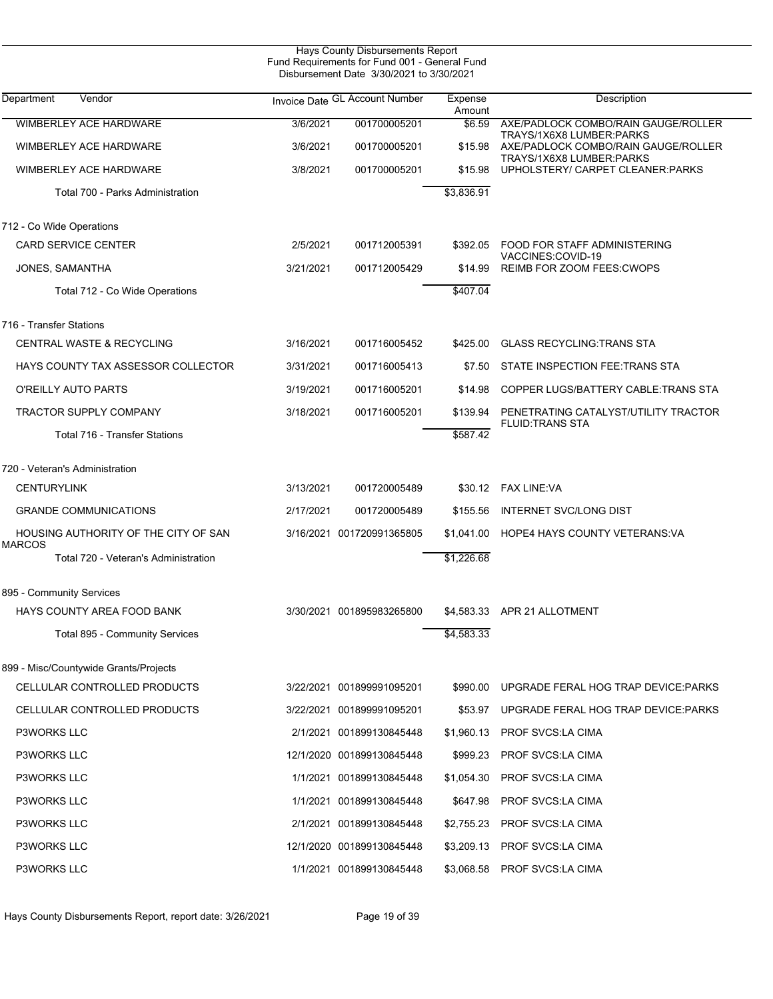| <b>Hays County Disbursements Report</b><br>Fund Requirements for Fund 001 - General Fund<br>Disbursement Date 3/30/2021 to 3/30/2021 |           |                                |                   |                                                                 |  |  |  |
|--------------------------------------------------------------------------------------------------------------------------------------|-----------|--------------------------------|-------------------|-----------------------------------------------------------------|--|--|--|
| Department<br>Vendor                                                                                                                 |           | Invoice Date GL Account Number | Expense<br>Amount | Description                                                     |  |  |  |
| <b>WIMBERLEY ACE HARDWARE</b>                                                                                                        | 3/6/2021  | 001700005201                   | \$6.59            | AXE/PADLOCK COMBO/RAIN GAUGE/ROLLER                             |  |  |  |
| <b>WIMBERLEY ACE HARDWARE</b>                                                                                                        | 3/6/2021  | 001700005201                   | \$15.98           | TRAYS/1X6X8 LUMBER:PARKS<br>AXE/PADLOCK COMBO/RAIN GAUGE/ROLLER |  |  |  |
| WIMBERLEY ACE HARDWARE                                                                                                               | 3/8/2021  | 001700005201                   | \$15.98           | TRAYS/1X6X8 LUMBER:PARKS<br>UPHOLSTERY/ CARPET CLEANER: PARKS   |  |  |  |
| Total 700 - Parks Administration                                                                                                     |           |                                | \$3,836.91        |                                                                 |  |  |  |
| 712 - Co Wide Operations                                                                                                             |           |                                |                   |                                                                 |  |  |  |
| <b>CARD SERVICE CENTER</b>                                                                                                           | 2/5/2021  | 001712005391                   | \$392.05          | FOOD FOR STAFF ADMINISTERING                                    |  |  |  |
| JONES, SAMANTHA                                                                                                                      | 3/21/2021 | 001712005429                   | \$14.99           | VACCINES:COVID-19<br>REIMB FOR ZOOM FEES: CWOPS                 |  |  |  |
| Total 712 - Co Wide Operations                                                                                                       |           |                                | \$407.04          |                                                                 |  |  |  |
| 716 - Transfer Stations                                                                                                              |           |                                |                   |                                                                 |  |  |  |
| <b>CENTRAL WASTE &amp; RECYCLING</b>                                                                                                 | 3/16/2021 | 001716005452                   | \$425.00          | <b>GLASS RECYCLING TRANS STA</b>                                |  |  |  |
| HAYS COUNTY TAX ASSESSOR COLLECTOR                                                                                                   | 3/31/2021 | 001716005413                   | \$7.50            | STATE INSPECTION FEE.TRANS STA                                  |  |  |  |
| O'REILLY AUTO PARTS                                                                                                                  | 3/19/2021 | 001716005201                   | \$14.98           | COPPER LUGS/BATTERY CABLE: TRANS STA                            |  |  |  |
| TRACTOR SUPPLY COMPANY                                                                                                               | 3/18/2021 | 001716005201                   | \$139.94          | PENETRATING CATALYST/UTILITY TRACTOR                            |  |  |  |
| Total 716 - Transfer Stations                                                                                                        |           |                                | \$587.42          | <b>FLUID TRANS STA</b>                                          |  |  |  |
| 720 - Veteran's Administration                                                                                                       |           |                                |                   |                                                                 |  |  |  |
| <b>CENTURYLINK</b>                                                                                                                   | 3/13/2021 | 001720005489                   | \$30.12           | FAX LINE:VA                                                     |  |  |  |
| <b>GRANDE COMMUNICATIONS</b>                                                                                                         | 2/17/2021 | 001720005489                   | \$155.56          | <b>INTERNET SVC/LONG DIST</b>                                   |  |  |  |
| HOUSING AUTHORITY OF THE CITY OF SAN<br>MARCOS                                                                                       |           | 3/16/2021 001720991365805      | \$1,041.00        | HOPE4 HAYS COUNTY VETERANS VA                                   |  |  |  |
| Total 720 - Veteran's Administration                                                                                                 |           |                                | \$1,226.68        |                                                                 |  |  |  |
| 895 - Community Services                                                                                                             |           |                                |                   |                                                                 |  |  |  |
| HAYS COUNTY AREA FOOD BANK                                                                                                           |           | 3/30/2021 001895983265800      |                   | \$4,583.33 APR 21 ALLOTMENT                                     |  |  |  |
| Total 895 - Community Services                                                                                                       |           |                                | \$4,583.33        |                                                                 |  |  |  |
| 899 - Misc/Countywide Grants/Projects                                                                                                |           |                                |                   |                                                                 |  |  |  |
| CELLULAR CONTROLLED PRODUCTS                                                                                                         |           | 3/22/2021 001899991095201      | \$990.00          | UPGRADE FERAL HOG TRAP DEVICE: PARKS                            |  |  |  |
| CELLULAR CONTROLLED PRODUCTS                                                                                                         |           | 3/22/2021 001899991095201      | \$53.97           | UPGRADE FERAL HOG TRAP DEVICE: PARKS                            |  |  |  |
| <b>P3WORKS LLC</b>                                                                                                                   |           | 2/1/2021 001899130845448       | \$1,960.13        | PROF SVCS.LA CIMA                                               |  |  |  |
| P3WORKS LLC                                                                                                                          |           | 12/1/2020 001899130845448      | \$999.23          | PROF SVCS:LA CIMA                                               |  |  |  |
| P3WORKS LLC                                                                                                                          |           | 1/1/2021 001899130845448       | \$1,054.30        | PROF SVCS:LA CIMA                                               |  |  |  |
| P3WORKS LLC                                                                                                                          |           | 1/1/2021 001899130845448       | \$647.98          | PROF SVCS:LA CIMA                                               |  |  |  |
| P3WORKS LLC                                                                                                                          |           | 2/1/2021 001899130845448       | \$2,755.23        | PROF SVCS.LA CIMA                                               |  |  |  |
| P3WORKS LLC                                                                                                                          |           | 12/1/2020 001899130845448      | \$3,209.13        | PROF SVCS:LA CIMA                                               |  |  |  |
| P3WORKS LLC                                                                                                                          |           | 1/1/2021 001899130845448       | \$3,068.58        | PROF SVCS:LA CIMA                                               |  |  |  |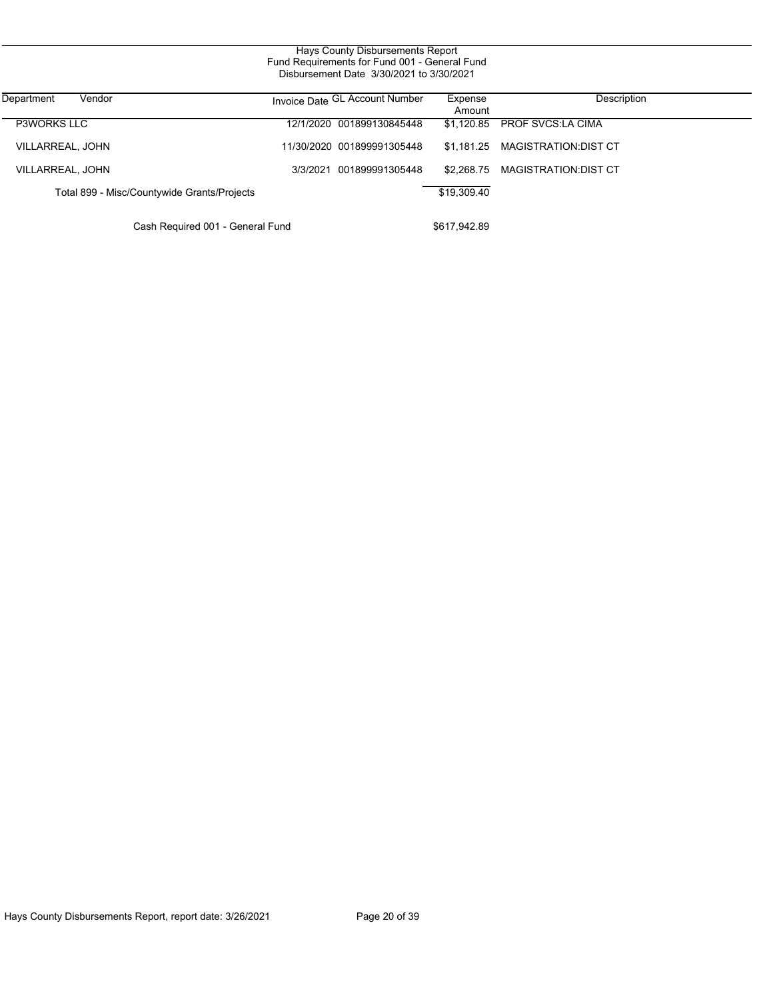| Department<br>Vendor                        | Invoice Date GL Account Number | Expense<br>Amount | Description                     |
|---------------------------------------------|--------------------------------|-------------------|---------------------------------|
| <b>P3WORKS LLC</b>                          | 12/1/2020 001899130845448      |                   | \$1,120.85 PROF SVCS LA CIMA    |
| VILLARREAL, JOHN                            | 11/30/2020 001899991305448     |                   | \$1,181.25 MAGISTRATION:DIST CT |
| VILLARREAL, JOHN                            | 3/3/2021 001899991305448       |                   | \$2.268.75 MAGISTRATION:DIST CT |
| Total 899 - Misc/Countywide Grants/Projects |                                | \$19,309.40       |                                 |

Cash Required 001 - General Fund \$617,942.89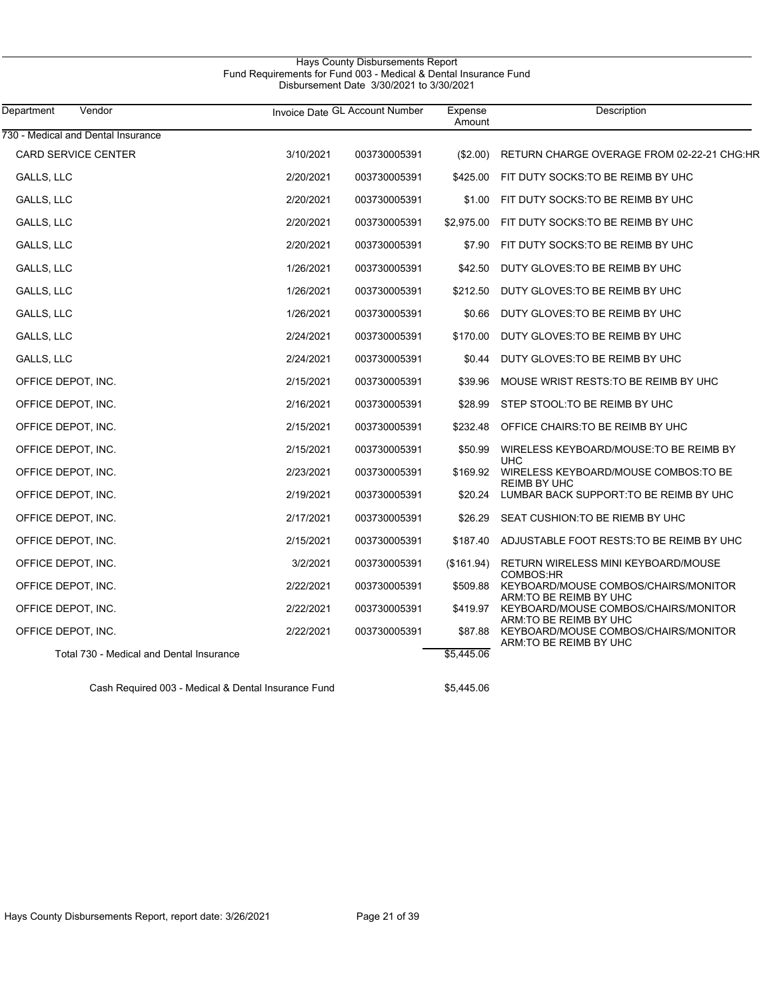# Hays County Disbursements Report Fund Requirements for Fund 003 - Medical & Dental Insurance Fund Disbursement Date 3/30/2021 to 3/30/2021

| Department<br>Vendor                     |           | Invoice Date GL Account Number | Expense<br>Amount | Description                                                     |
|------------------------------------------|-----------|--------------------------------|-------------------|-----------------------------------------------------------------|
| 730 - Medical and Dental Insurance       |           |                                |                   |                                                                 |
| CARD SERVICE CENTER                      | 3/10/2021 | 003730005391                   | $(\$2.00)$        | RETURN CHARGE OVERAGE FROM 02-22-21 CHG:HR                      |
| GALLS, LLC                               | 2/20/2021 | 003730005391                   | \$425.00          | FIT DUTY SOCKS TO BE REIMB BY UHC                               |
| GALLS, LLC                               | 2/20/2021 | 003730005391                   | \$1.00            | FIT DUTY SOCKS TO BE REIMB BY UHC                               |
| GALLS, LLC                               | 2/20/2021 | 003730005391                   | \$2,975.00        | FIT DUTY SOCKS TO BE REIMB BY UHC                               |
| GALLS, LLC                               | 2/20/2021 | 003730005391                   | \$7.90            | FIT DUTY SOCKS TO BE REIMB BY UHC                               |
| GALLS, LLC                               | 1/26/2021 | 003730005391                   | \$42.50           | DUTY GLOVES: TO BE REIMB BY UHC                                 |
| GALLS, LLC                               | 1/26/2021 | 003730005391                   | \$212.50          | DUTY GLOVES: TO BE REIMB BY UHC                                 |
| GALLS, LLC                               | 1/26/2021 | 003730005391                   | \$0.66            | DUTY GLOVES: TO BE REIMB BY UHC                                 |
| GALLS, LLC                               | 2/24/2021 | 003730005391                   | \$170.00          | DUTY GLOVES: TO BE REIMB BY UHC                                 |
| GALLS, LLC                               | 2/24/2021 | 003730005391                   | \$0.44            | DUTY GLOVES: TO BE REIMB BY UHC                                 |
| OFFICE DEPOT, INC.                       | 2/15/2021 | 003730005391                   | \$39.96           | MOUSE WRIST RESTS: TO BE REIMB BY UHC                           |
| OFFICE DEPOT, INC.                       | 2/16/2021 | 003730005391                   | \$28.99           | STEP STOOL: TO BE REIMB BY UHC                                  |
| OFFICE DEPOT, INC.                       | 2/15/2021 | 003730005391                   | \$232.48          | OFFICE CHAIRS TO BE REIMB BY UHC                                |
| OFFICE DEPOT, INC.                       | 2/15/2021 | 003730005391                   | \$50.99           | WIRELESS KEYBOARD/MOUSE: TO BE REIMB BY                         |
| OFFICE DEPOT, INC.                       | 2/23/2021 | 003730005391                   | \$169.92          | <b>UHC</b><br>WIRELESS KEYBOARD/MOUSE COMBOS: TO BE             |
| OFFICE DEPOT, INC.                       | 2/19/2021 | 003730005391                   | \$20.24           | <b>REIMB BY UHC</b><br>LUMBAR BACK SUPPORT: TO BE REIMB BY UHC  |
| OFFICE DEPOT, INC.                       | 2/17/2021 | 003730005391                   | \$26.29           | SEAT CUSHION: TO BE RIEMB BY UHC                                |
| OFFICE DEPOT, INC.                       | 2/15/2021 | 003730005391                   | \$187.40          | ADJUSTABLE FOOT RESTS TO BE REIMB BY UHC                        |
| OFFICE DEPOT, INC.                       | 3/2/2021  | 003730005391                   | (\$161.94)        | RETURN WIRELESS MINI KEYBOARD/MOUSE                             |
| OFFICE DEPOT, INC.                       | 2/22/2021 | 003730005391                   | \$509.88          | COMBOS:HR<br>KEYBOARD/MOUSE COMBOS/CHAIRS/MONITOR               |
| OFFICE DEPOT, INC.                       | 2/22/2021 | 003730005391                   | \$419.97          | ARM: TO BE REIMB BY UHC<br>KEYBOARD/MOUSE COMBOS/CHAIRS/MONITOR |
| OFFICE DEPOT, INC.                       | 2/22/2021 | 003730005391                   | \$87.88           | ARM: TO BE REIMB BY UHC<br>KEYBOARD/MOUSE COMBOS/CHAIRS/MONITOR |
| Total 730 - Medical and Dental Insurance |           |                                | \$5,445.06        | ARM: TO BE REIMB BY UHC                                         |

Cash Required 003 - Medical & Dental Insurance Fund \$5,445.06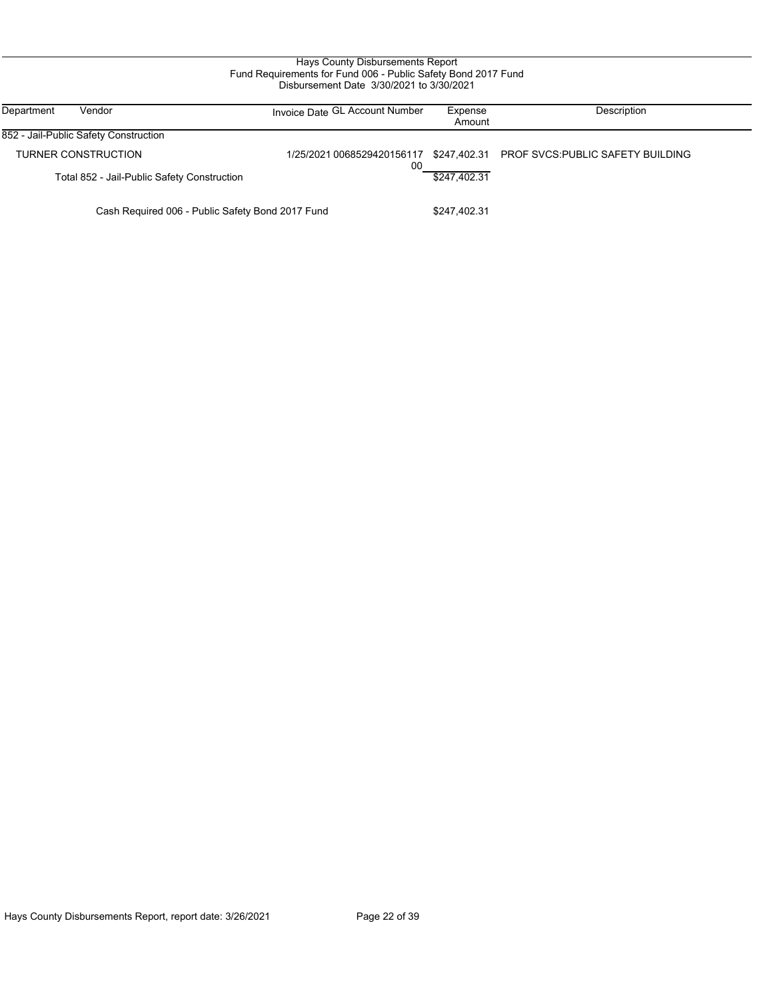## Hays County Disbursements Report Fund Requirements for Fund 006 - Public Safety Bond 2017 Fund Disbursement Date 3/30/2021 to 3/30/2021

| Department<br>Vendor                                             | Invoice Date GL Account Number | Expense<br>Amount | Description                                                               |
|------------------------------------------------------------------|--------------------------------|-------------------|---------------------------------------------------------------------------|
| 852 - Jail-Public Safety Construction                            |                                |                   |                                                                           |
| TURNER CONSTRUCTION                                              | 00                             |                   | 1/25/2021 0068529420156117 \$247,402.31 PROF SVCS: PUBLIC SAFETY BUILDING |
| Total 852 - Jail-Public Safety Construction                      |                                | \$247.402.31      |                                                                           |
| Cash Required 006 - Public Safety Bond 2017 Fund<br>\$247,402.31 |                                |                   |                                                                           |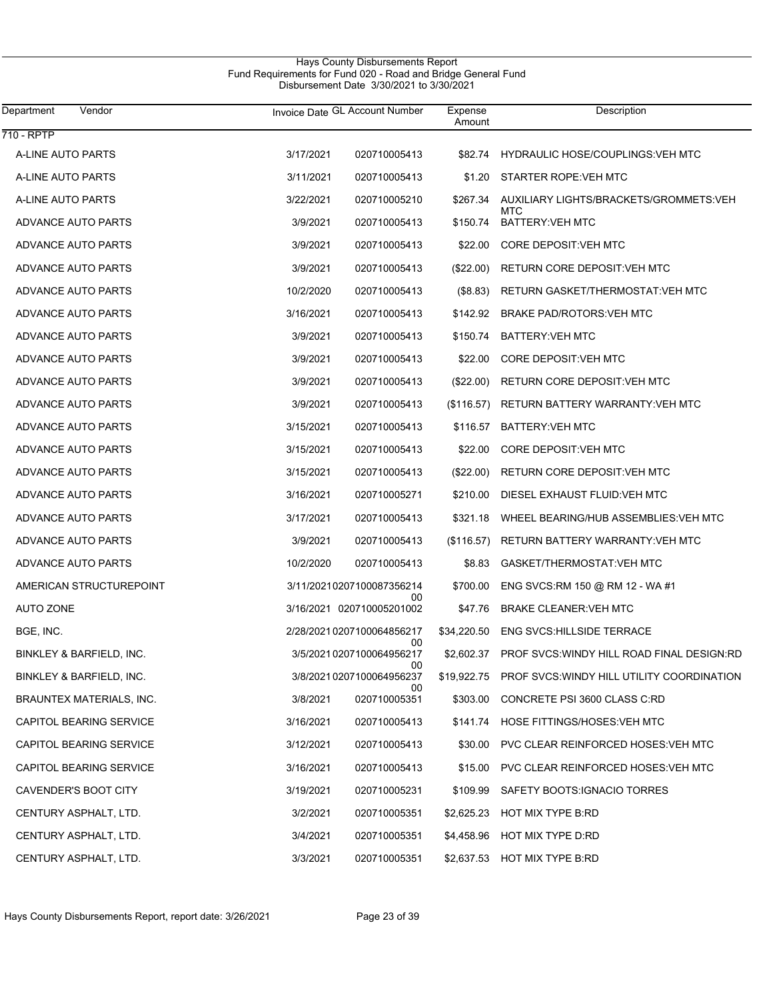| Department<br>Vendor            | Invoice Date GL Account Number   | Expense<br>Amount | Description                                            |  |
|---------------------------------|----------------------------------|-------------------|--------------------------------------------------------|--|
| 710 - RPTP                      |                                  |                   |                                                        |  |
| A-LINE AUTO PARTS               | 3/17/2021<br>020710005413        | \$82.74           | HYDRAULIC HOSE/COUPLINGS: VEH MTC                      |  |
| A-LINE AUTO PARTS               | 3/11/2021<br>020710005413        | \$1.20            | STARTER ROPE: VEH MTC                                  |  |
| A-LINE AUTO PARTS               | 3/22/2021<br>020710005210        | \$267.34          | AUXILIARY LIGHTS/BRACKETS/GROMMETS:VEH<br><b>MTC</b>   |  |
| ADVANCE AUTO PARTS              | 3/9/2021<br>020710005413         | \$150.74          | <b>BATTERY: VEH MTC</b>                                |  |
| ADVANCE AUTO PARTS              | 3/9/2021<br>020710005413         | \$22.00           | CORE DEPOSIT: VEH MTC                                  |  |
| ADVANCE AUTO PARTS              | 3/9/2021<br>020710005413         | $(\$22.00)$       | RETURN CORE DEPOSIT: VEH MTC                           |  |
| ADVANCE AUTO PARTS              | 10/2/2020<br>020710005413        | (\$8.83)          | RETURN GASKET/THERMOSTAT: VEH MTC                      |  |
| ADVANCE AUTO PARTS              | 3/16/2021<br>020710005413        | \$142.92          | BRAKE PAD/ROTORS: VEH MTC                              |  |
| ADVANCE AUTO PARTS              | 3/9/2021<br>020710005413         | \$150.74          | BATTERY: VEH MTC                                       |  |
| ADVANCE AUTO PARTS              | 3/9/2021<br>020710005413         | \$22.00           | CORE DEPOSIT: VEH MTC                                  |  |
| ADVANCE AUTO PARTS              | 3/9/2021<br>020710005413         | $(\$22.00)$       | RETURN CORE DEPOSIT: VEH MTC                           |  |
| ADVANCE AUTO PARTS              | 3/9/2021<br>020710005413         | (\$116.57)        | RETURN BATTERY WARRANTY VEH MTC                        |  |
| ADVANCE AUTO PARTS              | 3/15/2021<br>020710005413        | \$116.57          | BATTERY: VEH MTC                                       |  |
| ADVANCE AUTO PARTS              | 3/15/2021<br>020710005413        | \$22.00           | CORE DEPOSIT: VEH MTC                                  |  |
| ADVANCE AUTO PARTS              | 3/15/2021<br>020710005413        | $(\$22.00)$       | RETURN CORE DEPOSIT: VEH MTC                           |  |
| ADVANCE AUTO PARTS              | 3/16/2021<br>020710005271        | \$210.00          | DIESEL EXHAUST FLUID: VEH MTC                          |  |
| ADVANCE AUTO PARTS              | 3/17/2021<br>020710005413        | \$321.18          | WHEEL BEARING/HUB ASSEMBLIES: VEH MTC                  |  |
| ADVANCE AUTO PARTS              | 3/9/2021<br>020710005413         | (\$116.57)        | RETURN BATTERY WARRANTY: VEH MTC                       |  |
| ADVANCE AUTO PARTS              | 10/2/2020<br>020710005413        | \$8.83            | GASKET/THERMOSTAT: VEH MTC                             |  |
| AMERICAN STRUCTUREPOINT         | 3/11/20210207100087356214<br>00  | \$700.00          | ENG SVCS:RM 150 @ RM 12 - WA #1                        |  |
| <b>AUTO ZONE</b>                | 3/16/2021 020710005201002        | \$47.76           | <b>BRAKE CLEANER: VEH MTC</b>                          |  |
| BGE, INC.                       | 2/28/2021 0207100064856217<br>00 | \$34,220.50       | <b>ENG SVCS: HILLSIDE TERRACE</b>                      |  |
| BINKLEY & BARFIELD, INC.        | 3/5/2021 0207100064956217<br>00  |                   | \$2,602.37 PROF SVCS: WINDY HILL ROAD FINAL DESIGN: RD |  |
| BINKLEY & BARFIELD, INC.        | 3/8/2021 0207100064956237<br>00  | \$19,922.75       | PROF SVCS: WINDY HILL UTILITY COORDINATION             |  |
| <b>BRAUNTEX MATERIALS, INC.</b> | 020710005351<br>3/8/2021         | \$303.00          | CONCRETE PSI 3600 CLASS C:RD                           |  |
| CAPITOL BEARING SERVICE         | 3/16/2021<br>020710005413        |                   | \$141.74 HOSE FITTINGS/HOSES: VEH MTC                  |  |
| CAPITOL BEARING SERVICE         | 3/12/2021<br>020710005413        | \$30.00           | PVC CLEAR REINFORCED HOSES: VEH MTC                    |  |
| CAPITOL BEARING SERVICE         | 3/16/2021<br>020710005413        | \$15.00           | PVC CLEAR REINFORCED HOSES: VEH MTC                    |  |
| CAVENDER'S BOOT CITY            | 3/19/2021<br>020710005231        | \$109.99          | SAFETY BOOTS: IGNACIO TORRES                           |  |
| CENTURY ASPHALT, LTD.           | 3/2/2021<br>020710005351         | \$2,625.23        | HOT MIX TYPE B:RD                                      |  |
| CENTURY ASPHALT, LTD.           | 3/4/2021<br>020710005351         | \$4,458.96        | HOT MIX TYPE D:RD                                      |  |
| CENTURY ASPHALT, LTD.           | 3/3/2021<br>020710005351         |                   | \$2,637.53 HOT MIX TYPE B:RD                           |  |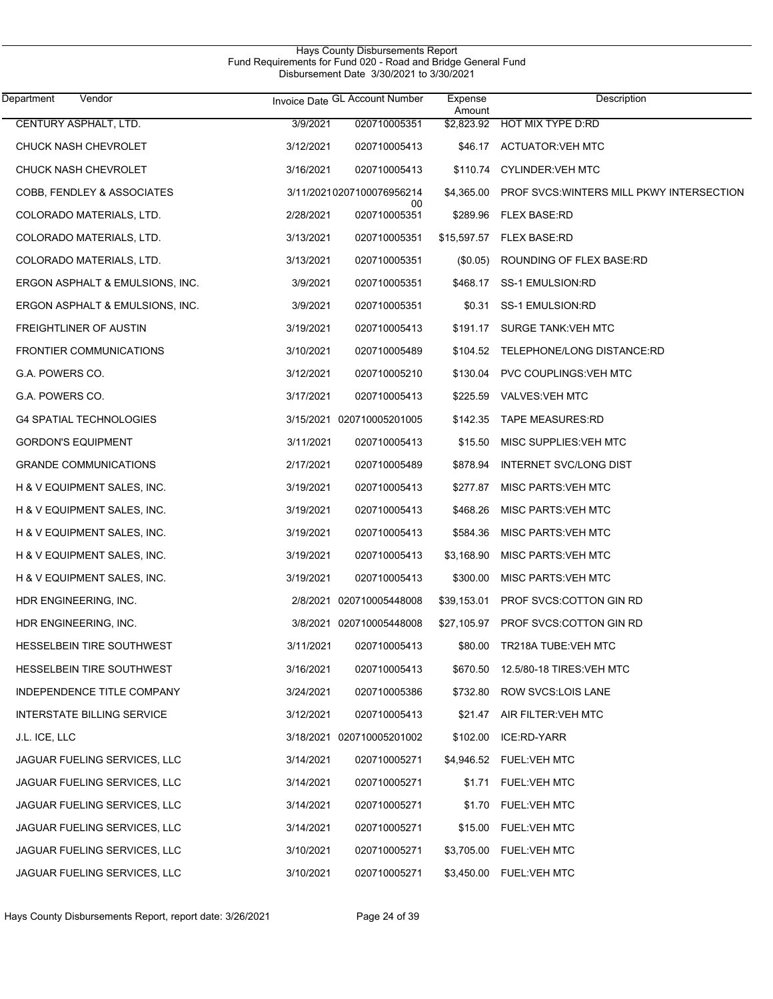| Vendor<br>Department            |           | Invoice Date GL Account Number  | Expense<br>Amount | Description                              |
|---------------------------------|-----------|---------------------------------|-------------------|------------------------------------------|
| CENTURY ASPHALT, LTD.           | 3/9/2021  | 020710005351                    |                   | \$2.823.92 HOT MIX TYPE D.RD             |
| <b>CHUCK NASH CHEVROLET</b>     | 3/12/2021 | 020710005413                    |                   | \$46.17 ACTUATOR VEH MTC                 |
| <b>CHUCK NASH CHEVROLET</b>     | 3/16/2021 | 020710005413                    |                   | \$110.74 CYLINDER: VEH MTC               |
| COBB, FENDLEY & ASSOCIATES      |           | 3/11/20210207100076956214<br>00 | \$4,365.00        | PROF SVCS WINTERS MILL PKWY INTERSECTION |
| COLORADO MATERIALS, LTD.        | 2/28/2021 | 020710005351                    |                   | \$289.96 FLEX BASE:RD                    |
| COLORADO MATERIALS, LTD.        | 3/13/2021 | 020710005351                    |                   | \$15,597.57 FLEX BASE:RD                 |
| COLORADO MATERIALS, LTD.        | 3/13/2021 | 020710005351                    | $(\$0.05)$        | ROUNDING OF FLEX BASE:RD                 |
| ERGON ASPHALT & EMULSIONS, INC. | 3/9/2021  | 020710005351                    | \$468.17          | SS-1 EMULSION:RD                         |
| ERGON ASPHALT & EMULSIONS, INC. | 3/9/2021  | 020710005351                    | \$0.31            | SS-1 EMULSION:RD                         |
| <b>FREIGHTLINER OF AUSTIN</b>   | 3/19/2021 | 020710005413                    | \$191.17          | <b>SURGE TANK: VEH MTC</b>               |
| FRONTIER COMMUNICATIONS         | 3/10/2021 | 020710005489                    | \$104.52          | TELEPHONE/LONG DISTANCE:RD               |
| G.A. POWERS CO.                 | 3/12/2021 | 020710005210                    | \$130.04          | PVC COUPLINGS: VEH MTC                   |
| G.A. POWERS CO.                 | 3/17/2021 | 020710005413                    | \$225.59          | <b>VALVES: VEH MTC</b>                   |
| <b>G4 SPATIAL TECHNOLOGIES</b>  |           | 3/15/2021 020710005201005       | \$142.35          | <b>TAPE MEASURES:RD</b>                  |
| <b>GORDON'S EQUIPMENT</b>       | 3/11/2021 | 020710005413                    | \$15.50           | MISC SUPPLIES: VEH MTC                   |
| <b>GRANDE COMMUNICATIONS</b>    | 2/17/2021 | 020710005489                    | \$878.94          | <b>INTERNET SVC/LONG DIST</b>            |
| H & V EQUIPMENT SALES, INC.     | 3/19/2021 | 020710005413                    | \$277.87          | <b>MISC PARTS: VEH MTC</b>               |
| H & V EQUIPMENT SALES, INC.     | 3/19/2021 | 020710005413                    | \$468.26          | <b>MISC PARTS: VEH MTC</b>               |
| H & V EQUIPMENT SALES, INC.     | 3/19/2021 | 020710005413                    | \$584.36          | <b>MISC PARTS: VEH MTC</b>               |
| H & V EQUIPMENT SALES, INC.     | 3/19/2021 | 020710005413                    | \$3,168.90        | <b>MISC PARTS: VEH MTC</b>               |
| H & V EQUIPMENT SALES, INC.     | 3/19/2021 | 020710005413                    | \$300.00          | <b>MISC PARTS: VEH MTC</b>               |
| HDR ENGINEERING, INC.           |           | 2/8/2021 020710005448008        | \$39,153.01       | PROF SVCS:COTTON GIN RD                  |
| HDR ENGINEERING, INC.           |           | 3/8/2021 020710005448008        | \$27,105.97       | PROF SVCS:COTTON GIN RD                  |
| HESSELBEIN TIRE SOUTHWEST       | 3/11/2021 | 020710005413                    |                   | \$80.00 TR218A TUBE: VEH MTC             |
| HESSELBEIN TIRE SOUTHWEST       | 3/16/2021 | 020710005413                    |                   | \$670.50 12.5/80-18 TIRES: VEH MTC       |
| INDEPENDENCE TITLE COMPANY      | 3/24/2021 | 020710005386                    |                   | \$732.80 ROW SVCS:LOIS LANE              |
| INTERSTATE BILLING SERVICE      | 3/12/2021 | 020710005413                    |                   | \$21.47 AIR FILTER: VEH MTC              |
| J.L. ICE, LLC                   |           | 3/18/2021 020710005201002       |                   | \$102.00 ICE:RD-YARR                     |
| JAGUAR FUELING SERVICES, LLC    | 3/14/2021 | 020710005271                    |                   | \$4,946.52 FUEL:VEH MTC                  |
| JAGUAR FUELING SERVICES, LLC    | 3/14/2021 | 020710005271                    |                   | \$1.71 FUEL: VEH MTC                     |
| JAGUAR FUELING SERVICES, LLC    | 3/14/2021 | 020710005271                    |                   | \$1.70 FUEL: VEH MTC                     |
| JAGUAR FUELING SERVICES, LLC    | 3/14/2021 | 020710005271                    |                   | \$15.00 FUEL: VEH MTC                    |
| JAGUAR FUELING SERVICES, LLC    | 3/10/2021 | 020710005271                    |                   | \$3,705.00 FUEL: VEH MTC                 |
| JAGUAR FUELING SERVICES, LLC    | 3/10/2021 | 020710005271                    |                   | \$3,450.00 FUEL: VEH MTC                 |

Hays County Disbursements Report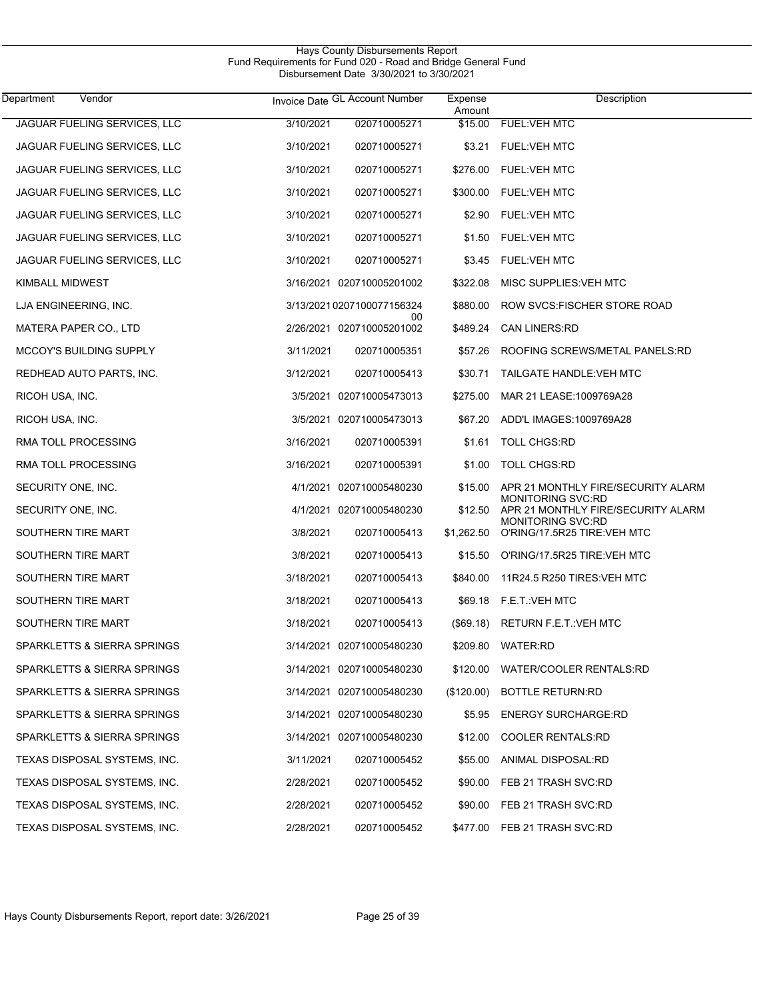| Vendor<br>Department           |           | Invoice Date GL Account Number  | Expense<br>Amount | Description                                                    |
|--------------------------------|-----------|---------------------------------|-------------------|----------------------------------------------------------------|
| JAGUAR FUELING SERVICES, LLC   | 3/10/2021 | 020710005271                    | \$15.00           | <b>FUEL: VEH MTC</b>                                           |
| JAGUAR FUELING SERVICES, LLC   | 3/10/2021 | 020710005271                    | \$3.21            | <b>FUEL:VEH MTC</b>                                            |
| JAGUAR FUELING SERVICES, LLC   | 3/10/2021 | 020710005271                    | \$276.00          | <b>FUEL: VEH MTC</b>                                           |
| JAGUAR FUELING SERVICES, LLC   | 3/10/2021 | 020710005271                    | \$300.00          | <b>FUEL: VEH MTC</b>                                           |
| JAGUAR FUELING SERVICES, LLC   | 3/10/2021 | 020710005271                    | \$2.90            | <b>FUEL: VEH MTC</b>                                           |
| JAGUAR FUELING SERVICES, LLC   | 3/10/2021 | 020710005271                    | \$1.50            | <b>FUEL: VEH MTC</b>                                           |
| JAGUAR FUELING SERVICES, LLC   | 3/10/2021 | 020710005271                    | \$3.45            | <b>FUEL: VEH MTC</b>                                           |
| KIMBALL MIDWEST                |           | 3/16/2021 020710005201002       | \$322.08          | MISC SUPPLIES VEH MTC                                          |
| LJA ENGINEERING, INC.          |           | 3/13/20210207100077156324       | \$880.00          | ROW SVCS: FISCHER STORE ROAD                                   |
| MATERA PAPER CO., LTD          |           | 00<br>2/26/2021 020710005201002 | \$489.24          | <b>CAN LINERS:RD</b>                                           |
| <b>MCCOY'S BUILDING SUPPLY</b> | 3/11/2021 | 020710005351                    | \$57.26           | ROOFING SCREWS/METAL PANELS:RD                                 |
| REDHEAD AUTO PARTS, INC.       | 3/12/2021 | 020710005413                    | \$30.71           | TAILGATE HANDLE: VEH MTC                                       |
| RICOH USA, INC.                |           | 3/5/2021 020710005473013        | \$275.00          | MAR 21 LEASE: 1009769A28                                       |
| RICOH USA, INC.                |           | 3/5/2021 020710005473013        | \$67.20           | ADD'L IMAGES: 1009769A28                                       |
| RMA TOLL PROCESSING            | 3/16/2021 | 020710005391                    | \$1.61            | <b>TOLL CHGS:RD</b>                                            |
| RMA TOLL PROCESSING            | 3/16/2021 | 020710005391                    | \$1.00            | <b>TOLL CHGS:RD</b>                                            |
| SECURITY ONE, INC.             |           | 4/1/2021 020710005480230        | \$15.00           | APR 21 MONTHLY FIRE/SECURITY ALARM<br><b>MONITORING SVC:RD</b> |
| SECURITY ONE, INC.             |           | 4/1/2021 020710005480230        | \$12.50           | APR 21 MONTHLY FIRE/SECURITY ALARM<br><b>MONITORING SVC:RD</b> |
| SOUTHERN TIRE MART             | 3/8/2021  | 020710005413                    | \$1,262.50        | O'RING/17.5R25 TIRE: VEH MTC                                   |
| SOUTHERN TIRE MART             | 3/8/2021  | 020710005413                    | \$15.50           | O'RING/17.5R25 TIRE: VEH MTC                                   |
| SOUTHERN TIRE MART             | 3/18/2021 | 020710005413                    | \$840.00          | 11R24.5 R250 TIRES: VEH MTC                                    |
| SOUTHERN TIRE MART             | 3/18/2021 | 020710005413                    | \$69.18           | F.E.T. VEH MTC                                                 |
| SOUTHERN TIRE MART             | 3/18/2021 | 020710005413                    |                   | (\$69.18) RETURN F.E.T.: VEH MTC                               |
| SPARKLETTS & SIERRA SPRINGS    |           | 3/14/2021 020710005480230       | \$209.80          | WATER:RD                                                       |
| SPARKLETTS & SIERRA SPRINGS    |           | 3/14/2021 020710005480230       |                   | \$120.00 WATER/COOLER RENTALS:RD                               |
| SPARKLETTS & SIERRA SPRINGS    |           | 3/14/2021 020710005480230       | $(\$120.00)$      | <b>BOTTLE RETURN:RD</b>                                        |
| SPARKLETTS & SIERRA SPRINGS    |           | 3/14/2021 020710005480230       | \$5.95            | <b>ENERGY SURCHARGE:RD</b>                                     |
| SPARKLETTS & SIERRA SPRINGS    |           | 3/14/2021 020710005480230       | \$12.00           | <b>COOLER RENTALS:RD</b>                                       |
| TEXAS DISPOSAL SYSTEMS, INC.   | 3/11/2021 | 020710005452                    | \$55.00           | ANIMAL DISPOSAL:RD                                             |
| TEXAS DISPOSAL SYSTEMS, INC.   | 2/28/2021 | 020710005452                    | \$90.00           | FEB 21 TRASH SVC:RD                                            |
| TEXAS DISPOSAL SYSTEMS, INC.   | 2/28/2021 | 020710005452                    | \$90.00           | FEB 21 TRASH SVC:RD                                            |
| TEXAS DISPOSAL SYSTEMS, INC.   | 2/28/2021 | 020710005452                    |                   | \$477.00 FEB 21 TRASH SVC:RD                                   |

Hays County Disbursements Report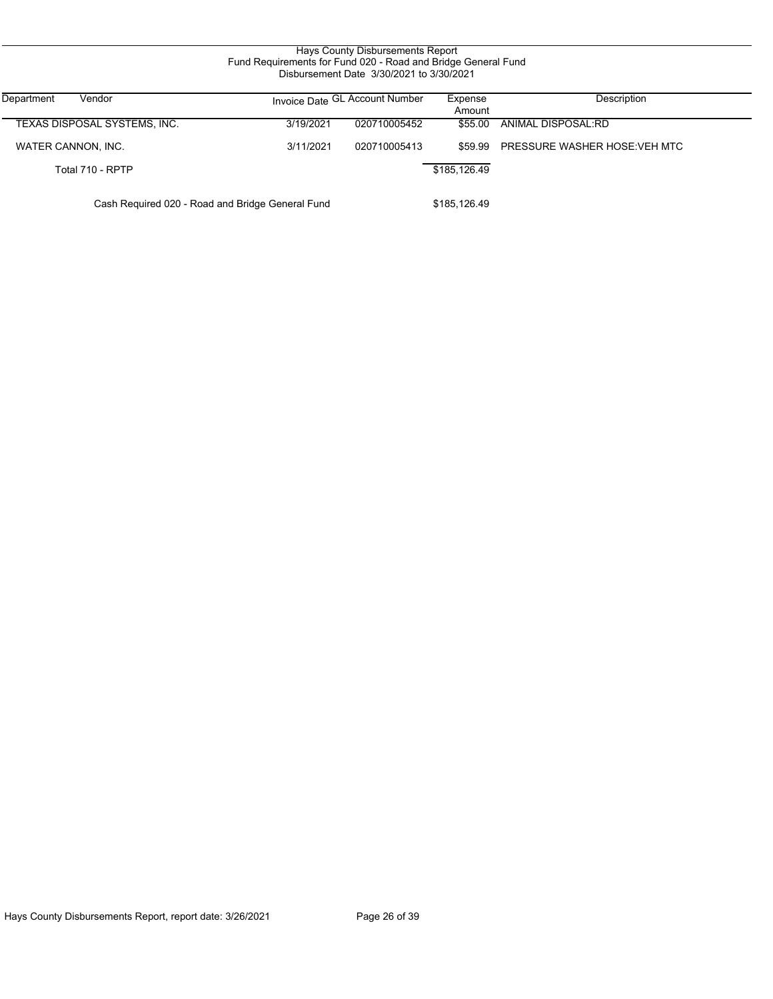| Hays County Disbursements Report<br>Fund Requirements for Fund 020 - Road and Bridge General Fund<br>Disbursement Date 3/30/2021 to 3/30/2021 |           |                                |                   |                               |  |  |  |
|-----------------------------------------------------------------------------------------------------------------------------------------------|-----------|--------------------------------|-------------------|-------------------------------|--|--|--|
| Department<br>Vendor                                                                                                                          |           | Invoice Date GL Account Number | Expense<br>Amount | Description                   |  |  |  |
| TEXAS DISPOSAL SYSTEMS, INC.                                                                                                                  | 3/19/2021 | 020710005452                   | \$55.00           | ANIMAL DISPOSAL:RD            |  |  |  |
| WATER CANNON, INC.                                                                                                                            | 3/11/2021 | 020710005413                   | \$59.99           | PRESSURE WASHER HOSE: VEH MTC |  |  |  |
| Total 710 - RPTP                                                                                                                              |           |                                | \$185,126.49      |                               |  |  |  |
| Cash Required 020 - Road and Bridge General Fund                                                                                              |           |                                | \$185,126.49      |                               |  |  |  |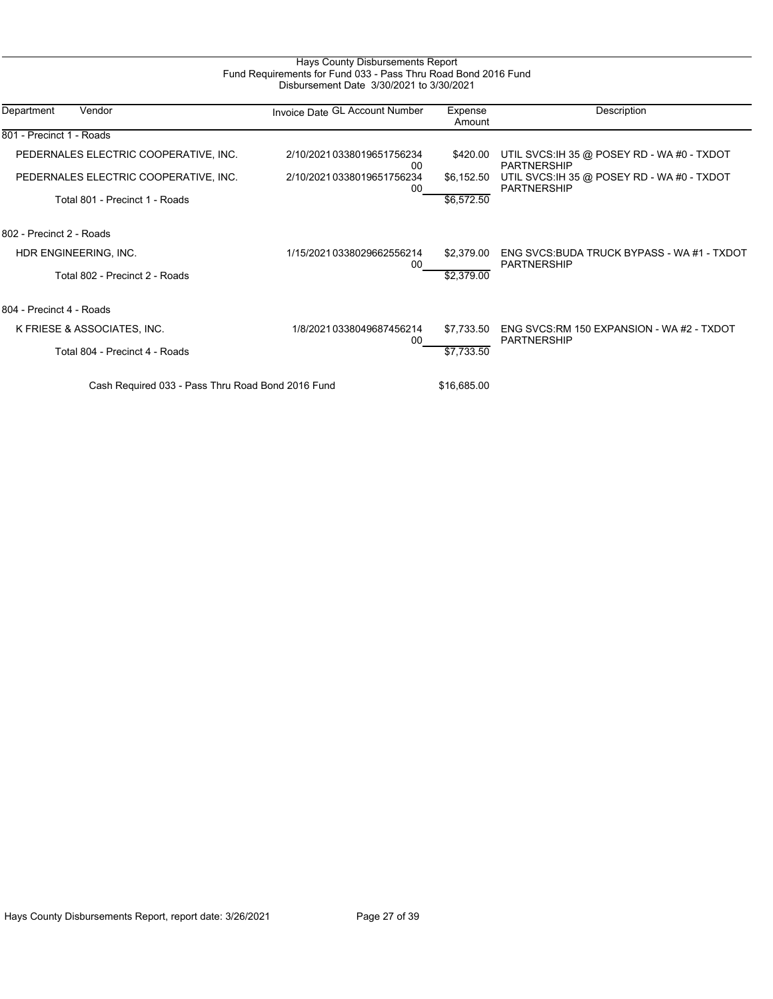# Hays County Disbursements Report Fund Requirements for Fund 033 - Pass Thru Road Bond 2016 Fund Disbursement Date 3/30/2021 to 3/30/2021

| Department<br>Vendor                              | Invoice Date GL Account Number  | Expense<br>Amount | Description                                                       |
|---------------------------------------------------|---------------------------------|-------------------|-------------------------------------------------------------------|
| 801 - Precinct 1 - Roads                          |                                 |                   |                                                                   |
| PEDERNALES ELECTRIC COOPERATIVE, INC.             | 2/10/20210338019651756234<br>00 | \$420.00          | UTIL SVCS:IH 35 @ POSEY RD - WA #0 - TXDOT<br><b>PARTNERSHIP</b>  |
| PEDERNALES ELECTRIC COOPERATIVE, INC.             | 2/10/20210338019651756234<br>00 | \$6,152.50        | UTIL SVCS: IH 35 @ POSEY RD - WA #0 - TXDOT<br><b>PARTNERSHIP</b> |
| Total 801 - Precinct 1 - Roads                    |                                 | \$6,572.50        |                                                                   |
| 802 - Precinct 2 - Roads                          |                                 |                   |                                                                   |
| HDR ENGINEERING, INC.                             | 1/15/20210338029662556214<br>00 | \$2,379.00        | ENG SVCS: BUDA TRUCK BYPASS - WA #1 - TXDOT<br>PARTNERSHIP        |
| Total 802 - Precinct 2 - Roads                    |                                 | \$2,379.00        |                                                                   |
| 804 - Precinct 4 - Roads                          |                                 |                   |                                                                   |
| K FRIESE & ASSOCIATES, INC.                       | 1/8/2021 0338049687456214<br>00 | \$7,733.50        | ENG SVCS:RM 150 EXPANSION - WA #2 - TXDOT<br><b>PARTNERSHIP</b>   |
| Total 804 - Precinct 4 - Roads                    |                                 | \$7,733.50        |                                                                   |
| Cash Required 033 - Pass Thru Road Bond 2016 Fund | \$16,685.00                     |                   |                                                                   |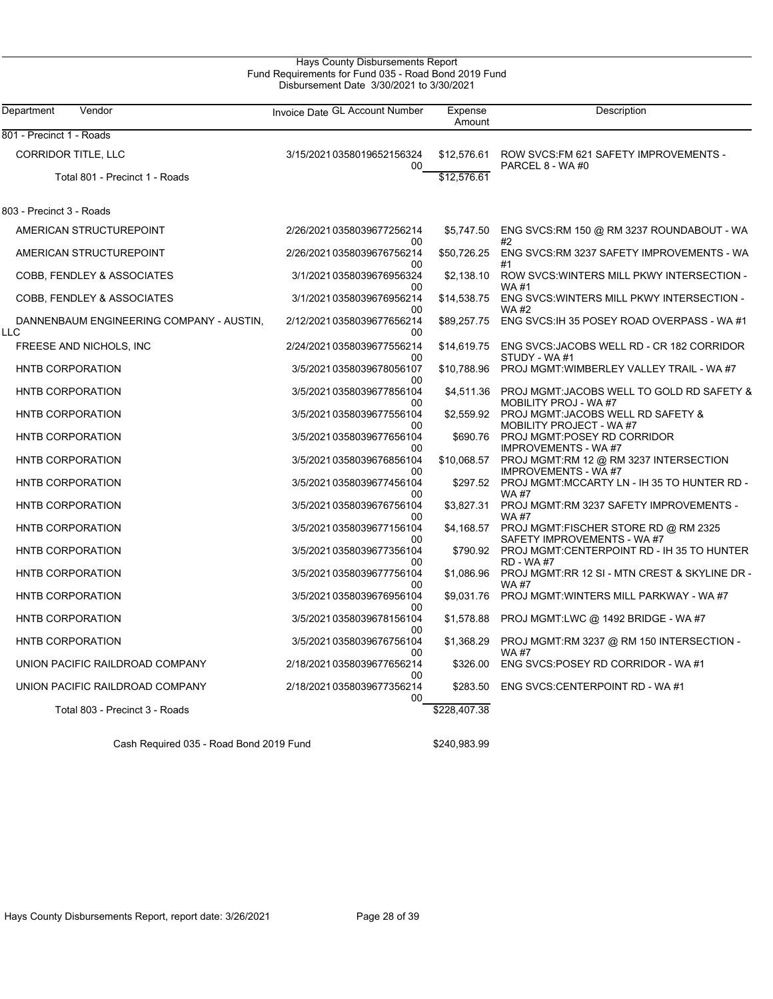| Department<br>Vendor                            | Invoice Date GL Account Number  | Expense<br>Amount | Description                                                          |
|-------------------------------------------------|---------------------------------|-------------------|----------------------------------------------------------------------|
| 801 - Precinct 1 - Roads                        |                                 |                   |                                                                      |
| CORRIDOR TITLE, LLC                             | 3/15/20210358019652156324<br>00 | \$12,576.61       | ROW SVCS: FM 621 SAFETY IMPROVEMENTS -<br>PARCEL 8 - WA #0           |
| Total 801 - Precinct 1 - Roads                  |                                 | \$12,576.61       |                                                                      |
| 803 - Precinct 3 - Roads                        |                                 |                   |                                                                      |
| AMERICAN STRUCTUREPOINT                         | 2/26/20210358039677256214<br>00 | \$5,747.50        | ENG SVCS:RM 150 @ RM 3237 ROUNDABOUT - WA<br>#2                      |
| AMERICAN STRUCTUREPOINT                         | 2/26/20210358039676756214<br>00 | \$50,726.25       | ENG SVCS: RM 3237 SAFETY IMPROVEMENTS - WA<br>#1                     |
| COBB, FENDLEY & ASSOCIATES                      | 3/1/2021 0358039676956324<br>00 | \$2,138.10        | ROW SVCS: WINTERS MILL PKWY INTERSECTION -<br><b>WA#1</b>            |
| COBB, FENDLEY & ASSOCIATES                      | 3/1/2021 0358039676956214<br>00 | \$14,538.75       | ENG SVCS: WINTERS MILL PKWY INTERSECTION -<br><b>WA#2</b>            |
| DANNENBAUM ENGINEERING COMPANY - AUSTIN,<br>LLC | 2/12/20210358039677656214<br>00 | \$89,257.75       | ENG SVCS: IH 35 POSEY ROAD OVERPASS - WA #1                          |
| FREESE AND NICHOLS, INC                         | 2/24/20210358039677556214<br>00 | \$14,619.75       | ENG SVCS: JACOBS WELL RD - CR 182 CORRIDOR<br>STUDY - WA#1           |
| HNTB CORPORATION                                | 3/5/20210358039678056107<br>00  | \$10,788.96       | PROJ MGMT: WIMBERLEY VALLEY TRAIL - WA #7                            |
| <b>HNTB CORPORATION</b>                         | 3/5/2021 0358039677856104<br>00 | \$4,511.36        | PROJ MGMT: JACOBS WELL TO GOLD RD SAFETY &<br>MOBILITY PROJ - WA #7  |
| HNTB CORPORATION                                | 3/5/2021 0358039677556104<br>00 | \$2.559.92        | PROJ MGMT: JACOBS WELL RD SAFETY &<br>MOBILITY PROJECT - WA #7       |
| <b>HNTB CORPORATION</b>                         | 3/5/20210358039677656104<br>00  | \$690.76          | PROJ MGMT:POSEY RD CORRIDOR<br><b>IMPROVEMENTS - WA#7</b>            |
| HNTB CORPORATION                                | 3/5/20210358039676856104<br>00  | \$10,068.57       | PROJ MGMT:RM 12 @ RM 3237 INTERSECTION<br><b>IMPROVEMENTS - WA#7</b> |
| <b>HNTB CORPORATION</b>                         | 3/5/2021 0358039677456104<br>00 | \$297.52          | PROJ MGMT:MCCARTY LN - IH 35 TO HUNTER RD -<br><b>WA#7</b>           |
| HNTB CORPORATION                                | 3/5/2021 0358039676756104<br>00 | \$3,827.31        | PROJ MGMT:RM 3237 SAFETY IMPROVEMENTS -<br><b>WA#7</b>               |
| <b>HNTB CORPORATION</b>                         | 3/5/20210358039677156104<br>00  | \$4,168.57        | PROJ MGMT:FISCHER STORE RD @ RM 2325<br>SAFETY IMPROVEMENTS - WA #7  |
| <b>HNTB CORPORATION</b>                         | 3/5/2021 0358039677356104<br>00 | \$790.92          | PROJ MGMT:CENTERPOINT RD - IH 35 TO HUNTER<br><b>RD - WA#7</b>       |
| HNTB CORPORATION                                | 3/5/2021 0358039677756104<br>00 | \$1,086.96        | PROJ MGMT:RR 12 SI - MTN CREST & SKYLINE DR -<br><b>WA#7</b>         |
| HNTB CORPORATION                                | 3/5/2021 0358039676956104<br>00 | \$9,031.76        | PROJ MGMT: WINTERS MILL PARKWAY - WA #7                              |
| HNTB CORPORATION                                | 3/5/2021 0358039678156104<br>00 | \$1,578.88        | PROJ MGMT:LWC @ 1492 BRIDGE - WA #7                                  |
| <b>HNTB CORPORATION</b>                         | 3/5/2021 0358039676756104<br>00 | \$1,368.29        | PROJ MGMT:RM 3237 @ RM 150 INTERSECTION -<br><b>WA#7</b>             |
| UNION PACIFIC RAILDROAD COMPANY                 | 2/18/20210358039677656214<br>00 | \$326.00          | ENG SVCS:POSEY RD CORRIDOR - WA#1                                    |
| UNION PACIFIC RAILDROAD COMPANY                 | 2/18/20210358039677356214<br>00 | \$283.50          | ENG SVCS:CENTERPOINT RD - WA #1                                      |
| Total 803 - Precinct 3 - Roads                  |                                 | \$228,407.38      |                                                                      |

Cash Required 035 - Road Bond 2019 Fund \$240,983.99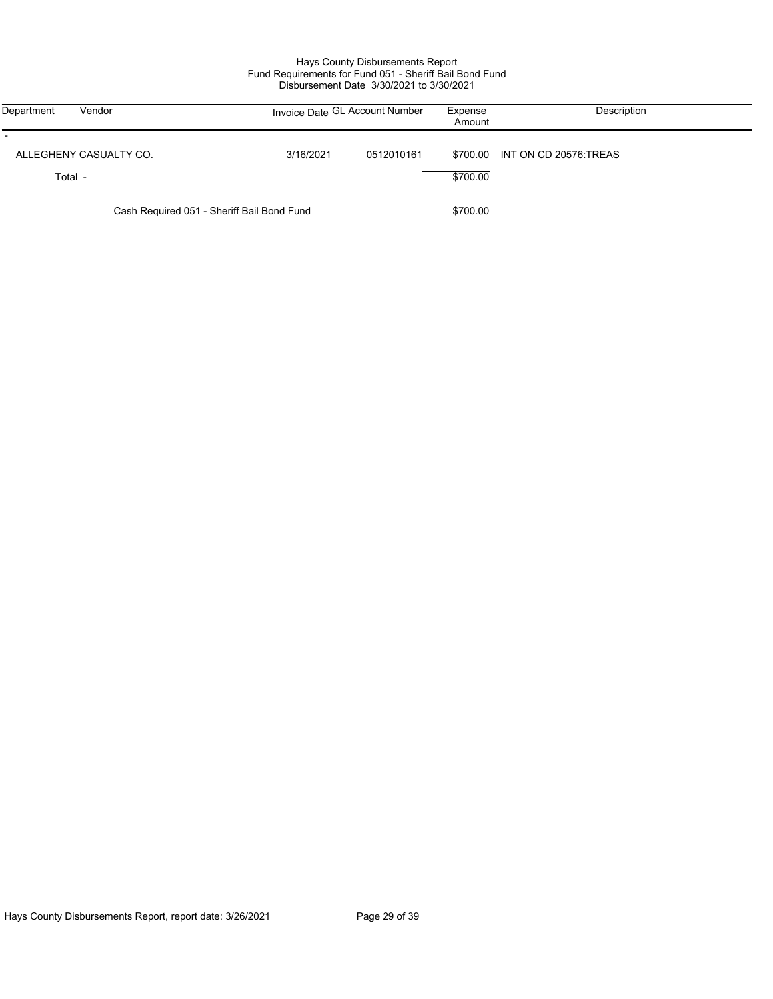| Hays County Disbursements Report<br>Fund Requirements for Fund 051 - Sheriff Bail Bond Fund<br>Disbursement Date 3/30/2021 to 3/30/2021 |  |                                |            |                      |                       |  |  |
|-----------------------------------------------------------------------------------------------------------------------------------------|--|--------------------------------|------------|----------------------|-----------------------|--|--|
| Department<br>Vendor                                                                                                                    |  | Invoice Date GL Account Number |            | Expense<br>Amount    | Description           |  |  |
| ALLEGHENY CASUALTY CO.<br>Total -                                                                                                       |  | 3/16/2021                      | 0512010161 | \$700.00<br>\$700.00 | INT ON CD 20576 TREAS |  |  |
| Cash Required 051 - Sheriff Bail Bond Fund                                                                                              |  |                                | \$700.00   |                      |                       |  |  |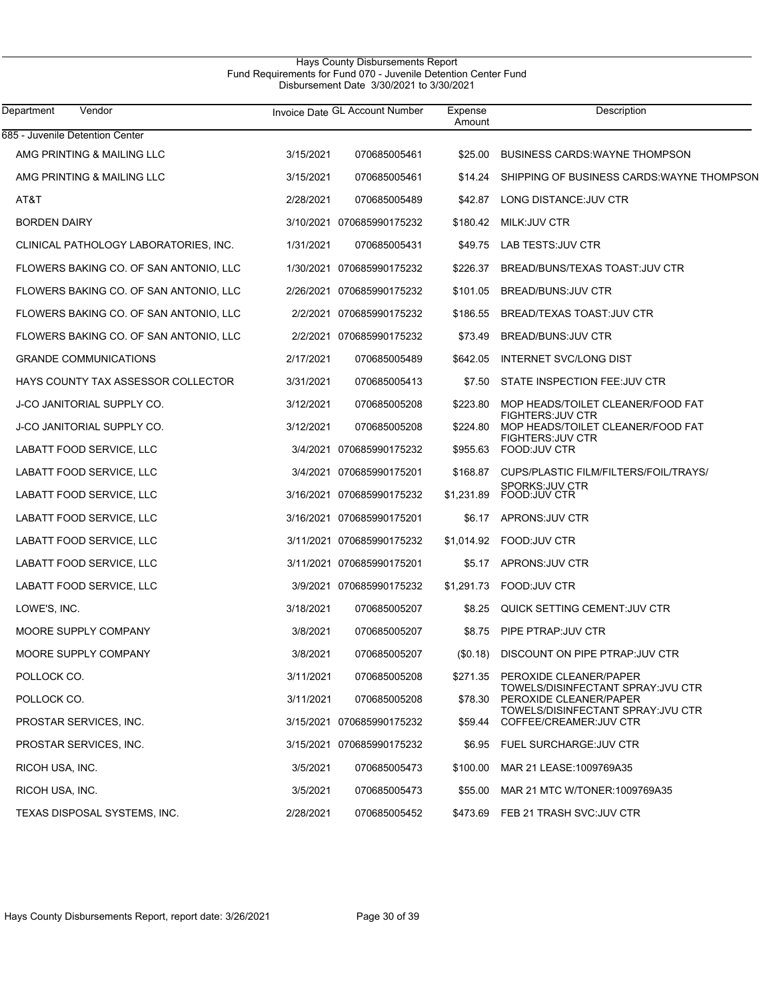# Hays County Disbursements Report Fund Requirements for Fund 070 - Juvenile Detention Center Fund Disbursement Date 3/30/2021 to 3/30/2021

| Department<br>Vendor                   |           | Invoice Date GL Account Number | Expense<br>Amount | Description                                                   |
|----------------------------------------|-----------|--------------------------------|-------------------|---------------------------------------------------------------|
| 685 - Juvenile Detention Center        |           |                                |                   |                                                               |
| AMG PRINTING & MAILING LLC             | 3/15/2021 | 070685005461                   | \$25.00           | <b>BUSINESS CARDS: WAYNE THOMPSON</b>                         |
| AMG PRINTING & MAILING LLC             | 3/15/2021 | 070685005461                   | \$14.24           | SHIPPING OF BUSINESS CARDS WAYNE THOMPSON                     |
| AT&T                                   | 2/28/2021 | 070685005489                   |                   | \$42.87 LONG DISTANCE.JUV CTR                                 |
| <b>BORDEN DAIRY</b>                    |           | 3/10/2021 070685990175232      | \$180.42          | MILK:JUV CTR                                                  |
| CLINICAL PATHOLOGY LABORATORIES, INC.  | 1/31/2021 | 070685005431                   |                   | \$49.75 LAB TESTS: JUV CTR                                    |
| FLOWERS BAKING CO. OF SAN ANTONIO, LLC |           | 1/30/2021 070685990175232      | \$226.37          | BREAD/BUNS/TEXAS TOAST JUV CTR                                |
| FLOWERS BAKING CO. OF SAN ANTONIO, LLC |           | 2/26/2021 070685990175232      | \$101.05          | BREAD/BUNS: JUV CTR                                           |
| FLOWERS BAKING CO. OF SAN ANTONIO, LLC |           | 2/2/2021 070685990175232       | \$186.55          | BREAD/TEXAS TOAST: JUV CTR                                    |
| FLOWERS BAKING CO. OF SAN ANTONIO, LLC |           | 2/2/2021 070685990175232       | \$73.49           | BREAD/BUNS: JUV CTR                                           |
| <b>GRANDE COMMUNICATIONS</b>           | 2/17/2021 | 070685005489                   | \$642.05          | INTERNET SVC/LONG DIST                                        |
| HAYS COUNTY TAX ASSESSOR COLLECTOR     | 3/31/2021 | 070685005413                   |                   | \$7.50 STATE INSPECTION FEE: JUV CTR                          |
| <b>J-CO JANITORIAL SUPPLY CO.</b>      | 3/12/2021 | 070685005208                   | \$223.80          | MOP HEADS/TOILET CLEANER/FOOD FAT                             |
| <b>J-CO JANITORIAL SUPPLY CO.</b>      | 3/12/2021 | 070685005208                   | \$224.80          | <b>FIGHTERS: JUV CTR</b><br>MOP HEADS/TOILET CLEANER/FOOD FAT |
| LABATT FOOD SERVICE, LLC               |           | 3/4/2021 070685990175232       |                   | <b>FIGHTERS: JUV CTR</b><br>\$955.63 FOOD: JUV CTR            |
| LABATT FOOD SERVICE, LLC               |           | 3/4/2021 070685990175201       |                   | \$168.87 CUPS/PLASTIC FILM/FILTERS/FOIL/TRAYS/                |
| LABATT FOOD SERVICE, LLC               |           | 3/16/2021 070685990175232      | \$1,231.89        | SPORKS:JUV CTR<br>FOOD:JUV CTR                                |
| LABATT FOOD SERVICE, LLC               |           | 3/16/2021 070685990175201      |                   | \$6.17 APRONS: JUV CTR                                        |
| LABATT FOOD SERVICE, LLC               |           | 3/11/2021 070685990175232      |                   | \$1,014.92    FOOD JUV CTR                                    |
| LABATT FOOD SERVICE, LLC               |           | 3/11/2021 070685990175201      |                   | \$5.17 APRONS: JUV CTR                                        |
| LABATT FOOD SERVICE, LLC               |           | 3/9/2021 070685990175232       | \$1,291.73        | FOOD: JUV CTR                                                 |
| LOWE'S, INC.                           | 3/18/2021 | 070685005207                   | \$8.25            | QUICK SETTING CEMENT: JUV CTR                                 |
| MOORE SUPPLY COMPANY                   | 3/8/2021  | 070685005207                   | \$8.75            | PIPE PTRAP: JUV CTR                                           |
| MOORE SUPPLY COMPANY                   | 3/8/2021  | 070685005207                   | (S0.18)           | DISCOUNT ON PIPE PTRAP: JUV CTR                               |
| POLLOCK CO.                            | 3/11/2021 | 070685005208                   |                   | \$271.35 PEROXIDE CLEANER/PAPER                               |
| POLLOCK CO.                            | 3/11/2021 | 070685005208                   | \$78.30           | TOWELS/DISINFECTANT SPRAY: JVU CTR<br>PEROXIDE CLEANER/PAPER  |
| PROSTAR SERVICES, INC.                 |           | 3/15/2021 070685990175232      | \$59.44           | TOWELS/DISINFECTANT SPRAY: JVU CTR<br>COFFEE/CREAMER: JUV CTR |
| PROSTAR SERVICES, INC.                 |           | 3/15/2021 070685990175232      |                   | \$6.95 FUEL SURCHARGE.JUV CTR                                 |
| RICOH USA, INC.                        | 3/5/2021  | 070685005473                   | \$100.00          | MAR 21 LEASE: 1009769A35                                      |
| RICOH USA, INC.                        | 3/5/2021  | 070685005473                   | \$55.00           | MAR 21 MTC W/TONER: 1009769A35                                |
| TEXAS DISPOSAL SYSTEMS, INC.           | 2/28/2021 | 070685005452                   |                   | \$473.69 FEB 21 TRASH SVC:JUV CTR                             |
|                                        |           |                                |                   |                                                               |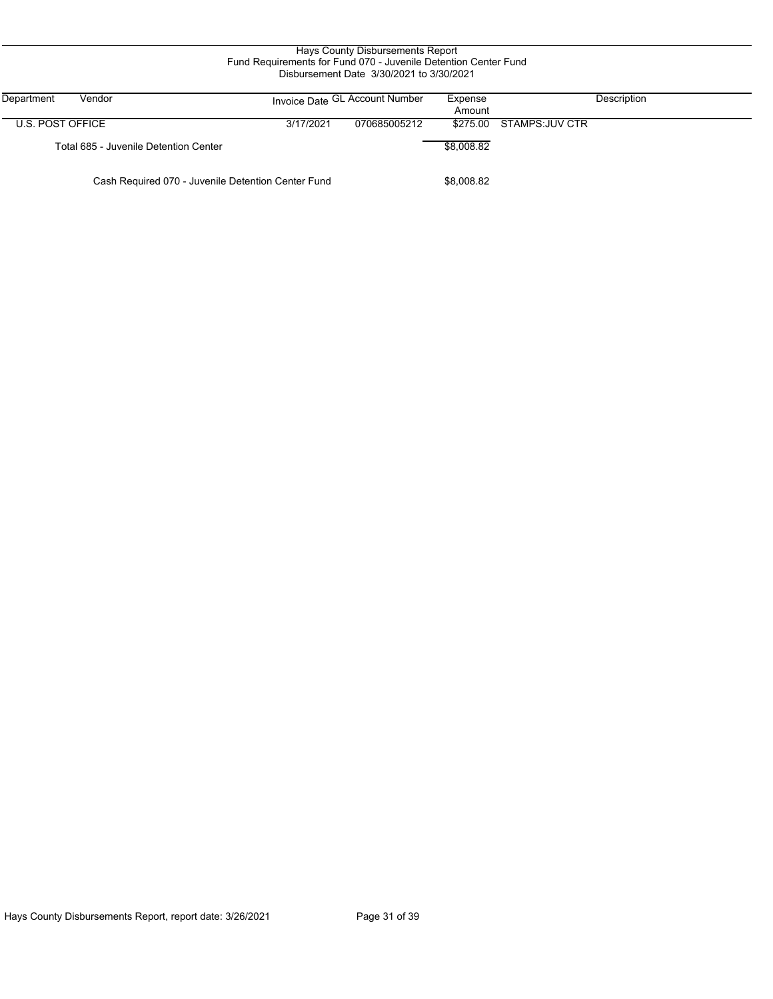| Hays County Disbursements Report<br>Fund Requirements for Fund 070 - Juvenile Detention Center Fund<br>Disbursement Date 3/30/2021 to 3/30/2021 |           |                                |                   |                 |  |  |  |  |
|-------------------------------------------------------------------------------------------------------------------------------------------------|-----------|--------------------------------|-------------------|-----------------|--|--|--|--|
| Department<br>Vendor                                                                                                                            |           | Invoice Date GL Account Number | Expense<br>Amount | Description     |  |  |  |  |
| U.S. POST OFFICE                                                                                                                                | 3/17/2021 | 070685005212                   | \$275.00          | STAMPS: JUV CTR |  |  |  |  |
| Total 685 - Juvenile Detention Center                                                                                                           |           |                                | \$8,008.82        |                 |  |  |  |  |
| Cash Required 070 - Juvenile Detention Center Fund                                                                                              |           |                                |                   |                 |  |  |  |  |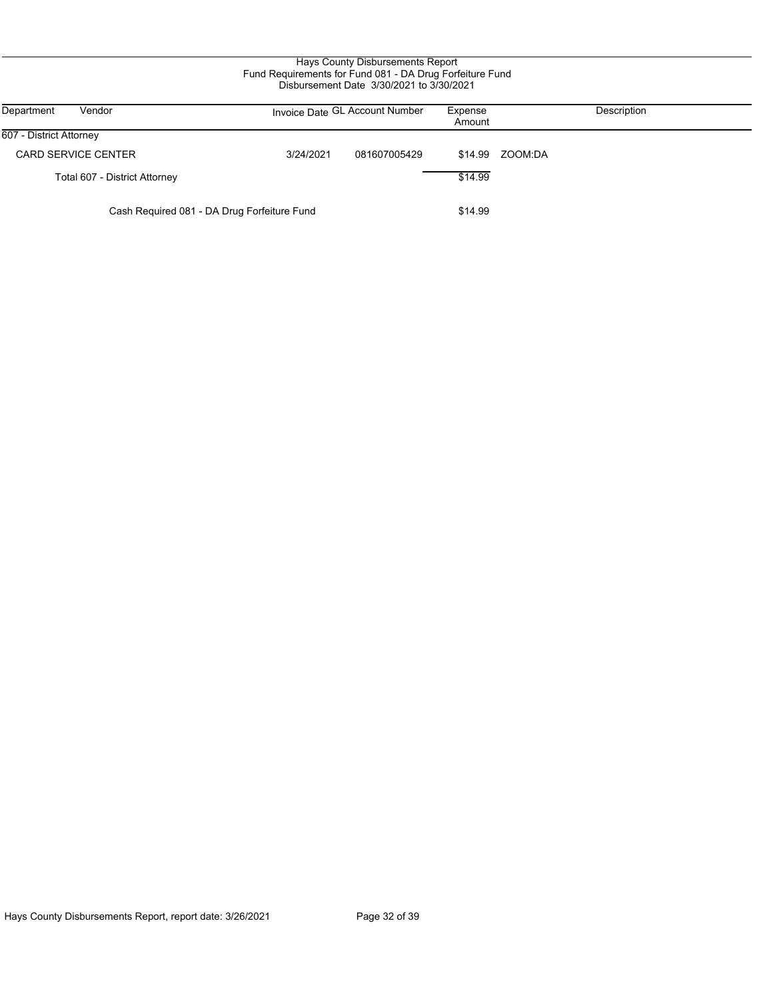| Department<br>Vendor                        |           | Invoice Date GL Account Number | Expense<br>Amount | Description     |
|---------------------------------------------|-----------|--------------------------------|-------------------|-----------------|
| 607 - District Attorney                     |           |                                |                   |                 |
| <b>CARD SERVICE CENTER</b>                  | 3/24/2021 | 081607005429                   |                   | \$14.99 ZOOM:DA |
| Total 607 - District Attorney               |           |                                | \$14.99           |                 |
| Cash Required 081 - DA Drug Forfeiture Fund |           |                                | \$14.99           |                 |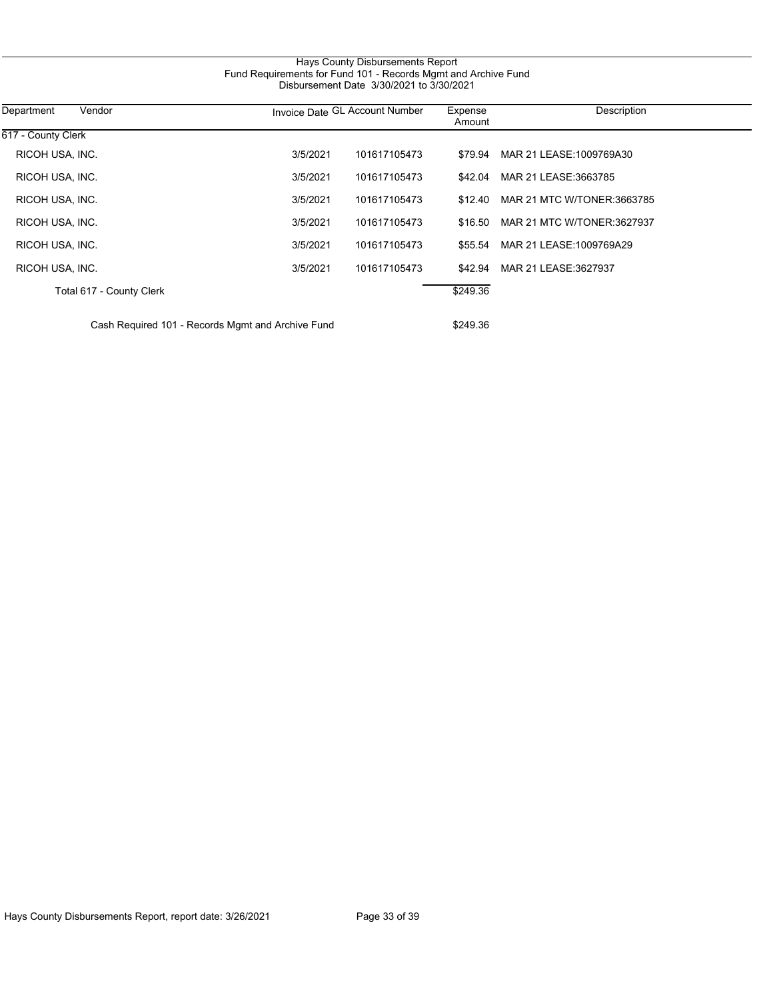| 617 - County Clerk<br>RICOH USA, INC. |          |              |          |                            |
|---------------------------------------|----------|--------------|----------|----------------------------|
|                                       |          |              |          |                            |
|                                       | 3/5/2021 | 101617105473 | \$79.94  | MAR 21 LEASE: 1009769A30   |
| RICOH USA, INC.                       | 3/5/2021 | 101617105473 | \$42.04  | MAR 21 LEASE: 3663785      |
| RICOH USA, INC.                       | 3/5/2021 | 101617105473 | \$12.40  | MAR 21 MTC W/TONER:3663785 |
| RICOH USA, INC.                       | 3/5/2021 | 101617105473 | \$16.50  | MAR 21 MTC W/TONER:3627937 |
| RICOH USA, INC.                       | 3/5/2021 | 101617105473 | \$55.54  | MAR 21 LEASE: 1009769A29   |
| RICOH USA, INC.                       | 3/5/2021 | 101617105473 | \$42.94  | MAR 21 LEASE: 3627937      |
| Total 617 - County Clerk              |          |              | \$249.36 |                            |

Hays County Disbursements Report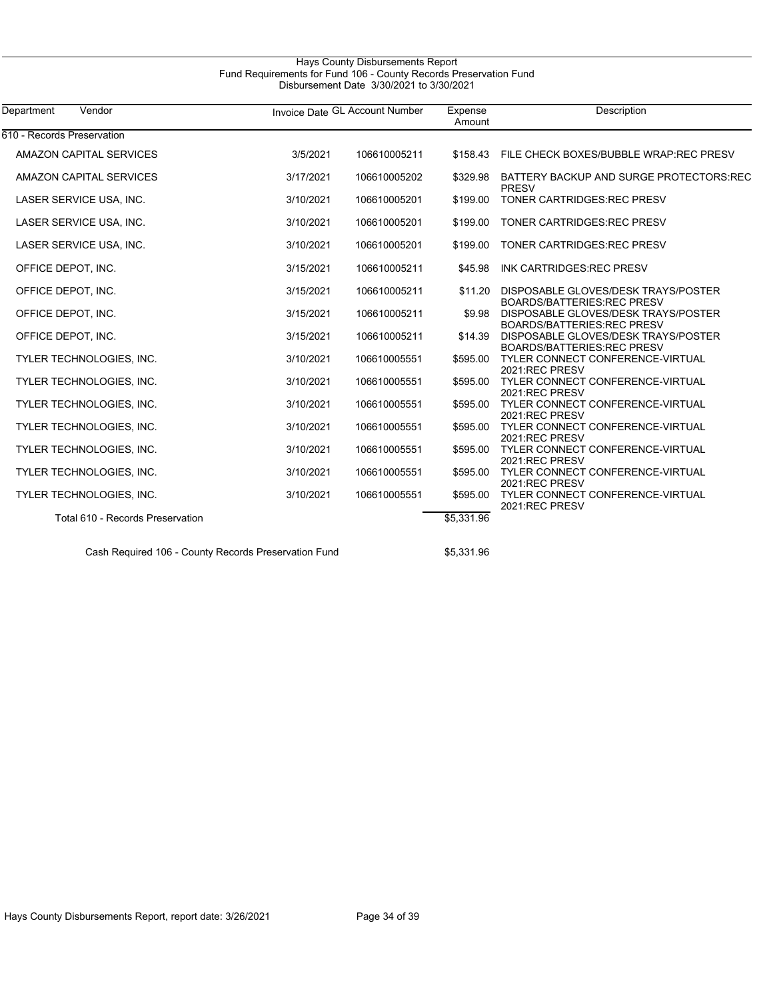# Hays County Disbursements Report Fund Requirements for Fund 106 - County Records Preservation Fund Disbursement Date 3/30/2021 to 3/30/2021

| Department<br>Vendor             |           | Invoice Date GL Account Number |            | Description                                                                 |  |
|----------------------------------|-----------|--------------------------------|------------|-----------------------------------------------------------------------------|--|
| 610 - Records Preservation       |           |                                |            |                                                                             |  |
| AMAZON CAPITAL SERVICES          | 3/5/2021  | 106610005211                   | \$158.43   | FILE CHECK BOXES/BUBBLE WRAP: REC PRESV                                     |  |
| AMAZON CAPITAL SERVICES          | 3/17/2021 | 106610005202                   | \$329.98   | BATTERY BACKUP AND SURGE PROTECTORS REC<br>PRESV                            |  |
| LASER SERVICE USA, INC.          | 3/10/2021 | 106610005201                   | \$199.00   | <b>TONER CARTRIDGES: REC PRESV</b>                                          |  |
| LASER SERVICE USA, INC.          | 3/10/2021 | 106610005201                   | \$199.00   | <b>TONER CARTRIDGES: REC PRESV</b>                                          |  |
| LASER SERVICE USA, INC.          | 3/10/2021 | 106610005201                   | \$199.00   | <b>TONER CARTRIDGES: REC PRESV</b>                                          |  |
| OFFICE DEPOT, INC.               | 3/15/2021 | 106610005211                   | \$45.98    | INK CARTRIDGES: REC PRESV                                                   |  |
| OFFICE DEPOT, INC.               | 3/15/2021 | 106610005211                   | \$11.20    | DISPOSABLE GLOVES/DESK TRAYS/POSTER<br><b>BOARDS/BATTERIES:REC PRESV</b>    |  |
| OFFICE DEPOT, INC.               | 3/15/2021 | 106610005211                   | \$9.98     | DISPOSABLE GLOVES/DESK TRAYS/POSTER<br><b>BOARDS/BATTERIES:REC PRESV</b>    |  |
| OFFICE DEPOT, INC.               | 3/15/2021 | 106610005211                   | \$14.39    | DISPOSABLE GLOVES/DESK TRAYS/POSTER<br><b>BOARDS/BATTERIES:REC PRESV</b>    |  |
| TYLER TECHNOLOGIES, INC.         | 3/10/2021 | 106610005551                   | \$595.00   | <b>TYLER CONNECT CONFERENCE-VIRTUAL</b><br>2021:REC PRESV                   |  |
| TYLER TECHNOLOGIES, INC.         | 3/10/2021 | 106610005551                   | \$595.00   | TYLER CONNECT CONFERENCE-VIRTUAL<br>2021:REC PRESV                          |  |
| TYLER TECHNOLOGIES, INC.         | 3/10/2021 | 106610005551                   | \$595.00   | TYLER CONNECT CONFERENCE-VIRTUAL<br>2021:REC PRESV                          |  |
| TYLER TECHNOLOGIES, INC.         | 3/10/2021 | 106610005551                   | \$595.00   | TYLER CONNECT CONFERENCE-VIRTUAL<br>2021:REC PRESV                          |  |
| TYLER TECHNOLOGIES, INC.         | 3/10/2021 | 106610005551                   | \$595.00   | <b>TYLER CONNECT CONFERENCE-VIRTUAL</b>                                     |  |
| TYLER TECHNOLOGIES, INC.         | 3/10/2021 | 106610005551                   | \$595.00   | 2021:REC PRESV<br><b>TYLER CONNECT CONFERENCE-VIRTUAL</b><br>2021:REC PRESV |  |
| TYLER TECHNOLOGIES, INC.         | 3/10/2021 | 106610005551                   | \$595.00   | <b>TYLER CONNECT CONFERENCE-VIRTUAL</b><br>2021:REC PRESV                   |  |
| Total 610 - Records Preservation |           |                                | \$5,331.96 |                                                                             |  |

Cash Required 106 - County Records Preservation Fund \$5,331.96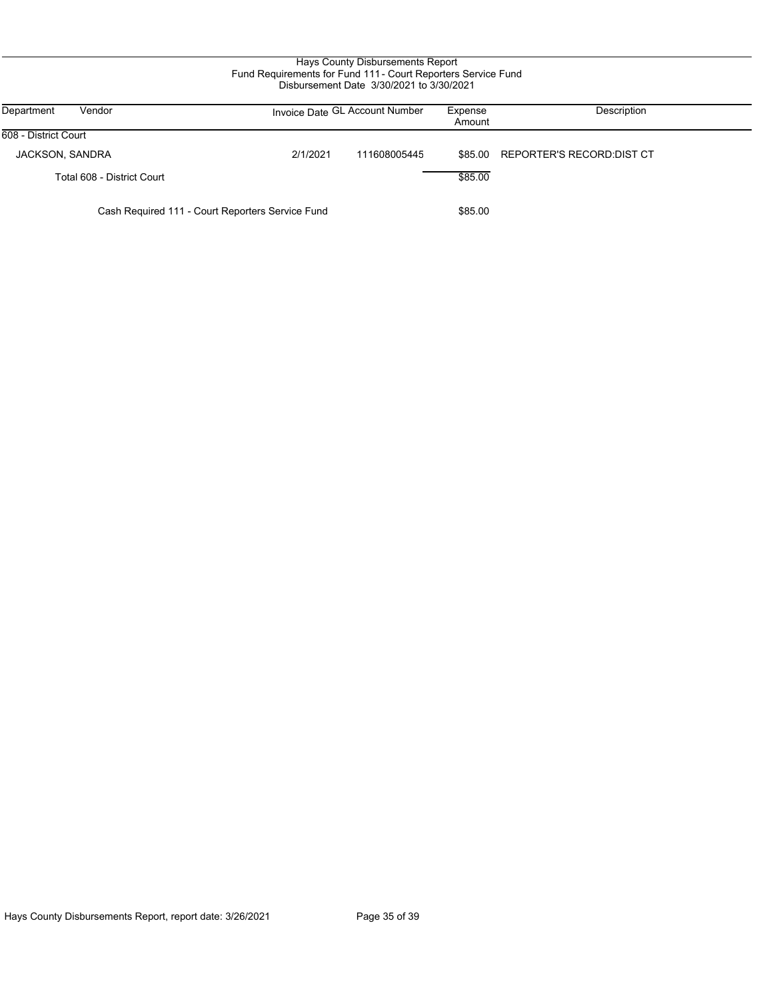# Hays County Disbursements Report Fund Requirements for Fund 111 - Court Reporters Service Fund Disbursement Date 3/30/2021 to 3/30/2021

| Department<br>Vendor                             |          | Invoice Date GL Account Number | Expense<br>Amount | Description                        |
|--------------------------------------------------|----------|--------------------------------|-------------------|------------------------------------|
| 608 - District Court                             |          |                                |                   |                                    |
| JACKSON, SANDRA                                  | 2/1/2021 | 111608005445                   |                   | \$85.00 REPORTER'S RECORD: DIST CT |
| Total 608 - District Court                       |          |                                | \$85.00           |                                    |
| Cash Required 111 - Court Reporters Service Fund |          | \$85.00                        |                   |                                    |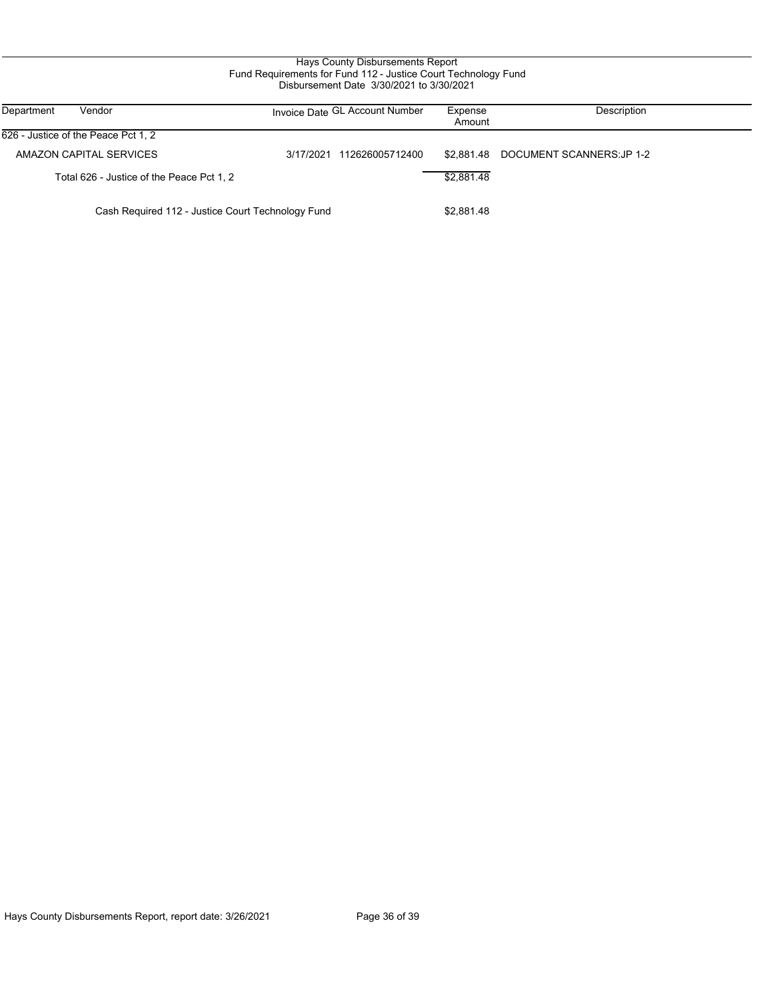# Hays County Disbursements Report Fund Requirements for Fund 112 - Justice Court Technology Fund Disbursement Date 3/30/2021 to 3/30/2021

| Department<br>Vendor                              | Invoice Date GL Account Number | Expense<br>Amount | Description               |
|---------------------------------------------------|--------------------------------|-------------------|---------------------------|
| 626 - Justice of the Peace Pct 1, 2               |                                |                   |                           |
| AMAZON CAPITAL SERVICES                           | 112626005712400<br>3/17/2021   | \$2.881.48        | DOCUMENT SCANNERS: JP 1-2 |
| Total 626 - Justice of the Peace Pct 1, 2         |                                | \$2,881.48        |                           |
| Cash Required 112 - Justice Court Technology Fund |                                |                   |                           |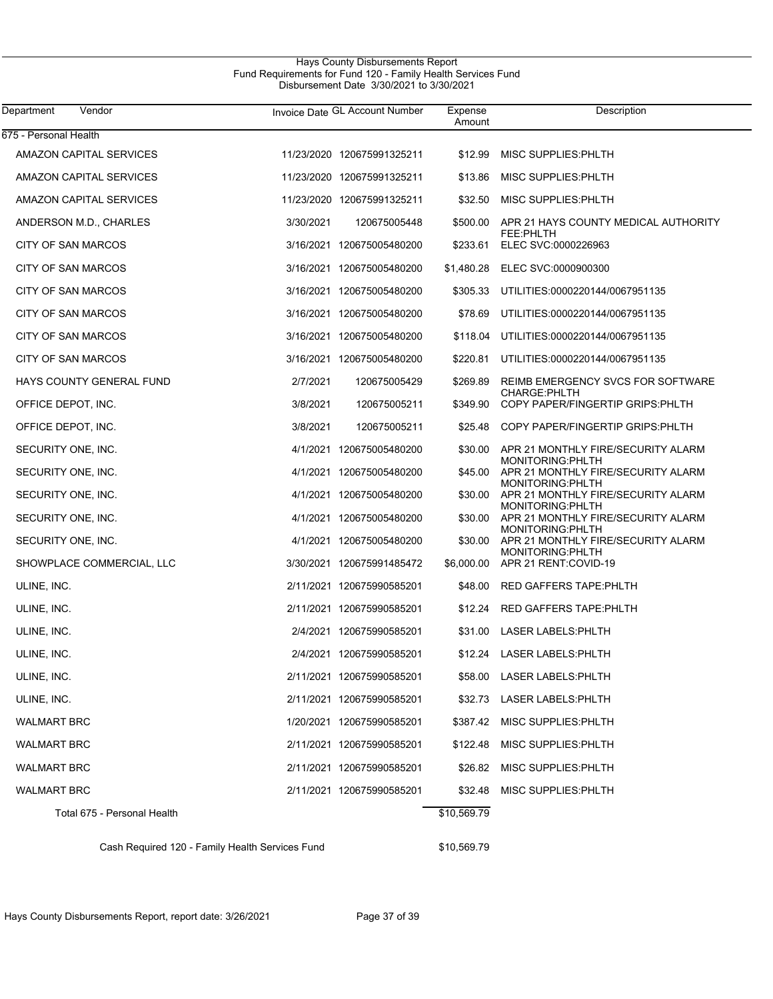## Hays County Disbursements Report Fund Requirements for Fund 120 - Family Health Services Fund Disbursement Date 3/30/2021 to 3/30/2021

| Department<br>Vendor        |           | Invoice Date GL Account Number | Expense<br>Amount | Description                                                    |
|-----------------------------|-----------|--------------------------------|-------------------|----------------------------------------------------------------|
| 675 - Personal Health       |           |                                |                   |                                                                |
| AMAZON CAPITAL SERVICES     |           | 11/23/2020 120675991325211     | \$12.99           | MISC SUPPLIES: PHLTH                                           |
| AMAZON CAPITAL SERVICES     |           | 11/23/2020 120675991325211     | \$13.86           | MISC SUPPLIES: PHLTH                                           |
| AMAZON CAPITAL SERVICES     |           | 11/23/2020 120675991325211     | \$32.50           | MISC SUPPLIES: PHLTH                                           |
| ANDERSON M.D., CHARLES      | 3/30/2021 | 120675005448                   | \$500.00          | APR 21 HAYS COUNTY MEDICAL AUTHORITY                           |
| CITY OF SAN MARCOS          |           | 3/16/2021 120675005480200      | \$233.61          | FEE:PHLTH<br>ELEC SVC:0000226963                               |
| CITY OF SAN MARCOS          |           | 3/16/2021 120675005480200      | \$1,480.28        | ELEC SVC:0000900300                                            |
| CITY OF SAN MARCOS          |           | 3/16/2021 120675005480200      | \$305.33          | UTILITIES:0000220144/0067951135                                |
| CITY OF SAN MARCOS          |           | 3/16/2021 120675005480200      | \$78.69           | UTILITIES:0000220144/0067951135                                |
| CITY OF SAN MARCOS          |           | 3/16/2021 120675005480200      |                   | \$118.04 UTILITIES:0000220144/0067951135                       |
| CITY OF SAN MARCOS          |           | 3/16/2021 120675005480200      | \$220.81          | UTILITIES:0000220144/0067951135                                |
| HAYS COUNTY GENERAL FUND    | 2/7/2021  | 120675005429                   | \$269.89          | REIMB EMERGENCY SVCS FOR SOFTWARE                              |
| OFFICE DEPOT, INC.          | 3/8/2021  | 120675005211                   | \$349.90          | CHARGE: PHLTH<br>COPY PAPER/FINGERTIP GRIPS: PHLTH             |
| OFFICE DEPOT, INC.          | 3/8/2021  | 120675005211                   | \$25.48           | COPY PAPER/FINGERTIP GRIPS: PHLTH                              |
| SECURITY ONE, INC.          |           | 4/1/2021 120675005480200       | \$30.00           | APR 21 MONTHLY FIRE/SECURITY ALARM<br><b>MONITORING: PHLTH</b> |
| SECURITY ONE, INC.          |           | 4/1/2021 120675005480200       | \$45.00           | APR 21 MONTHLY FIRE/SECURITY ALARM<br>MONITORING: PHLTH        |
| SECURITY ONE, INC.          |           | 4/1/2021 120675005480200       | \$30.00           | APR 21 MONTHLY FIRE/SECURITY ALARM<br><b>MONITORING: PHLTH</b> |
| SECURITY ONE, INC.          |           | 4/1/2021 120675005480200       | \$30.00           | APR 21 MONTHLY FIRE/SECURITY ALARM<br>MONITORING: PHLTH        |
| SECURITY ONE, INC.          |           | 4/1/2021 120675005480200       | \$30.00           | APR 21 MONTHLY FIRE/SECURITY ALARM<br>MONITORING: PHLTH        |
| SHOWPLACE COMMERCIAL, LLC   |           | 3/30/2021 120675991485472      | \$6,000.00        | APR 21 RENT:COVID-19                                           |
| ULINE, INC.                 |           | 2/11/2021 120675990585201      | \$48.00           | RED GAFFERS TAPE: PHLTH                                        |
| ULINE, INC.                 |           | 2/11/2021 120675990585201      | \$12.24           | RED GAFFERS TAPE:PHLTH                                         |
| ULINE, INC.                 |           | 2/4/2021 120675990585201       |                   | \$31.00 LASER LABELS: PHLTH                                    |
| ULINE, INC.                 |           | 2/4/2021 120675990585201       |                   | \$12.24 LASER LABELS: PHLTH                                    |
| ULINE, INC.                 |           | 2/11/2021 120675990585201      |                   | \$58.00 LASER LABELS: PHLTH                                    |
| ULINE, INC.                 |           | 2/11/2021 120675990585201      |                   | \$32.73 LASER LABELS: PHLTH                                    |
| <b>WALMART BRC</b>          |           | 1/20/2021 120675990585201      |                   | \$387.42 MISC SUPPLIES: PHLTH                                  |
| <b>WALMART BRC</b>          |           | 2/11/2021 120675990585201      | \$122.48          | MISC SUPPLIES: PHLTH                                           |
| <b>WALMART BRC</b>          |           | 2/11/2021 120675990585201      | \$26.82           | MISC SUPPLIES: PHLTH                                           |
| <b>WALMART BRC</b>          |           | 2/11/2021 120675990585201      | \$32.48           | MISC SUPPLIES: PHLTH                                           |
| Total 675 - Personal Health |           |                                | \$10,569.79       |                                                                |
|                             |           |                                |                   |                                                                |

Cash Required 120 - Family Health Services Fund \$10,569.79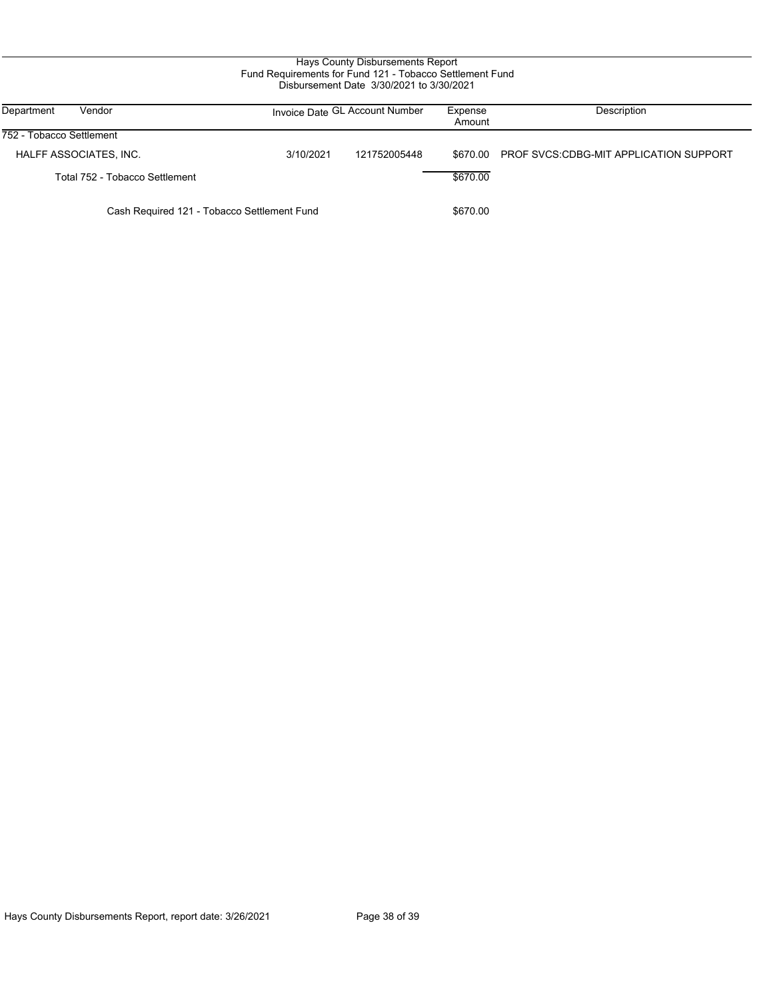# Hays County Disbursements Report Fund Requirements for Fund 121 - Tobacco Settlement Fund Disbursement Date 3/30/2021 to 3/30/2021

| Department<br>Vendor                        |           | Invoice Date GL Account Number | Expense<br>Amount | Description                                   |
|---------------------------------------------|-----------|--------------------------------|-------------------|-----------------------------------------------|
| 752 - Tobacco Settlement                    |           |                                |                   |                                               |
| HALFF ASSOCIATES, INC.                      | 3/10/2021 | 121752005448                   | \$670.00          | <b>PROF SVCS CDBG-MIT APPLICATION SUPPORT</b> |
| Total 752 - Tobacco Settlement              |           |                                | \$670.00          |                                               |
| Cash Required 121 - Tobacco Settlement Fund |           | \$670.00                       |                   |                                               |